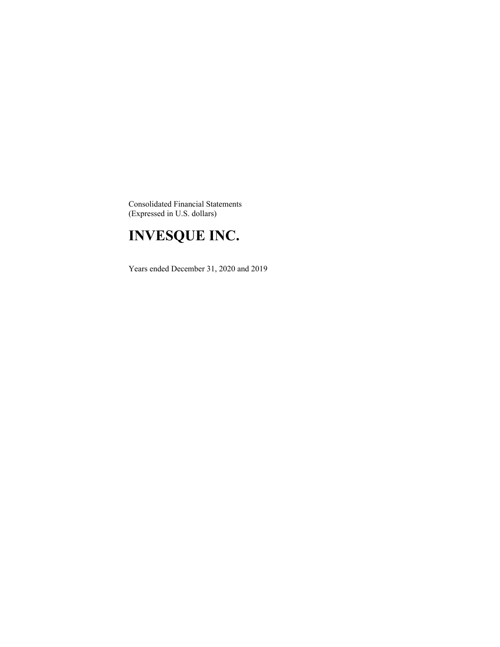Consolidated Financial Statements (Expressed in U.S. dollars)

### **INVESQUE INC.**

Years ended December 31, 2020 and 2019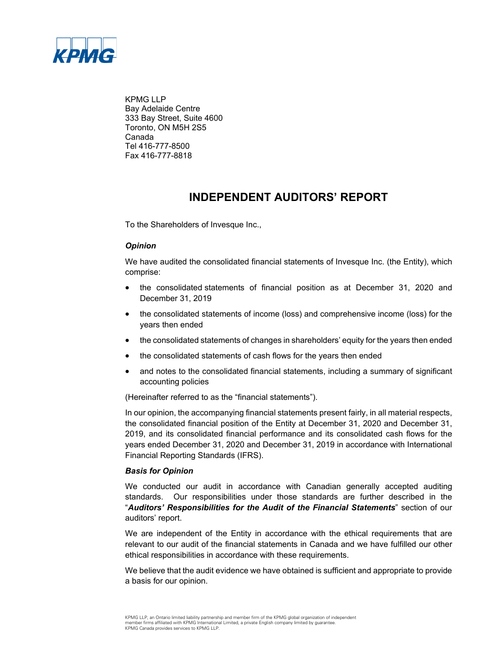

KPMG LLP Bay Adelaide Centre 333 Bay Street, Suite 4600 Toronto, ON M5H 2S5 Canada Tel 416-777-8500 Fax 416-777-8818

### **INDEPENDENT AUDITORS' REPORT**

To the Shareholders of Invesque Inc.,

### *Opinion*

We have audited the consolidated financial statements of Invesque Inc. (the Entity), which comprise:

- the consolidated statements of financial position as at December 31, 2020 and December 31, 2019
- the consolidated statements of income (loss) and comprehensive income (loss) for the years then ended
- the consolidated statements of changes in shareholders' equity for the years then ended
- the consolidated statements of cash flows for the years then ended
- and notes to the consolidated financial statements, including a summary of significant accounting policies

(Hereinafter referred to as the "financial statements").

In our opinion, the accompanying financial statements present fairly, in all material respects, the consolidated financial position of the Entity at December 31, 2020 and December 31, 2019, and its consolidated financial performance and its consolidated cash flows for the years ended December 31, 2020 and December 31, 2019 in accordance with International Financial Reporting Standards (IFRS).

#### *Basis for Opinion*

We conducted our audit in accordance with Canadian generally accepted auditing standards. Our responsibilities under those standards are further described in the "*Auditors' Responsibilities for the Audit of the Financial Statements*" section of our auditors' report.

We are independent of the Entity in accordance with the ethical requirements that are relevant to our audit of the financial statements in Canada and we have fulfilled our other ethical responsibilities in accordance with these requirements.

We believe that the audit evidence we have obtained is sufficient and appropriate to provide a basis for our opinion.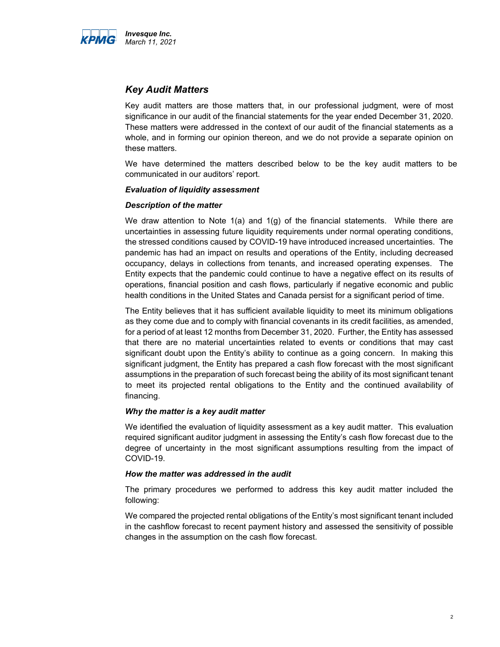

### *Key Audit Matters*

Key audit matters are those matters that, in our professional judgment, were of most significance in our audit of the financial statements for the year ended December 31, 2020. These matters were addressed in the context of our audit of the financial statements as a whole, and in forming our opinion thereon, and we do not provide a separate opinion on these matters.

We have determined the matters described below to be the key audit matters to be communicated in our auditors' report.

#### *Evaluation of liquidity assessment*

#### *Description of the matter*

We draw attention to Note  $1(a)$  and  $1(g)$  of the financial statements. While there are uncertainties in assessing future liquidity requirements under normal operating conditions, the stressed conditions caused by COVID-19 have introduced increased uncertainties. The pandemic has had an impact on results and operations of the Entity, including decreased occupancy, delays in collections from tenants, and increased operating expenses. The Entity expects that the pandemic could continue to have a negative effect on its results of operations, financial position and cash flows, particularly if negative economic and public health conditions in the United States and Canada persist for a significant period of time.

The Entity believes that it has sufficient available liquidity to meet its minimum obligations as they come due and to comply with financial covenants in its credit facilities, as amended, for a period of at least 12 months from December 31, 2020. Further, the Entity has assessed that there are no material uncertainties related to events or conditions that may cast significant doubt upon the Entity's ability to continue as a going concern. In making this significant judgment, the Entity has prepared a cash flow forecast with the most significant assumptions in the preparation of such forecast being the ability of its most significant tenant to meet its projected rental obligations to the Entity and the continued availability of financing.

#### *Why the matter is a key audit matter*

We identified the evaluation of liquidity assessment as a key audit matter. This evaluation required significant auditor judgment in assessing the Entity's cash flow forecast due to the degree of uncertainty in the most significant assumptions resulting from the impact of COVID-19.

#### *How the matter was addressed in the audit*

The primary procedures we performed to address this key audit matter included the following:

We compared the projected rental obligations of the Entity's most significant tenant included in the cashflow forecast to recent payment history and assessed the sensitivity of possible changes in the assumption on the cash flow forecast.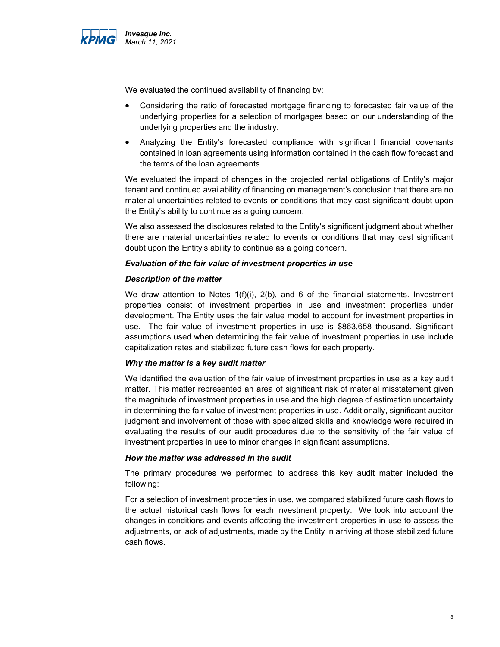

We evaluated the continued availability of financing by:

- Considering the ratio of forecasted mortgage financing to forecasted fair value of the underlying properties for a selection of mortgages based on our understanding of the underlying properties and the industry.
- Analyzing the Entity's forecasted compliance with significant financial covenants contained in loan agreements using information contained in the cash flow forecast and the terms of the loan agreements.

We evaluated the impact of changes in the projected rental obligations of Entity's major tenant and continued availability of financing on management's conclusion that there are no material uncertainties related to events or conditions that may cast significant doubt upon the Entity's ability to continue as a going concern.

We also assessed the disclosures related to the Entity's significant judgment about whether there are material uncertainties related to events or conditions that may cast significant doubt upon the Entity's ability to continue as a going concern.

#### *Evaluation of the fair value of investment properties in use*

#### *Description of the matter*

We draw attention to Notes  $1(f)(i)$ ,  $2(b)$ , and 6 of the financial statements. Investment properties consist of investment properties in use and investment properties under development. The Entity uses the fair value model to account for investment properties in use. The fair value of investment properties in use is \$863,658 thousand. Significant assumptions used when determining the fair value of investment properties in use include capitalization rates and stabilized future cash flows for each property.

#### *Why the matter is a key audit matter*

We identified the evaluation of the fair value of investment properties in use as a key audit matter. This matter represented an area of significant risk of material misstatement given the magnitude of investment properties in use and the high degree of estimation uncertainty in determining the fair value of investment properties in use. Additionally, significant auditor judgment and involvement of those with specialized skills and knowledge were required in evaluating the results of our audit procedures due to the sensitivity of the fair value of investment properties in use to minor changes in significant assumptions.

#### *How the matter was addressed in the audit*

The primary procedures we performed to address this key audit matter included the following:

For a selection of investment properties in use, we compared stabilized future cash flows to the actual historical cash flows for each investment property. We took into account the changes in conditions and events affecting the investment properties in use to assess the adjustments, or lack of adjustments, made by the Entity in arriving at those stabilized future cash flows.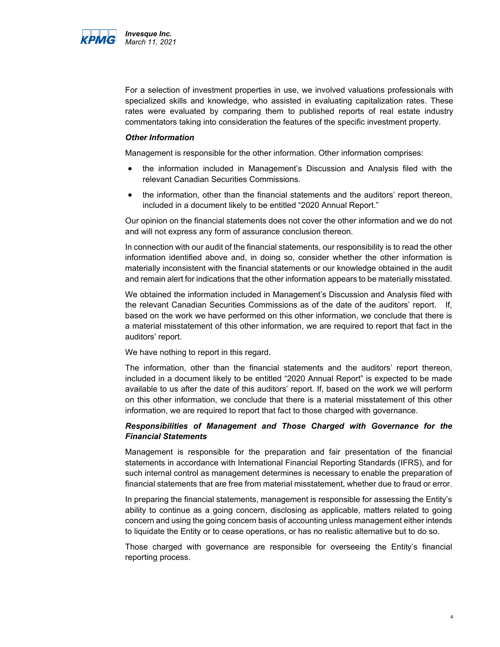

For a selection of investment properties in use, we involved valuations professionals with specialized skills and knowledge, who assisted in evaluating capitalization rates. These rates were evaluated by comparing them to published reports of real estate industry commentators taking into consideration the features of the specific investment property.

#### *Other Information*

Management is responsible for the other information. Other information comprises:

- the information included in Management's Discussion and Analysis filed with the relevant Canadian Securities Commissions.
- the information, other than the financial statements and the auditors' report thereon, included in a document likely to be entitled "2020 Annual Report."

Our opinion on the financial statements does not cover the other information and we do not and will not express any form of assurance conclusion thereon.

In connection with our audit of the financial statements, our responsibility is to read the other information identified above and, in doing so, consider whether the other information is materially inconsistent with the financial statements or our knowledge obtained in the audit and remain alert for indications that the other information appears to be materially misstated.

We obtained the information included in Management's Discussion and Analysis filed with the relevant Canadian Securities Commissions as of the date of the auditors' report. If, based on the work we have performed on this other information, we conclude that there is a material misstatement of this other information, we are required to report that fact in the auditors' report.

We have nothing to report in this regard.

The information, other than the financial statements and the auditors' report thereon, included in a document likely to be entitled "2020 Annual Report" is expected to be made available to us after the date of this auditors' report. If, based on the work we will perform on this other information, we conclude that there is a material misstatement of this other information, we are required to report that fact to those charged with governance.

#### *Responsibilities of Management and Those Charged with Governance for the Financial Statements*

Management is responsible for the preparation and fair presentation of the financial statements in accordance with International Financial Reporting Standards (IFRS), and for such internal control as management determines is necessary to enable the preparation of financial statements that are free from material misstatement, whether due to fraud or error.

In preparing the financial statements, management is responsible for assessing the Entity's ability to continue as a going concern, disclosing as applicable, matters related to going concern and using the going concern basis of accounting unless management either intends to liquidate the Entity or to cease operations, or has no realistic alternative but to do so.

Those charged with governance are responsible for overseeing the Entity's financial reporting process.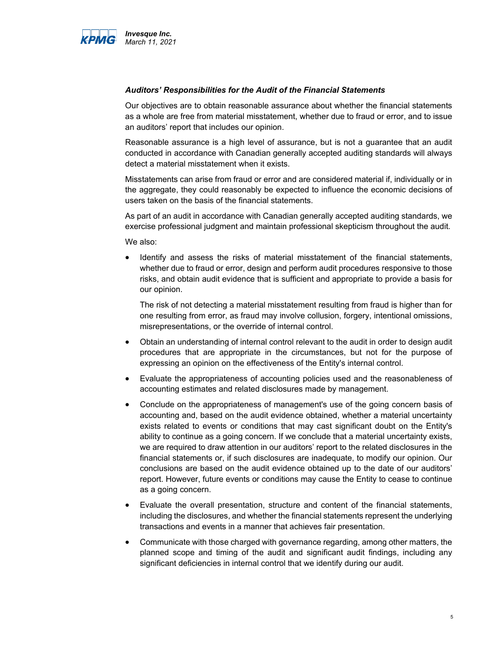

#### *Auditors' Responsibilities for the Audit of the Financial Statements*

Our objectives are to obtain reasonable assurance about whether the financial statements as a whole are free from material misstatement, whether due to fraud or error, and to issue an auditors' report that includes our opinion.

Reasonable assurance is a high level of assurance, but is not a guarantee that an audit conducted in accordance with Canadian generally accepted auditing standards will always detect a material misstatement when it exists.

Misstatements can arise from fraud or error and are considered material if, individually or in the aggregate, they could reasonably be expected to influence the economic decisions of users taken on the basis of the financial statements.

As part of an audit in accordance with Canadian generally accepted auditing standards, we exercise professional judgment and maintain professional skepticism throughout the audit.

We also:

• Identify and assess the risks of material misstatement of the financial statements, whether due to fraud or error, design and perform audit procedures responsive to those risks, and obtain audit evidence that is sufficient and appropriate to provide a basis for our opinion.

The risk of not detecting a material misstatement resulting from fraud is higher than for one resulting from error, as fraud may involve collusion, forgery, intentional omissions, misrepresentations, or the override of internal control.

- Obtain an understanding of internal control relevant to the audit in order to design audit procedures that are appropriate in the circumstances, but not for the purpose of expressing an opinion on the effectiveness of the Entity's internal control.
- Evaluate the appropriateness of accounting policies used and the reasonableness of accounting estimates and related disclosures made by management.
- Conclude on the appropriateness of management's use of the going concern basis of accounting and, based on the audit evidence obtained, whether a material uncertainty exists related to events or conditions that may cast significant doubt on the Entity's ability to continue as a going concern. If we conclude that a material uncertainty exists, we are required to draw attention in our auditors' report to the related disclosures in the financial statements or, if such disclosures are inadequate, to modify our opinion. Our conclusions are based on the audit evidence obtained up to the date of our auditors' report. However, future events or conditions may cause the Entity to cease to continue as a going concern.
- Evaluate the overall presentation, structure and content of the financial statements, including the disclosures, and whether the financial statements represent the underlying transactions and events in a manner that achieves fair presentation.
- Communicate with those charged with governance regarding, among other matters, the planned scope and timing of the audit and significant audit findings, including any significant deficiencies in internal control that we identify during our audit.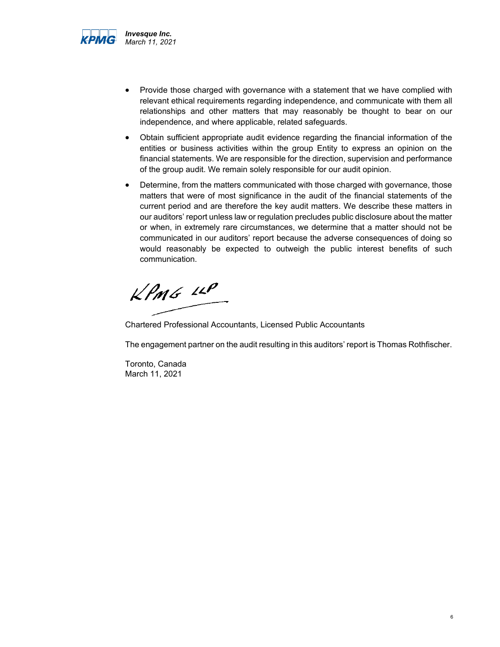

- Provide those charged with governance with a statement that we have complied with relevant ethical requirements regarding independence, and communicate with them all relationships and other matters that may reasonably be thought to bear on our independence, and where applicable, related safeguards.
- Obtain sufficient appropriate audit evidence regarding the financial information of the entities or business activities within the group Entity to express an opinion on the financial statements. We are responsible for the direction, supervision and performance of the group audit. We remain solely responsible for our audit opinion.
- Determine, from the matters communicated with those charged with governance, those matters that were of most significance in the audit of the financial statements of the current period and are therefore the key audit matters. We describe these matters in our auditors' report unless law or regulation precludes public disclosure about the matter or when, in extremely rare circumstances, we determine that a matter should not be communicated in our auditors' report because the adverse consequences of doing so would reasonably be expected to outweigh the public interest benefits of such communication.

 $KPMG$  11P

Chartered Professional Accountants, Licensed Public Accountants

The engagement partner on the audit resulting in this auditors' report is Thomas Rothfischer.

Toronto, Canada March 11, 2021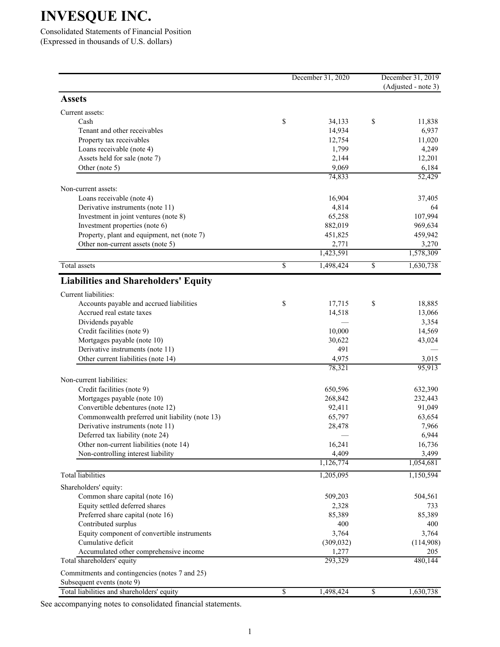Consolidated Statements of Financial Position (Expressed in thousands of U.S. dollars)

|                                                                              |                 | December 31, 2020 |                          | December 31, 2019<br>(Adjusted - note 3) |
|------------------------------------------------------------------------------|-----------------|-------------------|--------------------------|------------------------------------------|
| <b>Assets</b>                                                                |                 |                   |                          |                                          |
| Current assets:                                                              |                 |                   |                          |                                          |
| Cash                                                                         | \$              | 34,133            | \$                       | 11,838                                   |
| Tenant and other receivables                                                 |                 | 14,934            |                          | 6,937                                    |
| Property tax receivables                                                     |                 | 12,754            |                          | 11,020                                   |
| Loans receivable (note 4)                                                    |                 | 1,799             |                          | 4,249                                    |
| Assets held for sale (note 7)                                                |                 | 2,144             |                          | 12,201                                   |
| Other (note 5)                                                               |                 | 9,069<br>74,833   |                          | 6,184<br>52,429                          |
| Non-current assets:                                                          |                 |                   |                          |                                          |
| Loans receivable (note 4)                                                    |                 | 16,904            |                          | 37,405                                   |
| Derivative instruments (note 11)                                             |                 | 4,814             |                          | 64                                       |
| Investment in joint ventures (note 8)                                        |                 | 65,258            |                          | 107,994                                  |
| Investment properties (note 6)                                               |                 | 882,019           |                          | 969,634                                  |
| Property, plant and equipment, net (note 7)                                  |                 | 451,825           |                          | 459,942                                  |
| Other non-current assets (note 5)                                            |                 | 2,771             |                          | 3,270                                    |
|                                                                              |                 | 1,423,591         |                          | 1,578,309                                |
| Total assets                                                                 | $\overline{\$}$ | 1,498,424         | $\overline{\mathcal{S}}$ | 1,630,738                                |
| <b>Liabilities and Shareholders' Equity</b>                                  |                 |                   |                          |                                          |
| Current liabilities:                                                         |                 |                   |                          |                                          |
| Accounts payable and accrued liabilities                                     | \$              | 17,715            | \$                       | 18,885                                   |
| Accrued real estate taxes                                                    |                 | 14,518            |                          | 13,066                                   |
| Dividends payable                                                            |                 |                   |                          | 3,354                                    |
| Credit facilities (note 9)                                                   |                 | 10,000            |                          | 14,569                                   |
| Mortgages payable (note 10)                                                  |                 | 30,622            |                          | 43,024                                   |
| Derivative instruments (note 11)                                             |                 | 491               |                          |                                          |
| Other current liabilities (note 14)                                          |                 | 4,975<br>78,321   |                          | 3,015<br>95,913                          |
| Non-current liabilities:                                                     |                 |                   |                          |                                          |
| Credit facilities (note 9)                                                   |                 | 650,596           |                          | 632,390                                  |
| Mortgages payable (note 10)                                                  |                 | 268,842           |                          | 232,443                                  |
| Convertible debentures (note 12)                                             |                 | 92,411            |                          | 91,049                                   |
| Commonwealth preferred unit liability (note 13)                              |                 | 65,797            |                          | 63,654                                   |
| Derivative instruments (note 11)                                             |                 | 28,478            |                          | 7,966                                    |
| Deferred tax liability (note 24)                                             |                 |                   |                          | 6,944                                    |
| Other non-current liabilities (note 14)                                      |                 | 16,241            |                          | 16,736                                   |
| Non-controlling interest liability                                           |                 | 4,409             |                          | 3,499                                    |
|                                                                              |                 | 1,126,774         |                          | 1,054,681                                |
| <b>Total</b> liabilities                                                     |                 | 1,205,095         |                          | 1,150,594                                |
| Shareholders' equity:                                                        |                 |                   |                          |                                          |
| Common share capital (note 16)                                               |                 | 509,203           |                          | 504,561                                  |
| Equity settled deferred shares                                               |                 | 2,328             |                          | 733                                      |
| Preferred share capital (note 16)                                            |                 | 85,389            |                          | 85,389                                   |
| Contributed surplus                                                          |                 | 400               |                          | 400                                      |
| Equity component of convertible instruments                                  |                 | 3,764             |                          | 3,764                                    |
| Cumulative deficit                                                           |                 | (309, 032)        |                          | (114,908)                                |
| Accumulated other comprehensive income                                       |                 | 1,277             |                          | 205                                      |
| Total shareholders' equity<br>Commitments and contingencies (notes 7 and 25) |                 | 293,329           |                          | 480,144                                  |
| Subsequent events (note 9)                                                   |                 |                   |                          |                                          |
| Total liabilities and shareholders' equity                                   | \$              | 1,498,424         | \$                       | 1,630,738                                |

See accompanying notes to consolidated financial statements.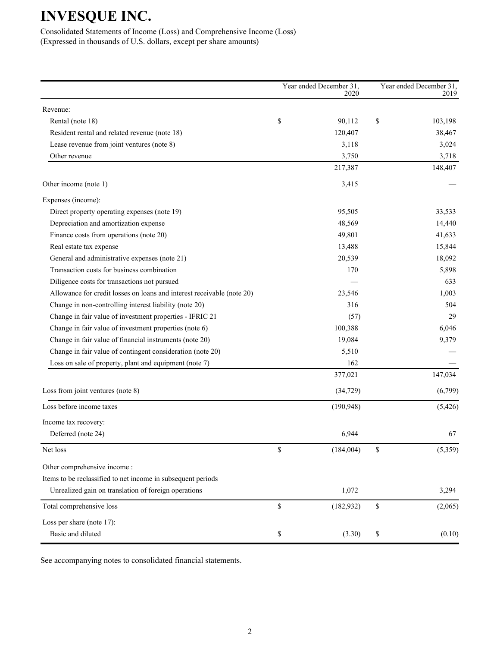Consolidated Statements of Income (Loss) and Comprehensive Income (Loss) (Expressed in thousands of U.S. dollars, except per share amounts)

|                                                                        | Year ended December 31,<br>2020 | Year ended December 31,<br>2019 |
|------------------------------------------------------------------------|---------------------------------|---------------------------------|
| Revenue:                                                               |                                 |                                 |
| Rental (note 18)                                                       | \$<br>90,112                    | \$<br>103,198                   |
| Resident rental and related revenue (note 18)                          | 120,407                         | 38,467                          |
| Lease revenue from joint ventures (note 8)                             | 3,118                           | 3,024                           |
| Other revenue                                                          | 3,750                           | 3,718                           |
|                                                                        | 217,387                         | 148,407                         |
| Other income (note 1)                                                  | 3,415                           |                                 |
| Expenses (income):                                                     |                                 |                                 |
| Direct property operating expenses (note 19)                           | 95,505                          | 33,533                          |
| Depreciation and amortization expense                                  | 48,569                          | 14,440                          |
| Finance costs from operations (note 20)                                | 49,801                          | 41,633                          |
| Real estate tax expense                                                | 13,488                          | 15,844                          |
| General and administrative expenses (note 21)                          | 20,539                          | 18,092                          |
| Transaction costs for business combination                             | 170                             | 5,898                           |
| Diligence costs for transactions not pursued                           |                                 | 633                             |
| Allowance for credit losses on loans and interest receivable (note 20) | 23,546                          | 1,003                           |
| Change in non-controlling interest liability (note 20)                 | 316                             | 504                             |
| Change in fair value of investment properties - IFRIC 21               | (57)                            | 29                              |
| Change in fair value of investment properties (note 6)                 | 100,388                         | 6,046                           |
| Change in fair value of financial instruments (note 20)                | 19,084                          | 9,379                           |
| Change in fair value of contingent consideration (note 20)             | 5,510                           |                                 |
| Loss on sale of property, plant and equipment (note 7)                 | 162                             |                                 |
|                                                                        | 377,021                         | 147,034                         |
| Loss from joint ventures (note 8)                                      | (34, 729)                       | (6,799)                         |
| Loss before income taxes                                               | (190, 948)                      | (5, 426)                        |
| Income tax recovery:                                                   |                                 |                                 |
| Deferred (note 24)                                                     | 6,944                           | 67                              |
| Net loss                                                               | \$<br>(184,004)                 | \$<br>(5,359)                   |
| Other comprehensive income:                                            |                                 |                                 |
| Items to be reclassified to net income in subsequent periods           |                                 |                                 |
| Unrealized gain on translation of foreign operations                   | 1,072                           | 3,294                           |
| Total comprehensive loss                                               | \$<br>(182, 932)                | \$<br>(2,065)                   |
| Loss per share (note 17):                                              |                                 |                                 |
| Basic and diluted                                                      | \$<br>(3.30)                    | \$<br>(0.10)                    |

See accompanying notes to consolidated financial statements.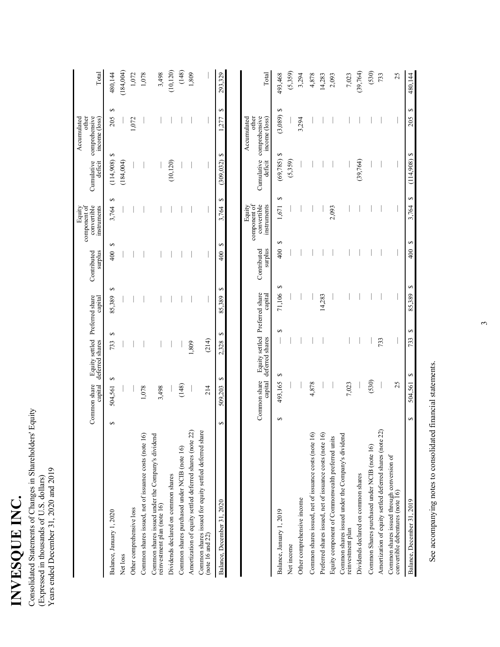| INVESSIT |  |
|----------|--|
| J        |  |
|          |  |
| נ<br>נו  |  |
|          |  |
|          |  |
| י<br>ו   |  |

Consolidated Statements of Changes in Shareholders' Equity (Expressed in thousands of U. S. dollars) Years ended December 31, 2020 and 2019

|                                                                                   |   | Common share<br>capital | Equity settled Preferred share<br>deferred shares capital |                                | capital     | surplus<br>Contributed | component of<br>convertible<br>instruments<br>Equity | Cumulative<br>deficit | comprehensive<br>other<br>Accumulated<br>income (loss) | Total     |
|-----------------------------------------------------------------------------------|---|-------------------------|-----------------------------------------------------------|--------------------------------|-------------|------------------------|------------------------------------------------------|-----------------------|--------------------------------------------------------|-----------|
| Balance, January 1, 2020                                                          | ↔ | 5<br>504,561            |                                                           | ↔<br>733                       | ↮<br>85,389 | S<br>400               | ↔<br>3,764                                           | (114,908)             | ↔<br>205<br>5                                          | 480,144   |
| Net loss                                                                          |   |                         |                                                           |                                |             |                        |                                                      | (184,004)             |                                                        | (184,004) |
| Other comprehensive loss                                                          |   |                         |                                                           |                                |             |                        |                                                      |                       | 1,072                                                  | 1,072     |
| Common shares issued, net of issuance costs (note 16                              |   | 1,078                   |                                                           |                                |             |                        |                                                      |                       |                                                        | 1,078     |
| Common shares issued under the Company's dividend<br>reinvestment plan (note 16)  |   | 3,498                   |                                                           |                                |             |                        |                                                      |                       |                                                        | 3,498     |
| Dividends declared on common shares                                               |   |                         |                                                           |                                |             |                        |                                                      | (10, 120)             |                                                        | (10, 120) |
| Common shares purchased under NCIB (note 16)                                      |   | (148)                   |                                                           |                                |             |                        |                                                      |                       |                                                        | (148)     |
| Amortization of equity settled deferred shares (note 22)                          |   |                         |                                                           | 1,809                          |             |                        |                                                      |                       |                                                        | 1,809     |
| P<br>Common shares issued for equity settled deferred sha<br>$(note 16$ and $22)$ |   | 214                     |                                                           | (214)                          |             |                        |                                                      |                       |                                                        |           |
| Balance, December 31, 2020                                                        | 5 | ↮<br>509,203            |                                                           | ∽<br>2,328                     | ∽<br>85,389 | ∽<br>400               | ↮<br>3,764                                           | $(309,032)$ \$        | ↮<br>277                                               | 293,329   |
|                                                                                   |   | Common share            | capital deferred shares                                   | Equity settled Preferred share | capital     | surplus<br>Contributed | component of<br>convertible<br>instruments<br>Equity | Cumulative<br>deficit | comprehensive<br>other<br>Accumulated<br>income (loss) | Total     |
| Balance, January 1, 2019                                                          | 5 | 493,165                 | ∽                                                         | 5                              | ∽<br>71,106 | 400                    | 1,671<br>∽                                           | (69, 785)<br>∽        | ∽<br>(3,089)<br>s                                      | 493,468   |
| Net income                                                                        |   |                         |                                                           |                                |             |                        |                                                      | (5,359)               |                                                        | (5,359)   |
| Other comprehensive income                                                        |   |                         |                                                           |                                |             |                        |                                                      |                       | 3,294                                                  | 3,294     |
| Common shares issued, net of issuance costs (note 16                              |   | 4,878                   |                                                           |                                |             |                        |                                                      |                       |                                                        | 4,878     |
| Preferred shares issued, net of issuance costs (note 16                           |   |                         |                                                           |                                | 14,283      |                        |                                                      |                       |                                                        | 14,283    |
| Equity component of Commonwealth preferred units                                  |   |                         |                                                           |                                |             |                        | 2,093                                                |                       |                                                        | 2,093     |
| Common shares issued under the Company's dividence<br>reinvestment plan           |   | 7,023                   |                                                           |                                |             |                        |                                                      |                       |                                                        | 7,023     |
| Dividends declared on common shares                                               |   |                         |                                                           |                                |             |                        |                                                      | (39,764)              |                                                        | (39,764)  |
| Common Shares purchased under NCIB (note 16)                                      |   | (530)                   |                                                           |                                |             |                        |                                                      |                       |                                                        | (530)     |
| Amortization of equity settled deferred shares (note 22)                          |   |                         |                                                           | 733                            |             |                        |                                                      |                       |                                                        | 733       |
| Common shares issued through conversion of<br>convertible debentures (note 16)    |   | 25                      |                                                           |                                |             |                        |                                                      |                       |                                                        | 25        |
| Balance, December 31, 2019                                                        | ↮ | 504,561                 | ↮                                                         | ↔<br>733                       | ↮<br>85,389 | 400                    | 3,764<br>↮                                           | $(114,908)$ \$<br>↮   | ↔<br>205                                               | 480,144   |

See accompanying notes to consolidated financial statements. See accompanying notes to consolidated financial statements.  $\epsilon$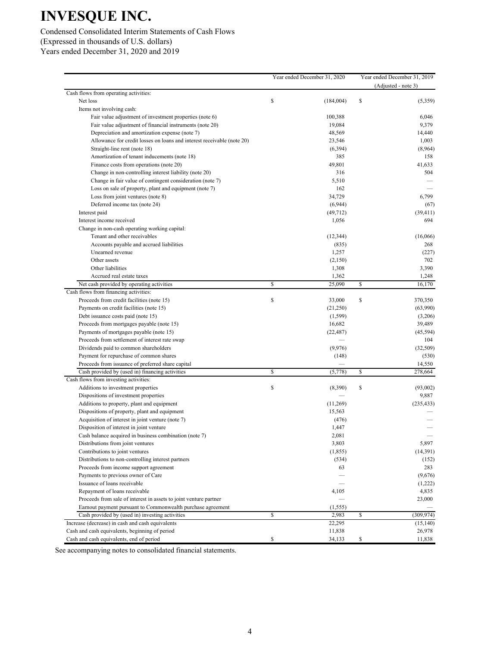### Condensed Consolidated Interim Statements of Cash Flows (Expressed in thousands of U.S. dollars) Years ended December 31, 2020 and 2019

|                                                                        | Year ended December 31, 2020 | Year ended December 31, 2019<br>(Adjusted - note 3) |
|------------------------------------------------------------------------|------------------------------|-----------------------------------------------------|
| Cash flows from operating activities:                                  |                              |                                                     |
| Net loss                                                               | \$<br>(184,004)              | \$<br>(5,359)                                       |
| Items not involving cash:                                              |                              |                                                     |
| Fair value adjustment of investment properties (note 6)                | 100,388                      | 6,046                                               |
| Fair value adjustment of financial instruments (note 20)               | 19,084                       | 9,379                                               |
| Depreciation and amortization expense (note 7)                         | 48,569                       | 14,440                                              |
| Allowance for credit losses on loans and interest receivable (note 20) | 23,546                       | 1,003                                               |
| Straight-line rent (note 18)                                           | (6, 394)                     | (8,964)                                             |
| Amortization of tenant inducements (note 18)                           | 385                          | 158                                                 |
| Finance costs from operations (note 20)                                | 49,801                       | 41,633                                              |
| Change in non-controlling interest liability (note 20)                 | 316                          | 504                                                 |
| Change in fair value of contingent consideration (note 7)              | 5,510                        |                                                     |
| Loss on sale of property, plant and equipment (note 7)                 | 162                          |                                                     |
| Loss from joint ventures (note 8)                                      | 34,729                       | 6,799                                               |
| Deferred income tax (note 24)                                          | (6,944)                      | (67)                                                |
| Interest paid                                                          | (49, 712)                    | (39, 411)                                           |
| Interest income received                                               | 1,056                        | 694                                                 |
| Change in non-cash operating working capital:                          |                              |                                                     |
| Tenant and other receivables                                           | (12, 344)                    | (16,066)                                            |
| Accounts payable and accrued liabilities                               | (835)                        | 268                                                 |
| Unearned revenue                                                       | 1,257                        | (227)                                               |
| Other assets                                                           | (2,150)                      | 702                                                 |
| Other liabilities                                                      | 1,308                        | 3,390                                               |
| Accrued real estate taxes                                              | 1,362                        | 1,248                                               |
| Net cash provided by operating activities                              | \$<br>25,090                 | \$<br>16,170                                        |
| Cash flows from financing activities:                                  |                              |                                                     |
| Proceeds from credit facilities (note 15)                              | \$<br>33,000                 | \$<br>370,350                                       |
| Payments on credit facilities (note 15)                                | (21,250)                     | (63,990)                                            |
| Debt issuance costs paid (note 15)                                     | (1, 599)                     | (3,206)                                             |
| Proceeds from mortgages payable (note 15)                              | 16,682                       | 39,489                                              |
| Payments of mortgages payable (note 15)                                | (22, 487)                    | (45, 594)                                           |
| Proceeds from settlement of interest rate swap                         |                              | 104                                                 |
| Dividends paid to common shareholders                                  | (9,976)                      | (32, 509)                                           |
| Payment for repurchase of common shares                                | (148)                        | (530)                                               |
| Proceeds from issuance of preferred share capital                      |                              | 14,550                                              |
| Cash provided by (used in) financing activities                        | \$<br>(5,778)                | \$<br>278,664                                       |
| Cash flows from investing activities:                                  |                              |                                                     |
| Additions to investment properties                                     | \$<br>(8,390)                | \$<br>(93,002)                                      |
| Dispositions of investment properties                                  |                              | 9,887                                               |
| Additions to property, plant and equipment                             | (11,269)                     | (235, 433)                                          |
| Dispositions of property, plant and equipment                          | 15,563                       |                                                     |
|                                                                        |                              |                                                     |
| Acquisition of interest in joint venture (note 7)                      | (476)                        |                                                     |
| Disposition of interest in joint venture                               | 1,447                        |                                                     |
| Cash balance acquired in business combination (note 7)                 | 2,081                        |                                                     |
| Distributions from joint ventures                                      | 3,803                        | 5,897                                               |
| Contributions to joint ventures                                        | (1, 855)                     | (14, 391)                                           |
| Distributions to non-controlling interest partners                     | (534)                        | (152)                                               |
| Proceeds from income support agreement                                 | 63                           | 283                                                 |
| Payments to previous owner of Care                                     |                              | (9,676)                                             |
| Issuance of loans receivable                                           |                              | (1,222)                                             |
| Repayment of loans receivable                                          | 4,105                        | 4,835                                               |
| Proceeds from sale of interest in assets to joint venture partner      |                              | 23,000                                              |
| Earnout payment pursuant to Commonwealth purchase agreement            | (1, 555)                     |                                                     |
| Cash provided by (used in) investing activities                        | \$<br>2,983                  | \$<br>(309, 974)                                    |
| Increase (decrease) in cash and cash equivalents                       | 22,295                       | (15, 140)                                           |
| Cash and cash equivalents, beginning of period                         | 11,838                       | 26,978                                              |
| Cash and cash equivalents, end of period                               | \$<br>34,133                 | \$<br>11,838                                        |

See accompanying notes to consolidated financial statements.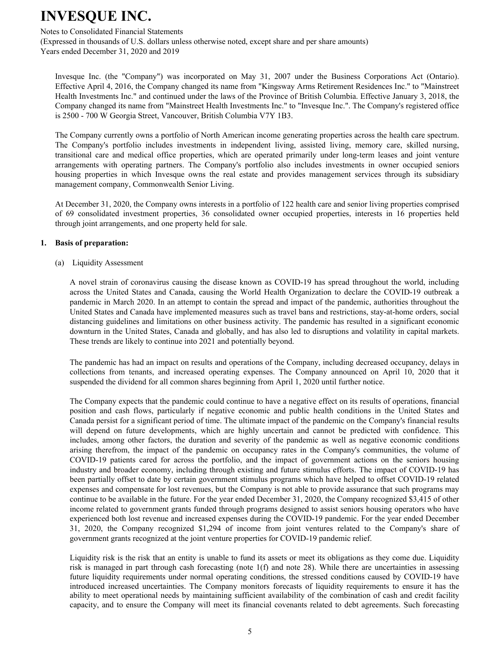#### Notes to Consolidated Financial Statements

(Expressed in thousands of U.S. dollars unless otherwise noted, except share and per share amounts) Years ended December 31, 2020 and 2019

Invesque Inc. (the "Company") was incorporated on May 31, 2007 under the Business Corporations Act (Ontario). Effective April 4, 2016, the Company changed its name from "Kingsway Arms Retirement Residences Inc." to "Mainstreet Health Investments Inc." and continued under the laws of the Province of British Columbia. Effective January 3, 2018, the Company changed its name from "Mainstreet Health Investments Inc." to "Invesque Inc.". The Company's registered office is 2500 - 700 W Georgia Street, Vancouver, British Columbia V7Y 1B3.

The Company currently owns a portfolio of North American income generating properties across the health care spectrum. The Company's portfolio includes investments in independent living, assisted living, memory care, skilled nursing, transitional care and medical office properties, which are operated primarily under long-term leases and joint venture arrangements with operating partners. The Company's portfolio also includes investments in owner occupied seniors housing properties in which Invesque owns the real estate and provides management services through its subsidiary management company, Commonwealth Senior Living.

At December 31, 2020, the Company owns interests in a portfolio of 122 health care and senior living properties comprised of 69 consolidated investment properties, 36 consolidated owner occupied properties, interests in 16 properties held through joint arrangements, and one property held for sale.

#### **1.** Basis of preparation:

(a) Liquidity Assessment

A novel strain of coronavirus causing the disease known as COVID-19 has spread throughout the world, including across the United States and Canada, causing the World Health Organization to declare the COVID-19 outbreak a pandemic in March 2020. In an attempt to contain the spread and impact of the pandemic, authorities throughout the United States and Canada have implemented measures such as travel bans and restrictions, stay-at-home orders, social distancing guidelines and limitations on other business activity. The pandemic has resulted in a significant economic downturn in the United States, Canada and globally, and has also led to disruptions and volatility in capital markets. These trends are likely to continue into 2021 and potentially beyond.

The pandemic has had an impact on results and operations of the Company, including decreased occupancy, delays in collections from tenants, and increased operating expenses. The Company announced on April 10, 2020 that it suspended the dividend for all common shares beginning from April 1, 2020 until further notice.

The Company expects that the pandemic could continue to have a negative effect on its results of operations, financial position and cash flows, particularly if negative economic and public health conditions in the United States and Canada persist for a significant period of time. The ultimate impact of the pandemic on the Company's financial results will depend on future developments, which are highly uncertain and cannot be predicted with confidence. This includes, among other factors, the duration and severity of the pandemic as well as negative economic conditions arising therefrom, the impact of the pandemic on occupancy rates in the Company's communities, the volume of COVID-19 patients cared for across the portfolio, and the impact of government actions on the seniors housing industry and broader economy, including through existing and future stimulus efforts. The impact of COVID-19 has been partially offset to date by certain government stimulus programs which have helped to offset COVID-19 related expenses and compensate for lost revenues, but the Company is not able to provide assurance that such programs may continue to be available in the future. For the year ended December 31, 2020, the Company recognized \$3,415 of other income related to government grants funded through programs designed to assist seniors housing operators who have experienced both lost revenue and increased expenses during the COVID-19 pandemic. For the year ended December 31, 2020, the Company recognized \$1,294 of income from joint ventures related to the Company's share of government grants recognized at the joint venture properties for COVID-19 pandemic relief.

Liquidity risk is the risk that an entity is unable to fund its assets or meet its obligations as they come due. Liquidity risk is managed in part through cash forecasting (note  $1(f)$  and note 28). While there are uncertainties in assessing future liquidity requirements under normal operating conditions, the stressed conditions caused by COVID-19 have introduced increased uncertainties. The Company monitors forecasts of liquidity requirements to ensure it has the ability to meet operational needs by maintaining sufficient availability of the combination of cash and credit facility capacity, and to ensure the Company will meet its financial covenants related to debt agreements. Such forecasting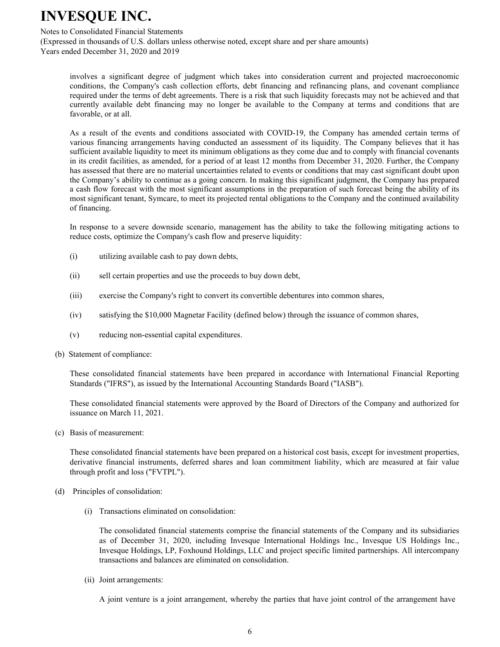#### Notes to Consolidated Financial Statements

(Expressed in thousands of U.S. dollars unless otherwise noted, except share and per share amounts) Years ended December 31, 2020 and 2019

involves a significant degree of judgment which takes into consideration current and projected macroeconomic conditions, the Company's cash collection efforts, debt financing and refinancing plans, and covenant compliance required under the terms of debt agreements. There is a risk that such liquidity forecasts may not be achieved and that currently available debt financing may no longer be available to the Company at terms and conditions that are favorable, or at all.

As a result of the events and conditions associated with COVID-19, the Company has amended certain terms of various financing arrangements having conducted an assessment of its liquidity. The Company believes that it has sufficient available liquidity to meet its minimum obligations as they come due and to comply with financial covenants in its credit facilities, as amended, for a period of at least 12 months from December 31, 2020. Further, the Company has assessed that there are no material uncertainties related to events or conditions that may cast significant doubt upon the Company's ability to continue as a going concern. In making this significant judgment, the Company has prepared a cash flow forecast with the most significant assumptions in the preparation of such forecast being the ability of its most significant tenant, Symcare, to meet its projected rental obligations to the Company and the continued availability of financing.

In response to a severe downside scenario, management has the ability to take the following mitigating actions to reduce costs, optimize the Company's cash flow and preserve liquidity:

- (i) utilizing available cash to pay down debts,
- (ii) sell certain properties and use the proceeds to buy down debt,
- (iii) exercise the Company's right to convert its convertible debentures into common shares,
- $(iv)$  satisfying the \$10,000 Magnetar Facility (defined below) through the issuance of common shares,
- $(v)$  reducing non-essential capital expenditures.
- (b) Statement of compliance:

These consolidated financial statements have been prepared in accordance with International Financial Reporting Standards ("IFRS"), as issued by the International Accounting Standards Board ("IASB").

These consolidated financial statements were approved by the Board of Directors of the Company and authorized for issuance on March 11, 2021.

(c) Basis of measurement:

These consolidated financial statements have been prepared on a historical cost basis, except for investment properties, derivative financial instruments, deferred shares and loan commitment liability, which are measured at fair value through profit and loss ("FVTPL").

- (d) Principles of consolidation:
	- (i) Transactions eliminated on consolidation:

The consolidated financial statements comprise the financial statements of the Company and its subsidiaries as of December 31, 2020, including Invesque International Holdings Inc., Invesque US Holdings Inc., Invesque Holdings, LP, Foxhound Holdings, LLC and project specific limited partnerships. All intercompany transactions and balances are eliminated on consolidation.

(ii) Joint arrangements:

A joint venture is a joint arrangement, whereby the parties that have joint control of the arrangement have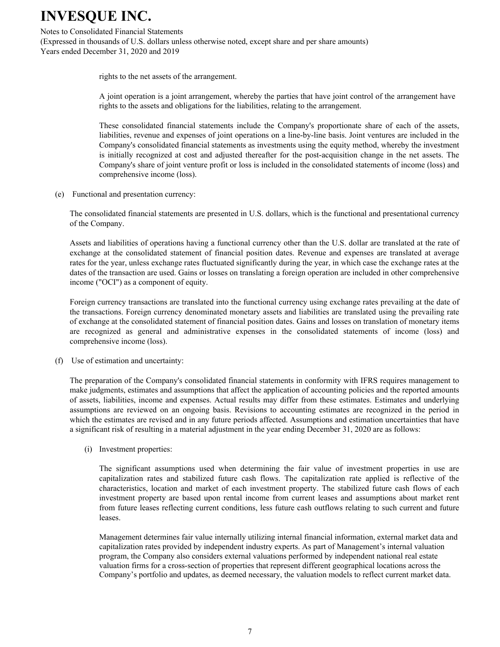#### Notes to Consolidated Financial Statements

(Expressed in thousands of U.S. dollars unless otherwise noted, except share and per share amounts) Years ended December 31, 2020 and 2019

rights to the net assets of the arrangement.

A joint operation is a joint arrangement, whereby the parties that have joint control of the arrangement have rights to the assets and obligations for the liabilities, relating to the arrangement.

These consolidated financial statements include the Company's proportionate share of each of the assets, liabilities, revenue and expenses of joint operations on a line-by-line basis. Joint ventures are included in the Company's consolidated financial statements as investments using the equity method, whereby the investment is initially recognized at cost and adjusted thereafter for the post-acquisition change in the net assets. The Company's share of joint venture profit or loss is included in the consolidated statements of income (loss) and comprehensive income (loss).

(e) Functional and presentation currency:

The consolidated financial statements are presented in U.S. dollars, which is the functional and presentational currency of the Company.

Assets and liabilities of operations having a functional currency other than the U.S. dollar are translated at the rate of exchange at the consolidated statement of financial position dates. Revenue and expenses are translated at average rates for the year, unless exchange rates fluctuated significantly during the year, in which case the exchange rates at the dates of the transaction are used. Gains or losses on translating a foreign operation are included in other comprehensive income ("OCI") as a component of equity.

Foreign currency transactions are translated into the functional currency using exchange rates prevailing at the date of the transactions. Foreign currency denominated monetary assets and liabilities are translated using the prevailing rate of exchange at the consolidated statement of financial position dates. Gains and losses on translation of monetary items are recognized as general and administrative expenses in the consolidated statements of income (loss) and comprehensive income (loss).

(f) Use of estimation and uncertainty:

The preparation of the Company's consolidated financial statements in conformity with IFRS requires management to make judgments, estimates and assumptions that affect the application of accounting policies and the reported amounts of assets, liabilities, income and expenses. Actual results may differ from these estimates. Estimates and underlying assumptions are reviewed on an ongoing basis. Revisions to accounting estimates are recognized in the period in which the estimates are revised and in any future periods affected. Assumptions and estimation uncertainties that have a significant risk of resulting in a material adjustment in the year ending December 31, 2020 are as follows:

(i) Investment properties:

The significant assumptions used when determining the fair value of investment properties in use are capitalization rates and stabilized future cash flows. The capitalization rate applied is reflective of the characteristics, location and market of each investment property. The stabilized future cash flows of each investment property are based upon rental income from current leases and assumptions about market rent from future leases reflecting current conditions, less future cash outflows relating to such current and future leases.

Management determines fair value internally utilizing internal financial information, external market data and capitalization rates provided by independent industry experts. As part of Management's internal valuation program, the Company also considers external valuations performed by independent national real estate valuation firms for a cross-section of properties that represent different geographical locations across the Company's portfolio and updates, as deemed necessary, the valuation models to reflect current market data.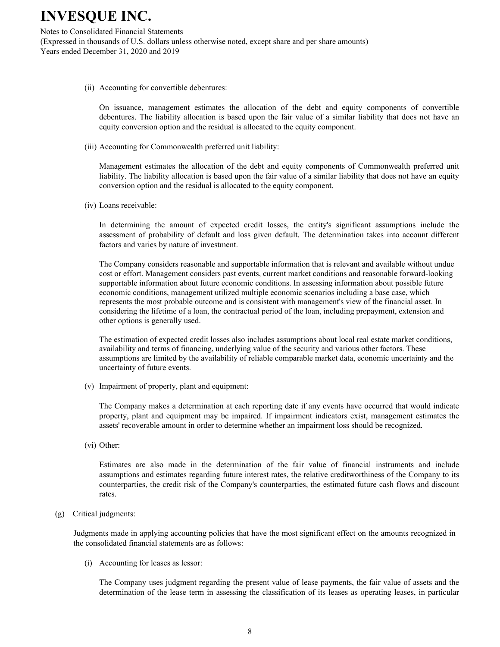Notes to Consolidated Financial Statements (Expressed in thousands of U.S. dollars unless otherwise noted, except share and per share amounts) Years ended December 31, 2020 and 2019

(ii) Accounting for convertible debentures:

On issuance, management estimates the allocation of the debt and equity components of convertible debentures. The liability allocation is based upon the fair value of a similar liability that does not have an equity conversion option and the residual is allocated to the equity component.

(iii) Accounting for Commonwealth preferred unit liability:

Management estimates the allocation of the debt and equity components of Commonwealth preferred unit liability. The liability allocation is based upon the fair value of a similar liability that does not have an equity conversion option and the residual is allocated to the equity component.

(iv) Loans receivable:

In determining the amount of expected credit losses, the entity's significant assumptions include the assessment of probability of default and loss given default. The determination takes into account different factors and varies by nature of investment.

The Company considers reasonable and supportable information that is relevant and available without undue cost or effort. Management considers past events, current market conditions and reasonable forward-looking supportable information about future economic conditions. In assessing information about possible future economic conditions, management utilized multiple economic scenarios including a base case, which represents the most probable outcome and is consistent with management's view of the financial asset. In considering the lifetime of a loan, the contractual period of the loan, including prepayment, extension and other options is generally used.

The estimation of expected credit losses also includes assumptions about local real estate market conditions, availability and terms of financing, underlying value of the security and various other factors. These assumptions are limited by the availability of reliable comparable market data, economic uncertainty and the uncertainty of future events.

(v) Impairment of property, plant and equipment:

The Company makes a determination at each reporting date if any events have occurred that would indicate property, plant and equipment may be impaired. If impairment indicators exist, management estimates the assets' recoverable amount in order to determine whether an impairment loss should be recognized.

(vi) Other:

Estimates are also made in the determination of the fair value of financial instruments and include assumptions and estimates regarding future interest rates, the relative creditworthiness of the Company to its counterparties, the credit risk of the Company's counterparties, the estimated future cash flows and discount rates.

(g) Critical judgments:

Judgments made in applying accounting policies that have the most significant effect on the amounts recognized in the consolidated financial statements are as follows:

(i) Accounting for leases as lessor:

The Company uses judgment regarding the present value of lease payments, the fair value of assets and the determination of the lease term in assessing the classification of its leases as operating leases, in particular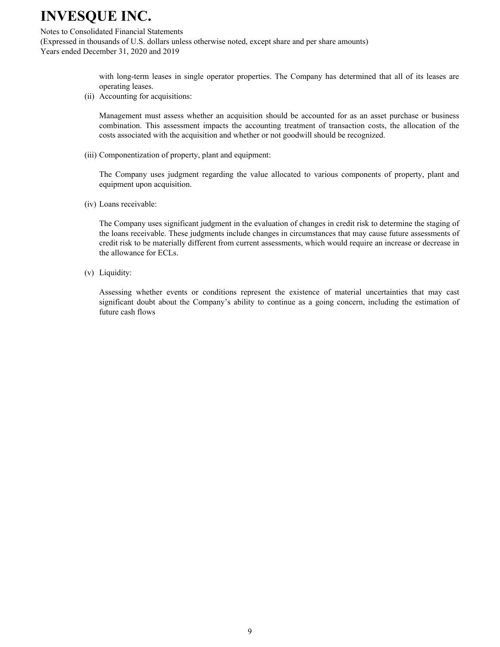Notes to Consolidated Financial Statements

(Expressed in thousands of U.S. dollars unless otherwise noted, except share and per share amounts) Years ended December 31, 2020 and 2019

> with long-term leases in single operator properties. The Company has determined that all of its leases are operating leases.

(ii) Accounting for acquisitions:

Management must assess whether an acquisition should be accounted for as an asset purchase or business combination. This assessment impacts the accounting treatment of transaction costs, the allocation of the costs associated with the acquisition and whether or not goodwill should be recognized.

(iii) Componentization of property, plant and equipment:

The Company uses judgment regarding the value allocated to various components of property, plant and equipment upon acquisition.

(iv) Loans receivable:

The Company uses significant judgment in the evaluation of changes in credit risk to determine the staging of the loans receivable. These judgments include changes in circumstances that may cause future assessments of credit risk to be materially different from current assessments, which would require an increase or decrease in the allowance for ECLs.

 $(v)$  Liquidity:

Assessing whether events or conditions represent the existence of material uncertainties that may cast significant doubt about the Company's ability to continue as a going concern, including the estimation of future cash flows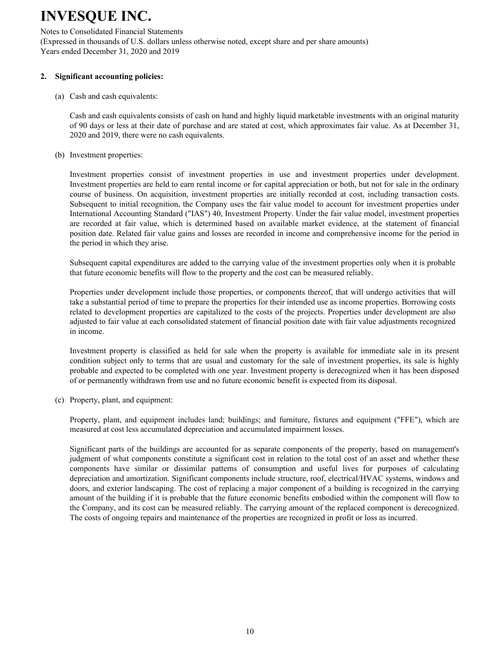Notes to Consolidated Financial Statements (Expressed in thousands of U.S. dollars unless otherwise noted, except share and per share amounts) Years ended December 31, 2020 and 2019

#### 2. Significant accounting policies:

 $(a)$  Cash and cash equivalents:

Cash and cash equivalents consists of cash on hand and highly liquid marketable investments with an original maturity of 90 days or less at their date of purchase and are stated at cost, which approximates fair value. As at December 31, 2020 and 2019, there were no cash equivalents.

(b) Investment properties:

Investment properties consist of investment properties in use and investment properties under development. Investment properties are held to earn rental income or for capital appreciation or both, but not for sale in the ordinary course of business. On acquisition, investment properties are initially recorded at cost, including transaction costs. Subsequent to initial recognition, the Company uses the fair value model to account for investment properties under International Accounting Standard ("IAS") 40, Investment Property. Under the fair value model, investment properties are recorded at fair value, which is determined based on available market evidence, at the statement of financial position date. Related fair value gains and losses are recorded in income and comprehensive income for the period in the period in which they arise.

Subsequent capital expenditures are added to the carrying value of the investment properties only when it is probable that future economic benefits will flow to the property and the cost can be measured reliably.

Properties under development include those properties, or components thereof, that will undergo activities that will take a substantial period of time to prepare the properties for their intended use as income properties. Borrowing costs related to development properties are capitalized to the costs of the projects. Properties under development are also adjusted to fair value at each consolidated statement of financial position date with fair value adjustments recognized in income.

Investment property is classified as held for sale when the property is available for immediate sale in its present condition subject only to terms that are usual and customary for the sale of investment properties, its sale is highly probable and expected to be completed with one year. Investment property is derecognized when it has been disposed of or permanently withdrawn from use and no future economic benefit is expected from its disposal.

(c) Property, plant, and equipment:

Property, plant, and equipment includes land; buildings; and furniture, fixtures and equipment ("FFE"), which are measured at cost less accumulated depreciation and accumulated impairment losses.

Significant parts of the buildings are accounted for as separate components of the property, based on management's judgment of what components constitute a significant cost in relation to the total cost of an asset and whether these components have similar or dissimilar patterns of consumption and useful lives for purposes of calculating depreciation and amortization. Significant components include structure, roof, electrical/HVAC systems, windows and doors, and exterior landscaping. The cost of replacing a major component of a building is recognized in the carrying amount of the building if it is probable that the future economic benefits embodied within the component will flow to the Company, and its cost can be measured reliably. The carrying amount of the replaced component is derecognized. The costs of ongoing repairs and maintenance of the properties are recognized in profit or loss as incurred.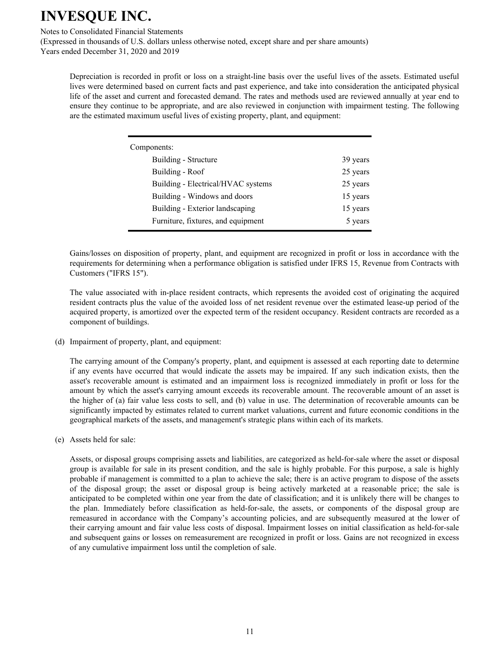Notes to Consolidated Financial Statements

(Expressed in thousands of U.S. dollars unless otherwise noted, except share and per share amounts) Years ended December 31, 2020 and 2019

Depreciation is recorded in profit or loss on a straight-line basis over the useful lives of the assets. Estimated useful lives were determined based on current facts and past experience, and take into consideration the anticipated physical life of the asset and current and forecasted demand. The rates and methods used are reviewed annually at year end to ensure they continue to be appropriate, and are also reviewed in conjunction with impairment testing. The following are the estimated maximum useful lives of existing property, plant, and equipment:

| Components:                        |          |
|------------------------------------|----------|
| Building - Structure               | 39 years |
| Building - Roof                    | 25 years |
| Building - Electrical/HVAC systems | 25 years |
| Building - Windows and doors       | 15 years |
| Building - Exterior landscaping    | 15 years |
| Furniture, fixtures, and equipment | 5 years  |

Gains/losses on disposition of property, plant, and equipment are recognized in profit or loss in accordance with the requirements for determining when a performance obligation is satisfied under IFRS 15, Revenue from Contracts with Customers ("IFRS 15").

The value associated with in-place resident contracts, which represents the avoided cost of originating the acquired resident contracts plus the value of the avoided loss of net resident revenue over the estimated lease-up period of the acquired property, is amortized over the expected term of the resident occupancy. Resident contracts are recorded as a component of buildings.

(d) Impairment of property, plant, and equipment:

The carrying amount of the Company's property, plant, and equipment is assessed at each reporting date to determine if any events have occurred that would indicate the assets may be impaired. If any such indication exists, then the asset's recoverable amount is estimated and an impairment loss is recognized immediately in profit or loss for the amount by which the asset's carrying amount exceeds its recoverable amount. The recoverable amount of an asset is the higher of (a) fair value less costs to sell, and (b) value in use. The determination of recoverable amounts can be significantly impacted by estimates related to current market valuations, current and future economic conditions in the geographical markets of the assets, and management's strategic plans within each of its markets.

(e) Assets held for sale:

Assets, or disposal groups comprising assets and liabilities, are categorized as held-for-sale where the asset or disposal group is available for sale in its present condition, and the sale is highly probable. For this purpose, a sale is highly probable if management is committed to a plan to achieve the sale; there is an active program to dispose of the assets of the disposal group; the asset or disposal group is being actively marketed at a reasonable price; the sale is anticipated to be completed within one year from the date of classification; and it is unlikely there will be changes to the plan. Immediately before classification as held-for-sale, the assets, or components of the disposal group are remeasured in accordance with the Company's accounting policies, and are subsequently measured at the lower of their carrying amount and fair value less costs of disposal. Impairment losses on initial classification as held-for-sale and subsequent gains or losses on remeasurement are recognized in profit or loss. Gains are not recognized in excess of any cumulative impairment loss until the completion of sale.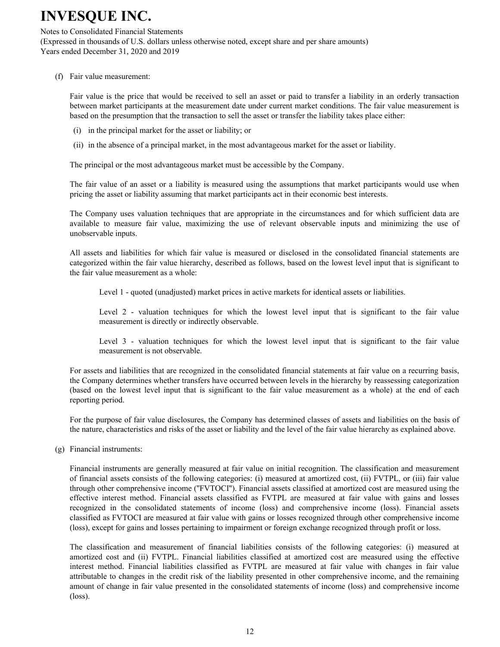#### Notes to Consolidated Financial Statements

(Expressed in thousands of U.S. dollars unless otherwise noted, except share and per share amounts) Years ended December 31, 2020 and 2019

(f) Fair value measurement:

Fair value is the price that would be received to sell an asset or paid to transfer a liability in an orderly transaction between market participants at the measurement date under current market conditions. The fair value measurement is based on the presumption that the transaction to sell the asset or transfer the liability takes place either:

- (i) in the principal market for the asset or liability; or
- (ii) in the absence of a principal market, in the most advantageous market for the asset or liability.

The principal or the most advantageous market must be accessible by the Company.

The fair value of an asset or a liability is measured using the assumptions that market participants would use when pricing the asset or liability assuming that market participants act in their economic best interests.

The Company uses valuation techniques that are appropriate in the circumstances and for which sufficient data are available to measure fair value, maximizing the use of relevant observable inputs and minimizing the use of unobservable inputs.

All assets and liabilities for which fair value is measured or disclosed in the consolidated financial statements are categorized within the fair value hierarchy, described as follows, based on the lowest level input that is significant to the fair value measurement as a whole:

Level 1 - quoted (unadjusted) market prices in active markets for identical assets or liabilities.

Level 2 - valuation techniques for which the lowest level input that is significant to the fair value measurement is directly or indirectly observable.

Level  $3$  - valuation techniques for which the lowest level input that is significant to the fair value measurement is not observable.

For assets and liabilities that are recognized in the consolidated financial statements at fair value on a recurring basis, the Company determines whether transfers have occurred between levels in the hierarchy by reassessing categorization (based on the lowest level input that is significant to the fair value measurement as a whole) at the end of each reporting period.

For the purpose of fair value disclosures, the Company has determined classes of assets and liabilities on the basis of the nature, characteristics and risks of the asset or liability and the level of the fair value hierarchy as explained above.

 $(g)$  Financial instruments:

Financial instruments are generally measured at fair value on initial recognition. The classification and measurement of financial assets consists of the following categories: (i) measured at amortized cost, (ii) FVTPL, or (iii) fair value through other comprehensive income ("FVTOCI"). Financial assets classified at amortized cost are measured using the effective interest method. Financial assets classified as FVTPL are measured at fair value with gains and losses recognized in the consolidated statements of income (loss) and comprehensive income (loss). Financial assets classified as FVTOCI are measured at fair value with gains or losses recognized through other comprehensive income (loss), except for gains and losses pertaining to impairment or foreign exchange recognized through profit or loss.

The classification and measurement of financial liabilities consists of the following categories: (i) measured at amortized cost and (ii) FVTPL. Financial liabilities classified at amortized cost are measured using the effective interest method. Financial liabilities classified as FVTPL are measured at fair value with changes in fair value attributable to changes in the credit risk of the liability presented in other comprehensive income, and the remaining amount of change in fair value presented in the consolidated statements of income (loss) and comprehensive income  $(\text{loss})$ .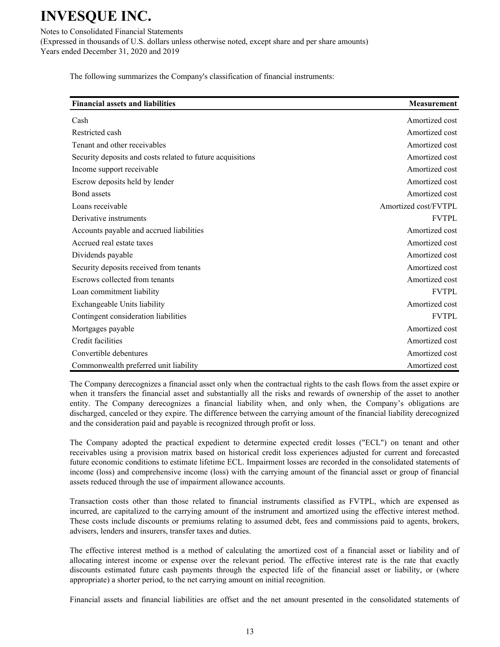Notes to Consolidated Financial Statements (Expressed in thousands of U.S. dollars unless otherwise noted, except share and per share amounts) Years ended December 31, 2020 and 2019

The following summarizes the Company's classification of financial instruments:

| <b>Financial assets and liabilities</b>                    | <b>Measurement</b>   |
|------------------------------------------------------------|----------------------|
| Cash                                                       | Amortized cost       |
| Restricted cash                                            | Amortized cost       |
| Tenant and other receivables                               | Amortized cost       |
| Security deposits and costs related to future acquisitions | Amortized cost       |
| Income support receivable                                  | Amortized cost       |
| Escrow deposits held by lender                             | Amortized cost       |
| Bond assets                                                | Amortized cost       |
| Loans receivable                                           | Amortized cost/FVTPL |
| Derivative instruments                                     | <b>FVTPL</b>         |
| Accounts payable and accrued liabilities                   | Amortized cost       |
| Accrued real estate taxes                                  | Amortized cost       |
| Dividends payable                                          | Amortized cost       |
| Security deposits received from tenants                    | Amortized cost       |
| Escrows collected from tenants                             | Amortized cost       |
| Loan commitment liability                                  | <b>FVTPL</b>         |
| Exchangeable Units liability                               | Amortized cost       |
| Contingent consideration liabilities                       | <b>FVTPL</b>         |
| Mortgages payable                                          | Amortized cost       |
| Credit facilities                                          | Amortized cost       |
| Convertible debentures                                     | Amortized cost       |
| Commonwealth preferred unit liability                      | Amortized cost       |

The Company derecognizes a financial asset only when the contractual rights to the cash flows from the asset expire or when it transfers the financial asset and substantially all the risks and rewards of ownership of the asset to another entity. The Company derecognizes a financial liability when, and only when, the Company's obligations are discharged, canceled or they expire. The difference between the carrying amount of the financial liability derecognized and the consideration paid and payable is recognized through profit or loss.

The Company adopted the practical expedient to determine expected credit losses ("ECL") on tenant and other receivables using a provision matrix based on historical credit loss experiences adjusted for current and forecasted future economic conditions to estimate lifetime ECL. Impairment losses are recorded in the consolidated statements of income (loss) and comprehensive income (loss) with the carrying amount of the financial asset or group of financial assets reduced through the use of impairment allowance accounts.

Transaction costs other than those related to financial instruments classified as FVTPL, which are expensed as incurred, are capitalized to the carrying amount of the instrument and amortized using the effective interest method. These costs include discounts or premiums relating to assumed debt, fees and commissions paid to agents, brokers, advisers, lenders and insurers, transfer taxes and duties.

The effective interest method is a method of calculating the amortized cost of a financial asset or liability and of allocating interest income or expense over the relevant period. The effective interest rate is the rate that exactly discounts estimated future cash payments through the expected life of the financial asset or liability, or (where appropriate) a shorter period, to the net carrying amount on initial recognition.

Financial assets and financial liabilities are offset and the net amount presented in the consolidated statements of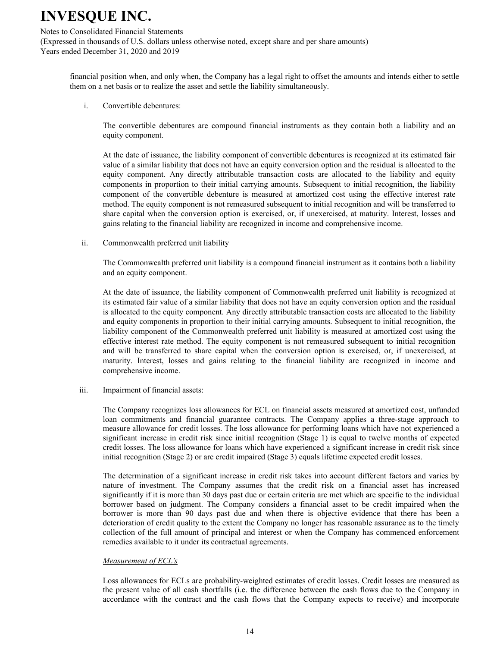#### Notes to Consolidated Financial Statements

(Expressed in thousands of U.S. dollars unless otherwise noted, except share and per share amounts) Years ended December 31, 2020 and 2019

financial position when, and only when, the Company has a legal right to offset the amounts and intends either to settle them on a net basis or to realize the asset and settle the liability simultaneously.

 $\mathbf{i}$ Convertible debentures:

> The convertible debentures are compound financial instruments as they contain both a liability and an equity component.

> At the date of issuance, the liability component of convertible debentures is recognized at its estimated fair value of a similar liability that does not have an equity conversion option and the residual is allocated to the equity component. Any directly attributable transaction costs are allocated to the liability and equity components in proportion to their initial carrying amounts. Subsequent to initial recognition, the liability component of the convertible debenture is measured at amortized cost using the effective interest rate method. The equity component is not remeasured subsequent to initial recognition and will be transferred to share capital when the conversion option is exercised, or, if unexercised, at maturity. Interest, losses and gains relating to the financial liability are recognized in income and comprehensive income.

 $\ddot{\mathbf{11}}$ . Commonwealth preferred unit liability

> The Commonwealth preferred unit liability is a compound financial instrument as it contains both a liability and an equity component.

> At the date of issuance, the liability component of Commonwealth preferred unit liability is recognized at its estimated fair value of a similar liability that does not have an equity conversion option and the residual is allocated to the equity component. Any directly attributable transaction costs are allocated to the liability and equity components in proportion to their initial carrying amounts. Subsequent to initial recognition, the liability component of the Commonwealth preferred unit liability is measured at amortized cost using the effective interest rate method. The equity component is not remeasured subsequent to initial recognition and will be transferred to share capital when the conversion option is exercised, or, if unexercised, at maturity. Interest, losses and gains relating to the financial liability are recognized in income and comprehensive income.

iii. Impairment of financial assets:

> The Company recognizes loss allowances for ECL on financial assets measured at amortized cost, unfunded loan commitments and financial guarantee contracts. The Company applies a three-stage approach to measure allowance for credit losses. The loss allowance for performing loans which have not experienced a significant increase in credit risk since initial recognition (Stage 1) is equal to twelve months of expected credit losses. The loss allowance for loans which have experienced a significant increase in credit risk since initial recognition (Stage 2) or are credit impaired (Stage 3) equals lifetime expected credit losses.

> The determination of a significant increase in credit risk takes into account different factors and varies by nature of investment. The Company assumes that the credit risk on a financial asset has increased significantly if it is more than 30 days past due or certain criteria are met which are specific to the individual borrower based on judgment. The Company considers a financial asset to be credit impaired when the borrower is more than 90 days past due and when there is objective evidence that there has been a deterioration of credit quality to the extent the Company no longer has reasonable assurance as to the timely collection of the full amount of principal and interest or when the Company has commenced enforcement remedies available to it under its contractual agreements.

### *Measurement of ECL's*

Loss allowances for ECLs are probability-weighted estimates of credit losses. Credit losses are measured as the present value of all cash shortfalls (i.e. the difference between the cash flows due to the Company in accordance with the contract and the cash flows that the Company expects to receive) and incorporate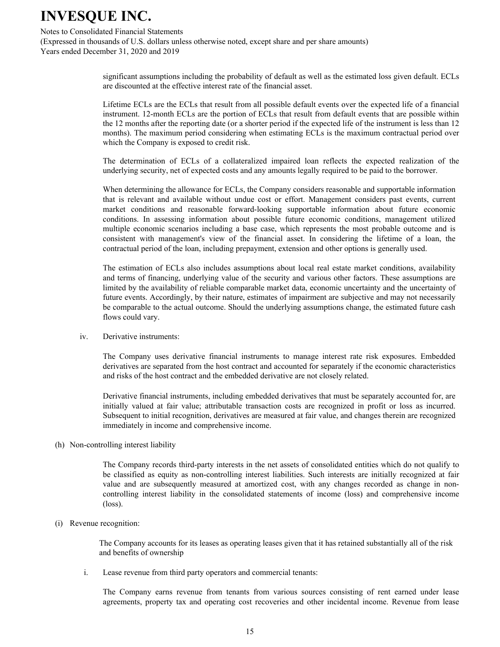Notes to Consolidated Financial Statements

(Expressed in thousands of U.S. dollars unless otherwise noted, except share and per share amounts) Years ended December 31, 2020 and 2019

> significant assumptions including the probability of default as well as the estimated loss given default. ECLs are discounted at the effective interest rate of the financial asset.

> Lifetime ECLs are the ECLs that result from all possible default events over the expected life of a financial instrument. 12-month ECLs are the portion of ECLs that result from default events that are possible within the 12 months after the reporting date (or a shorter period if the expected life of the instrument is less than 12 months). The maximum period considering when estimating ECLs is the maximum contractual period over which the Company is exposed to credit risk.

> The determination of ECLs of a collateralized impaired loan reflects the expected realization of the underlying security, net of expected costs and any amounts legally required to be paid to the borrower.

> When determining the allowance for ECLs, the Company considers reasonable and supportable information that is relevant and available without undue cost or effort. Management considers past events, current market conditions and reasonable forward-looking supportable information about future economic conditions. In assessing information about possible future economic conditions, management utilized multiple economic scenarios including a base case, which represents the most probable outcome and is consistent with management's view of the financial asset. In considering the lifetime of a loan, the contractual period of the loan, including prepayment, extension and other options is generally used.

> The estimation of ECLs also includes assumptions about local real estate market conditions, availability and terms of financing, underlying value of the security and various other factors. These assumptions are limited by the availability of reliable comparable market data, economic uncertainty and the uncertainty of future events. Accordingly, by their nature, estimates of impairment are subjective and may not necessarily be comparable to the actual outcome. Should the underlying assumptions change, the estimated future cash flows could vary.

iv. Derivative instruments:

> The Company uses derivative financial instruments to manage interest rate risk exposures. Embedded derivatives are separated from the host contract and accounted for separately if the economic characteristics and risks of the host contract and the embedded derivative are not closely related.

> Derivative financial instruments, including embedded derivatives that must be separately accounted for, are initially valued at fair value; attributable transaction costs are recognized in profit or loss as incurred. Subsequent to initial recognition, derivatives are measured at fair value, and changes therein are recognized immediately in income and comprehensive income.

(h) Non-controlling interest liability

The Company records third-party interests in the net assets of consolidated entities which do not qualify to be classified as equity as non-controlling interest liabilities. Such interests are initially recognized at fair value and are subsequently measured at amortized cost, with any changes recorded as change in noncontrolling interest liability in the consolidated statements of income (loss) and comprehensive income  $(\text{loss})$ .

 $(i)$  Revenue recognition:

The Company accounts for its leases as operating leases given that it has retained substantially all of the risk and benefits of ownership

 $i$ . Lease revenue from third party operators and commercial tenants:

The Company earns revenue from tenants from various sources consisting of rent earned under lease agreements, property tax and operating cost recoveries and other incidental income. Revenue from lease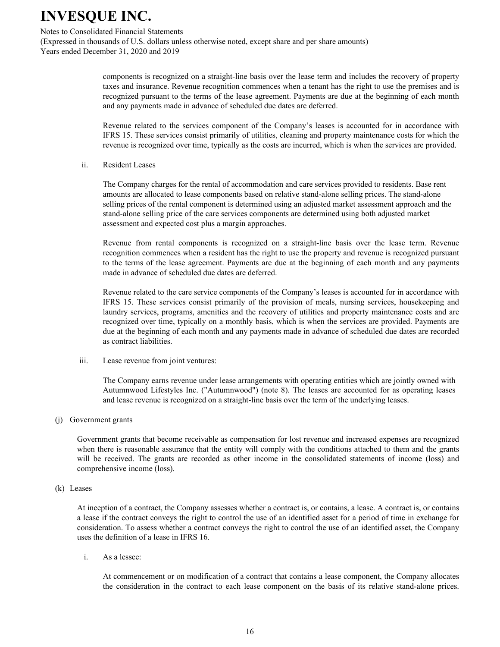#### Notes to Consolidated Financial Statements

(Expressed in thousands of U.S. dollars unless otherwise noted, except share and per share amounts) Years ended December 31, 2020 and 2019

> components is recognized on a straight-line basis over the lease term and includes the recovery of property taxes and insurance. Revenue recognition commences when a tenant has the right to use the premises and is recognized pursuant to the terms of the lease agreement. Payments are due at the beginning of each month and any payments made in advance of scheduled due dates are deferred.

> Revenue related to the services component of the Company's leases is accounted for in accordance with IFRS 15. These services consist primarily of utilities, cleaning and property maintenance costs for which the revenue is recognized over time, typically as the costs are incurred, which is when the services are provided.

 $\ddot{1}$ Resident Leases

> The Company charges for the rental of accommodation and care services provided to residents. Base rent amounts are allocated to lease components based on relative stand-alone selling prices. The stand-alone selling prices of the rental component is determined using an adjusted market assessment approach and the stand-alone selling price of the care services components are determined using both adjusted market assessment and expected cost plus a margin approaches.

Revenue from rental components is recognized on a straight-line basis over the lease term. Revenue recognition commences when a resident has the right to use the property and revenue is recognized pursuant to the terms of the lease agreement. Payments are due at the beginning of each month and any payments made in advance of scheduled due dates are deferred.

Revenue related to the care service components of the Company's leases is accounted for in accordance with IFRS 15. These services consist primarily of the provision of meals, nursing services, housekeeping and laundry services, programs, amenities and the recovery of utilities and property maintenance costs and are recognized over time, typically on a monthly basis, which is when the services are provided. Payments are due at the beginning of each month and any payments made in advance of scheduled due dates are recorded as contract liabilities.

#### iii. Lease revenue from joint ventures:

The Company earns revenue under lease arrangements with operating entities which are jointly owned with Autumnwood Lifestyles Inc. ("Autumnwood") (note 8). The leases are accounted for as operating leases and lease revenue is recognized on a straight-line basis over the term of the underlying leases.

#### (i) Government grants

Government grants that become receivable as compensation for lost revenue and increased expenses are recognized when there is reasonable assurance that the entity will comply with the conditions attached to them and the grants will be received. The grants are recorded as other income in the consolidated statements of income (loss) and comprehensive income (loss).

#### $(k)$  Leases

At inception of a contract, the Company assesses whether a contract is, or contains, a lease. A contract is, or contains a lease if the contract conveys the right to control the use of an identified asset for a period of time in exchange for consideration. To assess whether a contract conveys the right to control the use of an identified asset, the Company uses the definition of a lease in IFRS 16.

 $\mathbf{i}$ . As a lessee:

> At commencement or on modification of a contract that contains a lease component, the Company allocates the consideration in the contract to each lease component on the basis of its relative stand-alone prices.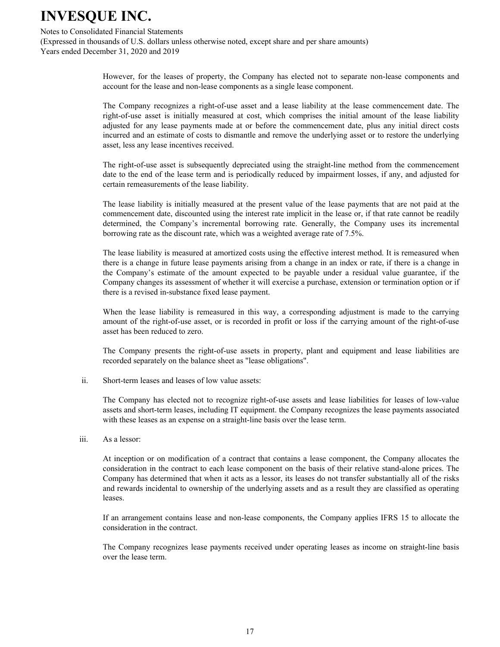Notes to Consolidated Financial Statements

(Expressed in thousands of U.S. dollars unless otherwise noted, except share and per share amounts) Years ended December 31, 2020 and 2019

> However, for the leases of property, the Company has elected not to separate non-lease components and account for the lease and non-lease components as a single lease component.

> The Company recognizes a right-of-use asset and a lease liability at the lease commencement date. The right-of-use asset is initially measured at cost, which comprises the initial amount of the lease liability adjusted for any lease payments made at or before the commencement date, plus any initial direct costs incurred and an estimate of costs to dismantle and remove the underlying asset or to restore the underlying asset, less any lease incentives received.

> The right-of-use asset is subsequently depreciated using the straight-line method from the commencement date to the end of the lease term and is periodically reduced by impairment losses, if any, and adjusted for certain remeasurements of the lease liability.

> The lease liability is initially measured at the present value of the lease payments that are not paid at the commencement date, discounted using the interest rate implicit in the lease or, if that rate cannot be readily determined, the Company's incremental borrowing rate. Generally, the Company uses its incremental borrowing rate as the discount rate, which was a weighted average rate of 7.5%.

> The lease liability is measured at amortized costs using the effective interest method. It is remeasured when there is a change in future lease payments arising from a change in an index or rate, if there is a change in the Company's estimate of the amount expected to be payable under a residual value guarantee, if the Company changes its assessment of whether it will exercise a purchase, extension or termination option or if there is a revised in-substance fixed lease payment.

> When the lease liability is remeasured in this way, a corresponding adjustment is made to the carrying amount of the right-of-use asset, or is recorded in profit or loss if the carrying amount of the right-of-use asset has been reduced to zero.

> The Company presents the right-of-use assets in property, plant and equipment and lease liabilities are recorded separately on the balance sheet as "lease obligations".

 $\ddot{1}$ Short-term leases and leases of low value assets:

> The Company has elected not to recognize right-of-use assets and lease liabilities for leases of low-value assets and short-term leases, including IT equipment. the Company recognizes the lease payments associated with these leases as an expense on a straight-line basis over the lease term.

iii. As a lessor:

> At inception or on modification of a contract that contains a lease component, the Company allocates the consideration in the contract to each lease component on the basis of their relative stand-alone prices. The Company has determined that when it acts as a lessor, its leases do not transfer substantially all of the risks and rewards incidental to ownership of the underlying assets and as a result they are classified as operating leases.

> If an arrangement contains lease and non-lease components, the Company applies IFRS 15 to allocate the consideration in the contract.

> The Company recognizes lease payments received under operating leases as income on straight-line basis over the lease term.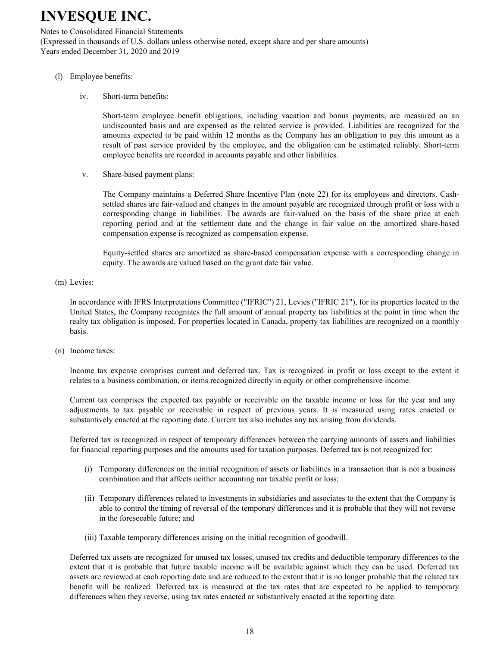Notes to Consolidated Financial Statements (Expressed in thousands of U.S. dollars unless otherwise noted, except share and per share amounts) Years ended December 31, 2020 and 2019

- (l) Employee benefits:
	- $iv.$ Short-term benefits:

Short-term employee benefit obligations, including vacation and bonus payments, are measured on an undiscounted basis and are expensed as the related service is provided. Liabilities are recognized for the amounts expected to be paid within 12 months as the Company has an obligation to pay this amount as a result of past service provided by the employee, and the obligation can be estimated reliably. Short-term employee benefits are recorded in accounts payable and other liabilities.

 $\mathbf{V}$ Share-based payment plans:

> The Company maintains a Deferred Share Incentive Plan (note 22) for its employees and directors. Cashsettled shares are fair-valued and changes in the amount payable are recognized through profit or loss with a corresponding change in liabilities. The awards are fair-valued on the basis of the share price at each reporting period and at the settlement date and the change in fair value on the amortized share-based compensation expense is recognized as compensation expense.

> Equity-settled shares are amortized as share-based compensation expense with a corresponding change in equity. The awards are valued based on the grant date fair value.

(m) Levies:

In accordance with IFRS Interpretations Committee ("IFRIC") 21, Levies ("IFRIC 21"), for its properties located in the United States, the Company recognizes the full amount of annual property tax liabilities at the point in time when the realty tax obligation is imposed. For properties located in Canada, property tax liabilities are recognized on a monthly basis.

(n) Income taxes:

Income tax expense comprises current and deferred tax. Tax is recognized in profit or loss except to the extent it relates to a business combination, or items recognized directly in equity or other comprehensive income.

Current tax comprises the expected tax payable or receivable on the taxable income or loss for the year and any adjustments to tax payable or receivable in respect of previous years. It is measured using rates enacted or substantively enacted at the reporting date. Current tax also includes any tax arising from dividends.

Deferred tax is recognized in respect of temporary differences between the carrying amounts of assets and liabilities for financial reporting purposes and the amounts used for taxation purposes. Deferred tax is not recognized for:

- (i) Temporary differences on the initial recognition of assets or liabilities in a transaction that is not a business combination and that affects neither accounting nor taxable profit or loss;
- (ii) Temporary differences related to investments in subsidiaries and associates to the extent that the Company is able to control the timing of reversal of the temporary differences and it is probable that they will not reverse in the foreseeable future: and
- (iii) Taxable temporary differences arising on the initial recognition of goodwill.

Deferred tax assets are recognized for unused tax losses, unused tax credits and deductible temporary differences to the extent that it is probable that future taxable income will be available against which they can be used. Deferred tax assets are reviewed at each reporting date and are reduced to the extent that it is no longer probable that the related tax benefit will be realized. Deferred tax is measured at the tax rates that are expected to be applied to temporary differences when they reverse, using tax rates enacted or substantively enacted at the reporting date.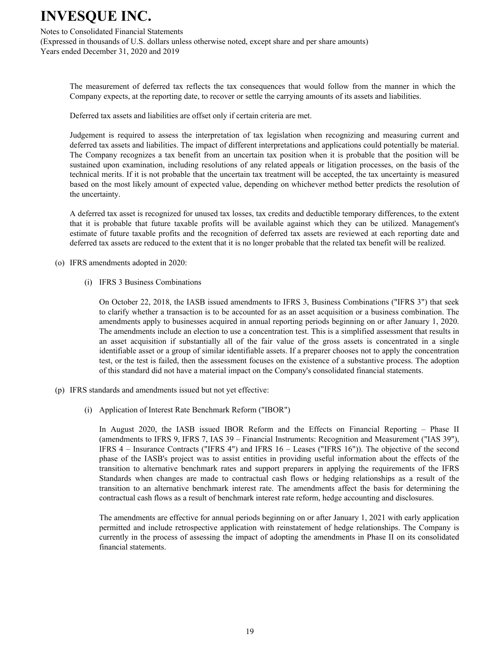#### Notes to Consolidated Financial Statements

(Expressed in thousands of U.S. dollars unless otherwise noted, except share and per share amounts) Years ended December 31, 2020 and 2019

The measurement of deferred tax reflects the tax consequences that would follow from the manner in which the Company expects, at the reporting date, to recover or settle the carrying amounts of its assets and liabilities.

Deferred tax assets and liabilities are offset only if certain criteria are met.

Judgement is required to assess the interpretation of tax legislation when recognizing and measuring current and deferred tax assets and liabilities. The impact of different interpretations and applications could potentially be material. The Company recognizes a tax benefit from an uncertain tax position when it is probable that the position will be sustained upon examination, including resolutions of any related appeals or litigation processes, on the basis of the technical merits. If it is not probable that the uncertain tax treatment will be accepted, the tax uncertainty is measured based on the most likely amount of expected value, depending on whichever method better predicts the resolution of the uncertainty.

A deferred tax asset is recognized for unused tax losses, tax credits and deductible temporary differences, to the extent that it is probable that future taxable profits will be available against which they can be utilized. Management's estimate of future taxable profits and the recognition of deferred tax assets are reviewed at each reporting date and deferred tax assets are reduced to the extent that it is no longer probable that the related tax benefit will be realized.

- (o) IFRS amendments adopted in 2020:
	- (i) IFRS 3 Business Combinations

On October 22, 2018, the IASB issued amendments to IFRS 3, Business Combinations ("IFRS 3") that seek to clarify whether a transaction is to be accounted for as an asset acquisition or a business combination. The amendments apply to businesses acquired in annual reporting periods beginning on or after January 1, 2020. The amendments include an election to use a concentration test. This is a simplified assessment that results in an asset acquisition if substantially all of the fair value of the gross assets is concentrated in a single identifiable asset or a group of similar identifiable assets. If a preparer chooses not to apply the concentration test, or the test is failed, then the assessment focuses on the existence of a substantive process. The adoption of this standard did not have a material impact on the Company's consolidated financial statements.

- (p) IFRS standards and amendments issued but not yet effective:
	- (i) Application of Interest Rate Benchmark Reform ("IBOR")

In August 2020, the IASB issued IBOR Reform and the Effects on Financial Reporting – Phase II (amendments to IFRS 9, IFRS 7, IAS 39 – Financial Instruments: Recognition and Measurement ("IAS 39"), IFRS  $4$  – Insurance Contracts ("IFRS  $4$ ") and IFRS  $16$  – Leases ("IFRS  $16$ ")). The objective of the second phase of the IASB's project was to assist entities in providing useful information about the effects of the transition to alternative benchmark rates and support preparers in applying the requirements of the IFRS Standards when changes are made to contractual cash flows or hedging relationships as a result of the transition to an alternative benchmark interest rate. The amendments affect the basis for determining the contractual cash flows as a result of benchmark interest rate reform, hedge accounting and disclosures.

The amendments are effective for annual periods beginning on or after January 1, 2021 with early application permitted and include retrospective application with reinstatement of hedge relationships. The Company is currently in the process of assessing the impact of adopting the amendments in Phase II on its consolidated financial statements.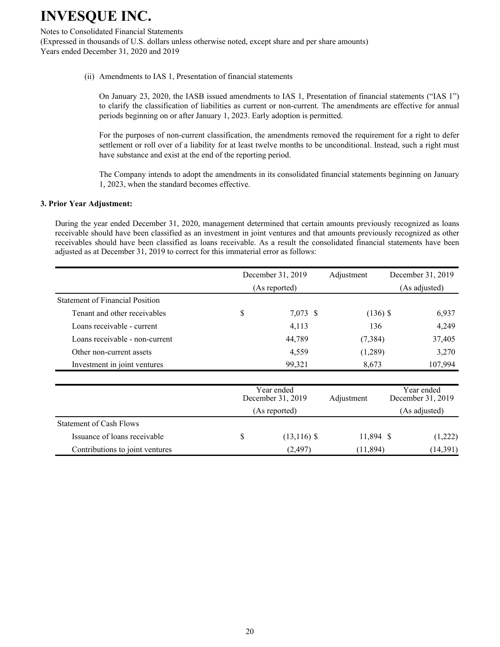Notes to Consolidated Financial Statements

(Expressed in thousands of U.S. dollars unless otherwise noted, except share and per share amounts) Years ended December 31, 2020 and 2019

(ii) Amendments to IAS 1, Presentation of financial statements

On January 23, 2020, the IASB issued amendments to IAS 1, Presentation of financial statements ("IAS 1") to clarify the classification of liabilities as current or non-current. The amendments are effective for annual periods beginning on or after January 1, 2023. Early adoption is permitted.

For the purposes of non-current classification, the amendments removed the requirement for a right to defer settlement or roll over of a liability for at least twelve months to be unconditional. Instead, such a right must have substance and exist at the end of the reporting period.

The Company intends to adopt the amendments in its consolidated financial statements beginning on January 1, 2023, when the standard becomes effective.

### **3. Prior Year Adjustment:**

During the year ended December 31, 2020, management determined that certain amounts previously recognized as loans receivable should have been classified as an investment in joint ventures and that amounts previously recognized as other receivables should have been classified as loans receivable. As a result the consolidated financial statements have been adjusted as at December 31, 2019 to correct for this immaterial error as follows:

|                                        | December 31, 2019               | Adjustment | December 31, 2019               |
|----------------------------------------|---------------------------------|------------|---------------------------------|
|                                        | (As reported)                   |            | (As adjusted)                   |
| <b>Statement of Financial Position</b> |                                 |            |                                 |
| Tenant and other receivables           | \$<br>7,073 \$                  | $(136)$ \$ | 6,937                           |
| Loans receivable - current             | 4,113                           | 136        | 4,249                           |
| Loans receivable - non-current         | 44,789                          | (7, 384)   | 37,405                          |
| Other non-current assets               | 4,559                           | (1,289)    | 3,270                           |
| Investment in joint ventures           | 99,321                          | 8,673      | 107,994                         |
|                                        | Year ended<br>December 31, 2019 |            | Year ended<br>December 31, 2019 |
|                                        | (As reported)                   |            | (As adjusted)                   |
| <b>Statement of Cash Flows</b>         |                                 |            |                                 |
| Issuance of loans receivable           | \$<br>$(13, 116)$ \$            | 11,894 \$  | (1,222)                         |
| Contributions to joint ventures        | (2, 497)                        | (11, 894)  | (14, 391)                       |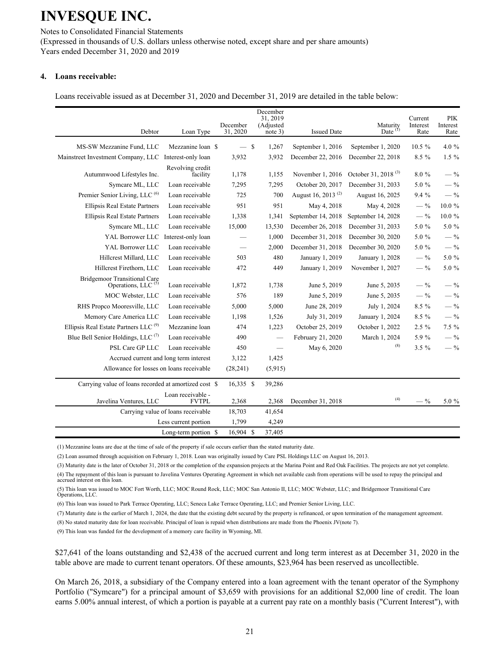Notes to Consolidated Financial Statements (Expressed in thousands of U.S. dollars unless otherwise noted, except share and per share amounts) Years ended December 31, 2020 and 2019

#### 4. Loans receivable:

Loans receivable issued as at December 31, 2020 and December 31, 2019 are detailed in the table below:

| Debtor                                                       | Loan Type                          | December<br>31, 2020 | December<br>31.2019<br>(Adjusted<br>note 3) | <b>Issued Date</b>             | Maturity<br>Date $(1)$          | Current<br>Interest<br>Rate | PIK<br>Interest<br>Rate |
|--------------------------------------------------------------|------------------------------------|----------------------|---------------------------------------------|--------------------------------|---------------------------------|-----------------------------|-------------------------|
| MS-SW Mezzanine Fund, LLC                                    | Mezzanine loan \$                  | $-$ \$               | 1,267                                       | September 1, 2016              | September 1, 2020               | $10.5 \%$                   | 4.0 %                   |
| Mainstreet Investment Company, LLC                           | Interest-only loan                 | 3,932                | 3,932                                       | December 22, 2016              | December 22, 2018               | 8.5 %                       | $1.5\%$                 |
| Autumnwood Lifestyles Inc.                                   | Revolving credit<br>facility       | 1,178                | 1,155                                       | November 1, 2016               | October 31, 2018 <sup>(3)</sup> | $8.0 \%$                    | $-$ %                   |
| Symcare ML, LLC                                              | Loan receivable                    | 7,295                | 7,295                                       | October 20, 2017               | December 31, 2033               | 5.0 %                       | $-$ %                   |
| Premier Senior Living, LLC <sup>(6)</sup>                    | Loan receivable                    | 725                  | 700                                         | August 16, 2013 <sup>(2)</sup> | August 16, 2025                 | 9.4 %                       | $-$ %                   |
| Ellipsis Real Estate Partners                                | Loan receivable                    | 951                  | 951                                         | May 4, 2018                    | May 4, 2028                     | $-$ %                       | 10.0%                   |
| Ellipsis Real Estate Partners                                | Loan receivable                    | 1,338                | 1,341                                       | September 14, 2018             | September 14, 2028              | $-$ %                       | $10.0 \%$               |
| Symcare ML, LLC                                              | Loan receivable                    | 15,000               | 13,530                                      | December 26, 2018              | December 31, 2033               | 5.0 %                       | 5.0 %                   |
| YAL Borrower LLC                                             | Interest-only loan                 |                      | 1,000                                       | December 31, 2018              | December 30, 2020               | 5.0 %                       | $-$ %                   |
| YAL Borrower LLC                                             | Loan receivable                    |                      | 2,000                                       | December 31, 2018              | December 30, 2020               | 5.0 %                       | $-$ %                   |
| Hillcrest Millard, LLC                                       | Loan receivable                    | 503                  | 480                                         | January 1, 2019                | January 1, 2028                 | $-$ %                       | 5.0 %                   |
| Hillcrest Firethorn, LLC                                     | Loan receivable                    | 472                  | 449                                         | January 1, 2019                | November 1, 2027                | $-$ %                       | 5.0 %                   |
| <b>Bridgemoor Transitional Care</b><br>Operations, LLC $(5)$ | Loan receivable                    | 1,872                | 1,738                                       | June 5, 2019                   | June 5, 2035                    | $-$ %                       | $-$ %                   |
| MOC Webster, LLC                                             | Loan receivable                    | 576                  | 189                                         | June 5, 2019                   | June 5, 2035                    | $-$ %                       | $-$ %                   |
| RHS Propco Mooresville, LLC                                  | Loan receivable                    | 5,000                | 5,000                                       | June 28, 2019                  | July 1, 2024                    | 8.5 %                       | $-$ %                   |
| Memory Care America LLC                                      | Loan receivable                    | 1,198                | 1,526                                       | July 31, 2019                  | January 1, 2024                 | 8.5 %                       | $-$ %                   |
| Ellipsis Real Estate Partners LLC <sup>(9)</sup>             | Mezzanine loan                     | 474                  | 1,223                                       | October 25, 2019               | October 1, 2022                 | $2.5 \%$                    | 7.5 %                   |
| Blue Bell Senior Holdings, LLC $(7)$                         | Loan receivable                    | 490                  | $\overline{\phantom{m}}$                    | February 21, 2020              | March 1, 2024                   | 5.9%                        | $-$ %                   |
| PSL Care GP LLC                                              | Loan receivable                    | 450                  |                                             | May 6, 2020                    | (8)                             | $3.5 \%$                    | $-$ %                   |
| Accrued current and long term interest                       |                                    | 3,122                | 1,425                                       |                                |                                 |                             |                         |
| Allowance for losses on loans receivable                     |                                    | (28, 241)            | (5,915)                                     |                                |                                 |                             |                         |
| Carrying value of loans recorded at amortized cost \$        |                                    | $16,335$ \$          | 39,286                                      |                                |                                 |                             |                         |
| Javelina Ventures, LLC                                       | Loan receivable -<br><b>FVTPL</b>  | 2,368                | 2,368                                       | December 31, 2018              | (4)                             | $-$ %                       | 5.0 %                   |
|                                                              | Carrying value of loans receivable | 18,703               | 41,654                                      |                                |                                 |                             |                         |
|                                                              | Less current portion               | 1,799                | 4,249                                       |                                |                                 |                             |                         |
|                                                              | Long-term portion \$               | 16,904 \$            | 37,405                                      |                                |                                 |                             |                         |

(1) Mezzanine loans are due at the time of sale of the property if sale occurs earlier than the stated maturity date.

(2) Loan assumed through acquisition on February 1, 2018. Loan was originally issued by Care PSL Holdings LLC on August 16, 2013.

(3) Maturity date is the later of October 31, 2018 or the completion of the expansion projects at the Marina Point and Red Oak Facilities. The projects are not yet complete. (4) The repayment of this loan is pursuant to Javelina Ventures Operating Agreement in which net available cash from operations will be used to repay the principal and accrued interest on this loan.

(5) This loan was issued to MOC Fort Worth, LLC; MOC Round Rock, LLC; MOC San Antonio II, LLC; MOC Webster, LLC; and Bridgemoor Transitional Care Operations, LLC.

(6) This loan was issued to Park Terrace Operating, LLC; Seneca Lake Terrace Operating, LLC; and Premier Senior Living, LLC.

(7) Maturity date is the earlier of March 1, 2024, the date that the existing debt secured by the property is refinanced, or upon termination of the management agreement.

(8) No stated maturity date for loan receivable. Principal of loan is repaid when distributions are made from the Phoenix JV(note 7).

(9) This loan was funded for the development of a memory care facility in Wyoming, MI.

\$27,641 of the loans outstanding and \$2,438 of the accrued current and long term interest as at December 31, 2020 in the table above are made to current tenant operators. Of these amounts, \$23,964 has been reserved as uncollectible.

On March 26, 2018, a subsidiary of the Company entered into a loan agreement with the tenant operator of the Symphony Portfolio ("Symcare") for a principal amount of \$3,659 with provisions for an additional \$2,000 line of credit. The loan earns 5.00% annual interest, of which a portion is payable at a current pay rate on a monthly basis ("Current Interest"), with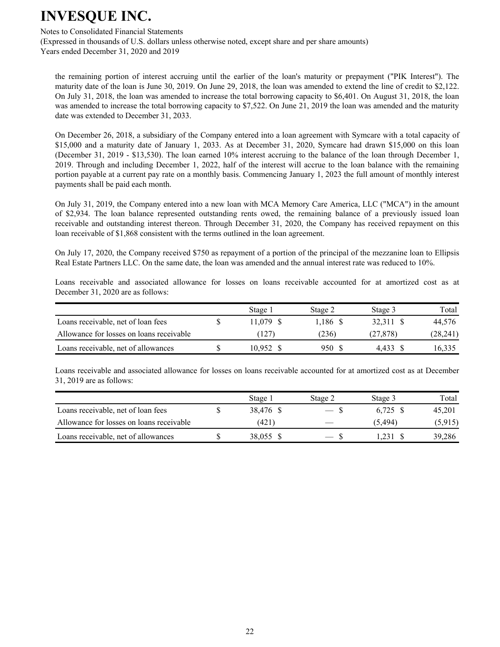#### Notes to Consolidated Financial Statements

(Expressed in thousands of U.S. dollars unless otherwise noted, except share and per share amounts) Years ended December 31, 2020 and 2019

the remaining portion of interest accruing until the earlier of the loan's maturity or prepayment ("PIK Interest"). The maturity date of the loan is June 30, 2019. On June 29, 2018, the loan was amended to extend the line of credit to \$2,122. On July 31, 2018, the loan was amended to increase the total borrowing capacity to \$6,401. On August 31, 2018, the loan was amended to increase the total borrowing capacity to \$7,522. On June 21, 2019 the loan was amended and the maturity date was extended to December 31, 2033.

On December 26, 2018, a subsidiary of the Company entered into a loan agreement with Symcare with a total capacity of  $$15,000$  and a maturity date of January 1, 2033. As at December 31, 2020, Symcare had drawn  $$15,000$  on this loan (December 31, 2019 - \$13,530). The loan earned 10% interest accruing to the balance of the loan through December 1, 2019. Through and including December 1, 2022, half of the interest will accrue to the loan balance with the remaining portion payable at a current pay rate on a monthly basis. Commencing January 1, 2023 the full amount of monthly interest payments shall be paid each month.

On July 31, 2019, the Company entered into a new loan with MCA Memory Care America, LLC ("MCA") in the amount of \$2,934. The loan balance represented outstanding rents owed, the remaining balance of a previously issued loan receivable and outstanding interest thereon. Through December 31, 2020, the Company has received repayment on this loan receivable of \$1,868 consistent with the terms outlined in the loan agreement.

On July 17, 2020, the Company received \$750 as repayment of a portion of the principal of the mezzanine loan to Ellipsis Real Estate Partners LLC. On the same date, the loan was amended and the annual interest rate was reduced to 10%.

Loans receivable and associated allowance for losses on loans receivable accounted for at amortized cost as at December 31, 2020 are as follows:

|                                          | Stage 1   | Stage 2  | Stage 3   | Total     |
|------------------------------------------|-----------|----------|-----------|-----------|
| Loans receivable, net of loan fees       | 11.079 S  | 1.186 \$ | 32.311 \$ | 44.576    |
| Allowance for losses on loans receivable | (127)     | (236)    | (27.878)  | (28, 241) |
| Loans receivable, net of allowances      | 10.952 \$ | 950 S    | 4.433     | 16.335    |

Loans receivable and associated allowance for losses on loans receivable accounted for at amortized cost as at December  $31, 2019$  are as follows:

|                                          | Stage 1   | Stage 2                  | Stage 3  | Total   |
|------------------------------------------|-----------|--------------------------|----------|---------|
| Loans receivable, net of loan fees       | 38.476 \$ | $ \mathbf{x}$            | 6.725 \$ | 45.201  |
| Allowance for losses on loans receivable | (421)     | $\overline{\phantom{a}}$ | (5.494)  | (5.915) |
| Loans receivable, net of allowances      | 38.055 \$ | $-$ S                    |          | 39,286  |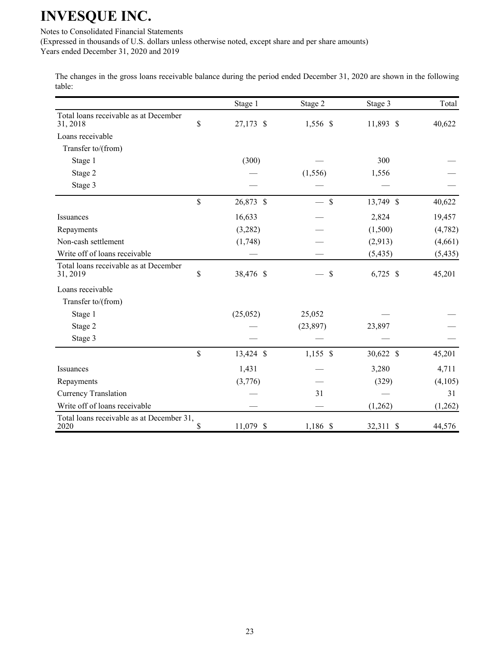Notes to Consolidated Financial Statements

(Expressed in thousands of U.S. dollars unless otherwise noted, except share and per share amounts)

Years ended December 31, 2020 and 2019

The changes in the gross loans receivable balance during the period ended December 31, 2020 are shown in the following table:

|                                                   | Stage 1         | Stage 2       | Stage 3    | Total    |
|---------------------------------------------------|-----------------|---------------|------------|----------|
| Total loans receivable as at December<br>31, 2018 | \$<br>27,173 \$ | 1,556 \$      | 11,893 \$  | 40,622   |
| Loans receivable                                  |                 |               |            |          |
| Transfer to/(from)                                |                 |               |            |          |
| Stage 1                                           | (300)           |               | 300        |          |
| Stage 2                                           |                 | (1, 556)      | 1,556      |          |
| Stage 3                                           |                 |               |            |          |
|                                                   | \$<br>26,873 \$ | $\mathsf{\$}$ | 13,749 \$  | 40,622   |
| Issuances                                         | 16,633          |               | 2,824      | 19,457   |
| Repayments                                        | (3,282)         |               | (1,500)    | (4,782)  |
| Non-cash settlement                               | (1,748)         |               | (2,913)    | (4,661)  |
| Write off of loans receivable                     |                 |               | (5, 435)   | (5, 435) |
| Total loans receivable as at December<br>31, 2019 | \$<br>38,476 \$ | \$            | $6,725$ \$ | 45,201   |
| Loans receivable                                  |                 |               |            |          |
| Transfer to/(from)                                |                 |               |            |          |
| Stage 1                                           | (25,052)        | 25,052        |            |          |
| Stage 2                                           |                 | (23, 897)     | 23,897     |          |
| Stage 3                                           |                 |               |            |          |
|                                                   | \$<br>13,424 \$ | $1,155$ \$    | 30,622 \$  | 45,201   |
| Issuances                                         | 1,431           |               | 3,280      | 4,711    |
| Repayments                                        | (3,776)         |               | (329)      | (4,105)  |
| <b>Currency Translation</b>                       |                 | 31            |            | 31       |
| Write off of loans receivable                     |                 |               | (1,262)    | (1,262)  |
| Total loans receivable as at December 31,<br>2020 | \$<br>11,079 \$ | 1,186 \$      | 32,311 \$  | 44,576   |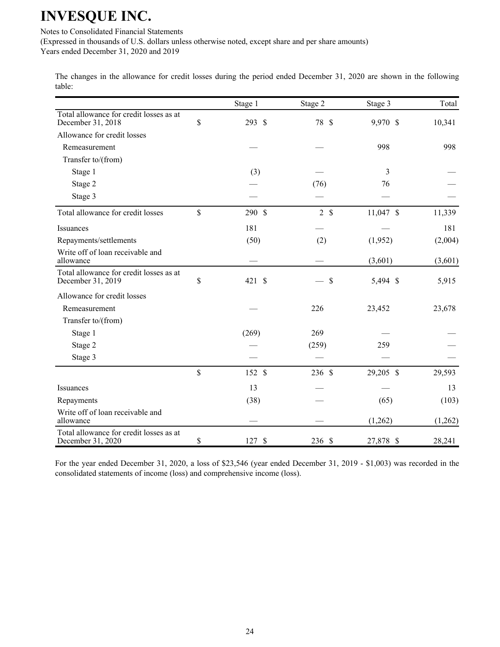Notes to Consolidated Financial Statements

(Expressed in thousands of U.S. dollars unless otherwise noted, except share and per share amounts)

Years ended December 31, 2020 and 2019

The changes in the allowance for credit losses during the period ended December 31, 2020 are shown in the following table:

|                                                              |             | Stage 1 | Stage 2       | Stage 3   | Total   |
|--------------------------------------------------------------|-------------|---------|---------------|-----------|---------|
| Total allowance for credit losses as at<br>December 31, 2018 | \$          | 293 \$  | 78 \$         | 9,970 \$  | 10,341  |
| Allowance for credit losses                                  |             |         |               |           |         |
| Remeasurement                                                |             |         |               | 998       | 998     |
| Transfer to/(from)                                           |             |         |               |           |         |
| Stage 1                                                      |             | (3)     |               | 3         |         |
| Stage 2                                                      |             |         | (76)          | 76        |         |
| Stage 3                                                      |             |         |               |           |         |
| Total allowance for credit losses                            | $\mathbf S$ | 290 \$  | $2 \text{ }s$ | 11,047 \$ | 11,339  |
| Issuances                                                    |             | 181     |               |           | 181     |
| Repayments/settlements                                       |             | (50)    | (2)           | (1,952)   | (2,004) |
| Write off of loan receivable and<br>allowance                |             |         |               | (3,601)   | (3,601) |
| Total allowance for credit losses as at<br>December 31, 2019 | \$          | 421 \$  | \$            | 5,494 \$  | 5,915   |
| Allowance for credit losses                                  |             |         |               |           |         |
| Remeasurement                                                |             |         | 226           | 23,452    | 23,678  |
| Transfer to/(from)                                           |             |         |               |           |         |
| Stage 1                                                      |             | (269)   | 269           |           |         |
| Stage 2                                                      |             |         | (259)         | 259       |         |
| Stage 3                                                      |             |         |               |           |         |
|                                                              | $\mathbf S$ | 152 \$  | 236 \$        | 29,205 \$ | 29,593  |
| Issuances                                                    |             | 13      |               |           | 13      |
| Repayments                                                   |             | (38)    |               | (65)      | (103)   |
| Write off of loan receivable and<br>allowance                |             |         |               | (1,262)   | (1,262) |
| Total allowance for credit losses as at<br>December 31, 2020 | \$          | 127S    | 236 \$        | 27,878 \$ | 28,241  |

For the year ended December 31, 2020, a loss of \$23,546 (year ended December 31, 2019 - \$1,003) was recorded in the consolidated statements of income (loss) and comprehensive income (loss).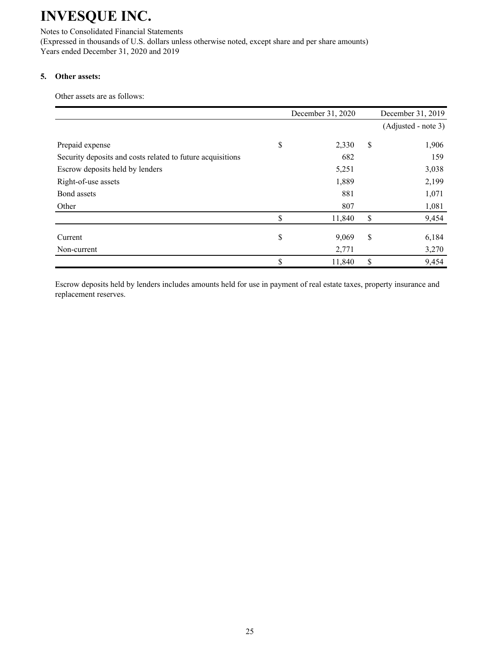Notes to Consolidated Financial Statements (Expressed in thousands of U.S. dollars unless otherwise noted, except share and per share amounts) Years ended December 31, 2020 and 2019

### 5. Other assets:

Other assets are as follows:

|                                                            | December 31, 2020 |        |    | December 31, 2019   |
|------------------------------------------------------------|-------------------|--------|----|---------------------|
|                                                            |                   |        |    | (Adjusted - note 3) |
|                                                            |                   |        |    |                     |
| Prepaid expense                                            | \$                | 2,330  | \$ | 1,906               |
| Security deposits and costs related to future acquisitions |                   | 682    |    | 159                 |
| Escrow deposits held by lenders                            |                   | 5,251  |    | 3,038               |
| Right-of-use assets                                        |                   | 1,889  |    | 2,199               |
| Bond assets                                                |                   | 881    |    | 1,071               |
| Other                                                      |                   | 807    |    | 1,081               |
|                                                            | \$                | 11,840 | \$ | 9,454               |
|                                                            |                   |        |    |                     |
| Current                                                    | \$                | 9,069  | \$ | 6,184               |
| Non-current                                                |                   | 2,771  |    | 3,270               |
|                                                            | \$                | 11,840 | \$ | 9,454               |

Escrow deposits held by lenders includes amounts held for use in payment of real estate taxes, property insurance and replacement reserves.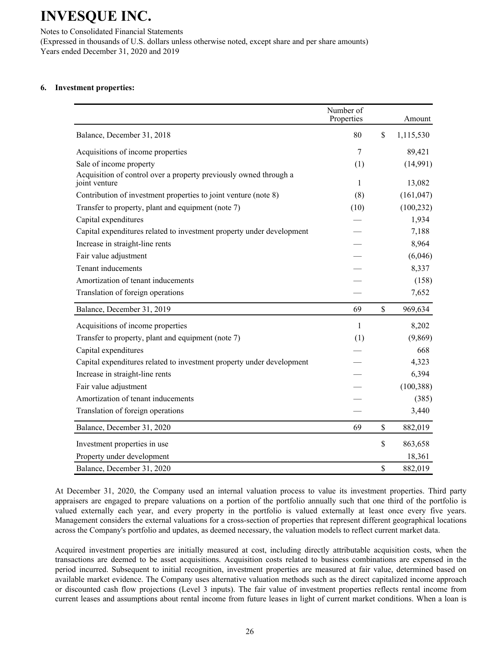Notes to Consolidated Financial Statements (Expressed in thousands of U.S. dollars unless otherwise noted, except share and per share amounts) Years ended December 31, 2020 and 2019

### **6.** Investment properties:

|                                                                                    | Number of<br>Properties | Amount          |
|------------------------------------------------------------------------------------|-------------------------|-----------------|
| Balance, December 31, 2018                                                         | 80                      | \$<br>1,115,530 |
| Acquisitions of income properties                                                  | 7                       | 89,421          |
| Sale of income property                                                            | (1)                     | (14,991)        |
| Acquisition of control over a property previously owned through a<br>joint venture | 1                       | 13,082          |
| Contribution of investment properties to joint venture (note 8)                    | (8)                     | (161, 047)      |
| Transfer to property, plant and equipment (note 7)                                 | (10)                    | (100, 232)      |
| Capital expenditures                                                               |                         | 1,934           |
| Capital expenditures related to investment property under development              |                         | 7,188           |
| Increase in straight-line rents                                                    |                         | 8,964           |
| Fair value adjustment                                                              |                         | (6,046)         |
| Tenant inducements                                                                 |                         | 8,337           |
| Amortization of tenant inducements                                                 |                         | (158)           |
| Translation of foreign operations                                                  |                         | 7,652           |
| Balance, December 31, 2019                                                         | 69                      | \$<br>969,634   |
| Acquisitions of income properties                                                  | $\mathbf{1}$            | 8,202           |
| Transfer to property, plant and equipment (note 7)                                 | (1)                     | (9,869)         |
| Capital expenditures                                                               |                         | 668             |
| Capital expenditures related to investment property under development              |                         | 4,323           |
| Increase in straight-line rents                                                    |                         | 6,394           |
| Fair value adjustment                                                              |                         | (100, 388)      |
| Amortization of tenant inducements                                                 |                         | (385)           |
| Translation of foreign operations                                                  |                         | 3,440           |
| Balance, December 31, 2020                                                         | 69                      | \$<br>882,019   |
| Investment properties in use                                                       |                         | \$<br>863,658   |
| Property under development                                                         |                         | 18,361          |
| Balance, December 31, 2020                                                         |                         | \$<br>882,019   |

At December 31, 2020, the Company used an internal valuation process to value its investment properties. Third party appraisers are engaged to prepare valuations on a portion of the portfolio annually such that one third of the portfolio is valued externally each year, and every property in the portfolio is valued externally at least once every five years. Management considers the external valuations for a cross-section of properties that represent different geographical locations across the Company's portfolio and updates, as deemed necessary, the valuation models to reflect current market data.

Acquired investment properties are initially measured at cost, including directly attributable acquisition costs, when the transactions are deemed to be asset acquisitions. Acquisition costs related to business combinations are expensed in the period incurred. Subsequent to initial recognition, investment properties are measured at fair value, determined based on available market evidence. The Company uses alternative valuation methods such as the direct capitalized income approach or discounted cash flow projections (Level 3 inputs). The fair value of investment properties reflects rental income from current leases and assumptions about rental income from future leases in light of current market conditions. When a loan is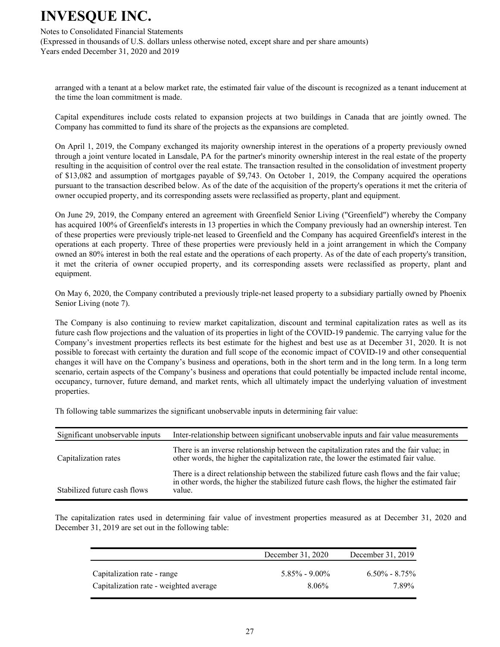Notes to Consolidated Financial Statements

(Expressed in thousands of U.S. dollars unless otherwise noted, except share and per share amounts) Years ended December 31, 2020 and 2019

arranged with a tenant at a below market rate, the estimated fair value of the discount is recognized as a tenant inducement at the time the loan commitment is made.

Capital expenditures include costs related to expansion projects at two buildings in Canada that are jointly owned. The Company has committed to fund its share of the projects as the expansions are completed.

On April 1, 2019, the Company exchanged its majority ownership interest in the operations of a property previously owned through a joint venture located in Lansdale, PA for the partner's minority ownership interest in the real estate of the property resulting in the acquisition of control over the real estate. The transaction resulted in the consolidation of investment property of \$13,082 and assumption of mortgages payable of \$9,743. On October 1, 2019, the Company acquired the operations pursuant to the transaction described below. As of the date of the acquisition of the property's operations it met the criteria of owner occupied property, and its corresponding assets were reclassified as property, plant and equipment.

On June 29, 2019, the Company entered an agreement with Greenfield Senior Living ("Greenfield") whereby the Company has acquired 100% of Greenfield's interests in 13 properties in which the Company previously had an ownership interest. Ten of these properties were previously triple-net leased to Greenfield and the Company has acquired Greenfield's interest in the operations at each property. Three of these properties were previously held in a joint arrangement in which the Company owned an 80% interest in both the real estate and the operations of each property. As of the date of each property's transition, it met the criteria of owner occupied property, and its corresponding assets were reclassified as property, plant and equipment.

On May 6, 2020, the Company contributed a previously triple-net leased property to a subsidiary partially owned by Phoenix Senior Living (note 7).

The Company is also continuing to review market capitalization, discount and terminal capitalization rates as well as its future cash flow projections and the valuation of its properties in light of the COVID-19 pandemic. The carrying value for the Company's investment properties reflects its best estimate for the highest and best use as at December 31, 2020. It is not possible to forecast with certainty the duration and full scope of the economic impact of COVID-19 and other consequential changes it will have on the Company's business and operations, both in the short term and in the long term. In a long term scenario, certain aspects of the Company's business and operations that could potentially be impacted include rental income, occupancy, turnover, future demand, and market rents, which all ultimately impact the underlying valuation of investment properties.

Th following table summarizes the significant unobservable inputs in determining fair value:

| Significant unobservable inputs | Inter-relationship between significant unobservable inputs and fair value measurements                                                                                                              |
|---------------------------------|-----------------------------------------------------------------------------------------------------------------------------------------------------------------------------------------------------|
| Capitalization rates            | There is an inverse relationship between the capitalization rates and the fair value; in<br>other words, the higher the capitalization rate, the lower the estimated fair value.                    |
| Stabilized future cash flows    | There is a direct relationship between the stabilized future cash flows and the fair value;<br>in other words, the higher the stabilized future cash flows, the higher the estimated fair<br>value. |

The capitalization rates used in determining fair value of investment properties measured as at December 31, 2020 and December 31, 2019 are set out in the following table:

|                                        | December 31, 2020 | December 31, 2019 |
|----------------------------------------|-------------------|-------------------|
| Capitalization rate - range            | $5.85\% - 9.00\%$ | $6.50\% - 8.75\%$ |
| Capitalization rate - weighted average | $8.06\%$          | 7.89%             |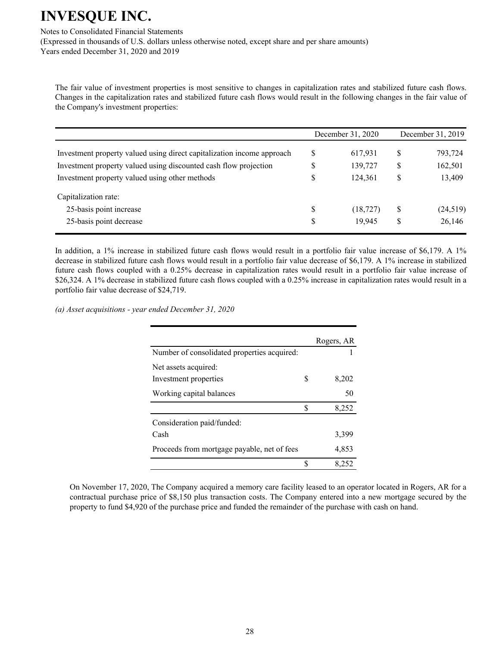Notes to Consolidated Financial Statements

(Expressed in thousands of U.S. dollars unless otherwise noted, except share and per share amounts) Years ended December 31, 2020 and 2019

The fair value of investment properties is most sensitive to changes in capitalization rates and stabilized future cash flows. Changes in the capitalization rates and stabilized future cash flows would result in the following changes in the fair value of the Company's investment properties:

|                                                                        | December 31, 2020 |           | December 31, 2019 |           |
|------------------------------------------------------------------------|-------------------|-----------|-------------------|-----------|
| Investment property valued using direct capitalization income approach | S                 | 617,931   | \$                | 793,724   |
| Investment property valued using discounted cash flow projection       | S                 | 139,727   | S                 | 162,501   |
| Investment property valued using other methods                         |                   | 124,361   | \$                | 13,409    |
| Capitalization rate:                                                   |                   |           |                   |           |
| 25-basis point increase                                                | S                 | (18, 727) | \$                | (24, 519) |
| 25-basis point decrease                                                | S                 | 19,945    | \$                | 26,146    |

In addition, a 1% increase in stabilized future cash flows would result in a portfolio fair value increase of \$6,179. A 1% decrease in stabilized future cash flows would result in a portfolio fair value decrease of \$6,179. A 1% increase in stabilized future cash flows coupled with a 0.25% decrease in capitalization rates would result in a portfolio fair value increase of \$26,324. A 1% decrease in stabilized future cash flows coupled with a 0.25% increase in capitalization rates would result in a portfolio fair value decrease of \$24,719.

(a) Asset acquisitions - year ended December 31, 2020

|                                             |    | Rogers, AR |
|---------------------------------------------|----|------------|
| Number of consolidated properties acquired: |    |            |
| Net assets acquired:                        |    |            |
| Investment properties                       | S  | 8,202      |
| Working capital balances                    |    | 50         |
|                                             | \$ | 8,252      |
| Consideration paid/funded:                  |    |            |
| Cash                                        |    | 3,399      |
| Proceeds from mortgage payable, net of fees |    | 4,853      |
|                                             | S  | 8.252      |

On November 17, 2020, The Company acquired a memory care facility leased to an operator located in Rogers, AR for a contractual purchase price of \$8,150 plus transaction costs. The Company entered into a new mortgage secured by the property to fund \$4,920 of the purchase price and funded the remainder of the purchase with cash on hand.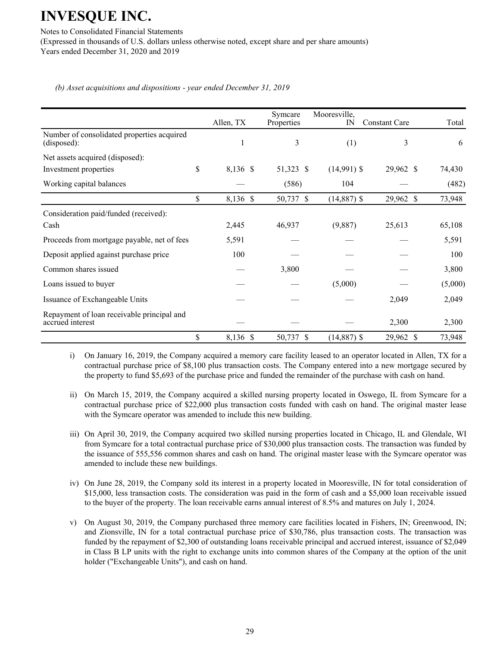Notes to Consolidated Financial Statements

(Expressed in thousands of U.S. dollars unless otherwise noted, except share and per share amounts) Years ended December 31, 2020 and 2019

(b) Asset acquisitions and dispositions - year ended December 31, 2019

|                                                                | Allen, TX      | Symcare<br>Properties | Mooresville,<br>$_{\rm IN}$ | <b>Constant Care</b> | Total   |
|----------------------------------------------------------------|----------------|-----------------------|-----------------------------|----------------------|---------|
| Number of consolidated properties acquired<br>(disposed):      | 1              | 3                     | (1)                         | 3                    | 6       |
| Net assets acquired (disposed):                                |                |                       |                             |                      |         |
| Investment properties                                          | \$<br>8,136 \$ | 51,323 \$             | $(14,991)$ \$               | 29,962 \$            | 74,430  |
| Working capital balances                                       |                | (586)                 | 104                         |                      | (482)   |
|                                                                | \$<br>8,136 \$ | 50,737 \$             | $(14,887)$ \$               | 29,962 \$            | 73,948  |
| Consideration paid/funded (received):<br>Cash                  | 2,445          | 46,937                | (9,887)                     | 25,613               | 65,108  |
| Proceeds from mortgage payable, net of fees                    | 5,591          |                       |                             |                      | 5,591   |
| Deposit applied against purchase price                         | 100            |                       |                             |                      | 100     |
| Common shares issued                                           |                | 3,800                 |                             |                      | 3,800   |
| Loans issued to buyer                                          |                |                       | (5,000)                     |                      | (5,000) |
| Issuance of Exchangeable Units                                 |                |                       |                             | 2,049                | 2,049   |
| Repayment of loan receivable principal and<br>accrued interest |                |                       |                             | 2,300                | 2,300   |
|                                                                | \$<br>8,136 \$ | 50,737<br>-S          | $(14,887)$ \$               | 29,962 \$            | 73,948  |

i) On January 16, 2019, the Company acquired a memory care facility leased to an operator located in Allen, TX for a contractual purchase price of \$8,100 plus transaction costs. The Company entered into a new mortgage secured by the property to fund \$5,693 of the purchase price and funded the remainder of the purchase with cash on hand.

- ii) On March 15, 2019, the Company acquired a skilled nursing property located in Oswego, IL from Symcare for a contractual purchase price of \$22,000 plus transaction costs funded with cash on hand. The original master lease with the Symcare operator was amended to include this new building.
- iii) On April 30, 2019, the Company acquired two skilled nursing properties located in Chicago, IL and Glendale, WI from Symcare for a total contractual purchase price of \$30,000 plus transaction costs. The transaction was funded by the issuance of 555,556 common shares and cash on hand. The original master lease with the Symcare operator was amended to include these new buildings.
- iv) On June 28, 2019, the Company sold its interest in a property located in Mooresville, IN for total consideration of \$15,000, less transaction costs. The consideration was paid in the form of cash and a \$5,000 loan receivable issued to the buyer of the property. The loan receivable earns annual interest of  $8.5\%$  and matures on July 1, 2024.
- v) On August 30, 2019, the Company purchased three memory care facilities located in Fishers, IN; Greenwood, IN; and Zionsville, IN for a total contractual purchase price of \$30,786, plus transaction costs. The transaction was funded by the repayment of \$2,300 of outstanding loans receivable principal and accrued interest, issuance of \$2,049 in Class B LP units with the right to exchange units into common shares of the Company at the option of the unit holder ("Exchangeable Units"), and cash on hand.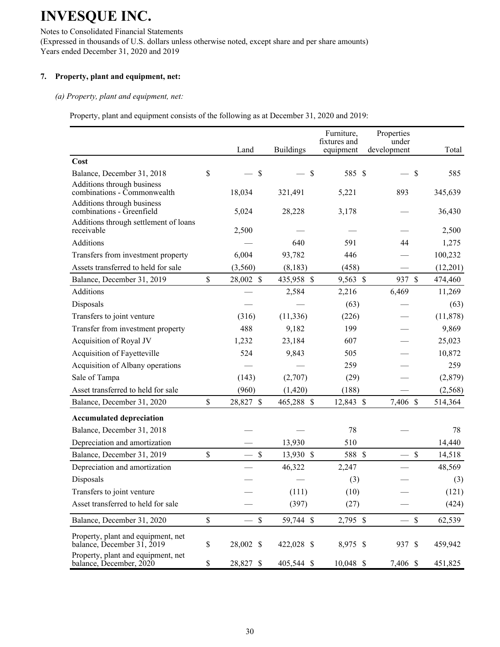Notes to Consolidated Financial Statements (Expressed in thousands of U.S. dollars unless otherwise noted, except share and per share amounts) Years ended December 31, 2020 and 2019

## 7. Property, plant and equipment, net:

#### *(a) Property, plant and equipment, net:*

Property, plant and equipment consists of the following as at December 31, 2020 and 2019:

|                                                                  |                                 |                  | Furniture,<br>fixtures and | Properties<br>under |                       |
|------------------------------------------------------------------|---------------------------------|------------------|----------------------------|---------------------|-----------------------|
|                                                                  | Land                            | <b>Buildings</b> | equipment                  | development         | Total                 |
| Cost                                                             |                                 |                  |                            |                     |                       |
| Balance, December 31, 2018                                       | \$<br>$\mathcal{S}$             | $\mathcal{S}$    | 585 \$                     |                     | $\mathcal{S}$<br>585  |
| Additions through business<br>combinations - Commonwealth        | 18,034                          | 321,491          | 5,221                      | 893                 | 345,639               |
| Additions through business<br>combinations - Greenfield          | 5,024                           | 28,228           | 3,178                      |                     | 36,430                |
| Additions through settlement of loans<br>receivable              | 2,500                           |                  |                            |                     | 2,500                 |
| <b>Additions</b>                                                 |                                 | 640              | 591                        | 44                  | 1,275                 |
| Transfers from investment property                               | 6,004                           | 93,782           | 446                        |                     | 100,232               |
| Assets transferred to held for sale                              | (3,560)                         | (8, 183)         | (458)                      |                     | (12,201)              |
| Balance, December 31, 2019                                       | \$<br>28,002 \$                 | 435,958 \$       | 9,563 \$                   | 937 \$              | 474,460               |
| Additions                                                        |                                 | 2,584            | 2,216                      | 6,469               | 11,269                |
| Disposals                                                        |                                 |                  | (63)                       |                     | (63)                  |
| Transfers to joint venture                                       | (316)                           | (11, 336)        | (226)                      |                     | (11, 878)             |
| Transfer from investment property                                | 488                             | 9,182            | 199                        |                     | 9,869                 |
| Acquisition of Royal JV                                          | 1,232                           | 23,184           | 607                        |                     | 25,023                |
| Acquisition of Fayetteville                                      | 524                             | 9,843            | 505                        |                     | 10,872                |
| Acquisition of Albany operations                                 |                                 |                  | 259                        |                     | 259                   |
| Sale of Tampa                                                    | (143)                           | (2,707)          | (29)                       |                     | (2,879)               |
| Asset transferred to held for sale                               | (960)                           | (1, 420)         | (188)                      |                     | (2, 568)              |
| Balance, December 31, 2020                                       | \$<br>28,827 \$                 | 465,288 \$       | 12,843 \$                  | 7,406 \$            | 514,364               |
| <b>Accumulated depreciation</b>                                  |                                 |                  |                            |                     |                       |
| Balance, December 31, 2018                                       |                                 |                  | 78                         |                     | 78                    |
| Depreciation and amortization                                    |                                 | 13,930           | 510                        |                     | 14,440                |
| Balance, December 31, 2019                                       | \$<br>$\boldsymbol{\mathsf{S}}$ | 13,930 \$        | 588 \$                     |                     | \$<br>14,518          |
| Depreciation and amortization                                    |                                 | 46,322           | 2,247                      |                     | 48,569                |
| Disposals                                                        |                                 |                  | (3)                        |                     | (3)                   |
| Transfers to joint venture                                       |                                 | (111)            | (10)                       |                     | (121)                 |
| Asset transferred to held for sale                               |                                 | (397)            | (27)                       |                     | (424)                 |
| Balance, December 31, 2020                                       | \$<br>$\$$                      | 59,744 \$        | 2,795 \$                   |                     | $\mathbb S$<br>62,539 |
| Property, plant and equipment, net<br>balance, December 31, 2019 | \$<br>28,002 \$                 | 422,028 \$       | 8,975 \$                   | 937 \$              | 459,942               |
| Property, plant and equipment, net<br>balance, December, 2020    | \$<br>28,827 \$                 | 405,544 \$       | 10,048 \$                  | 7,406 \$            | 451,825               |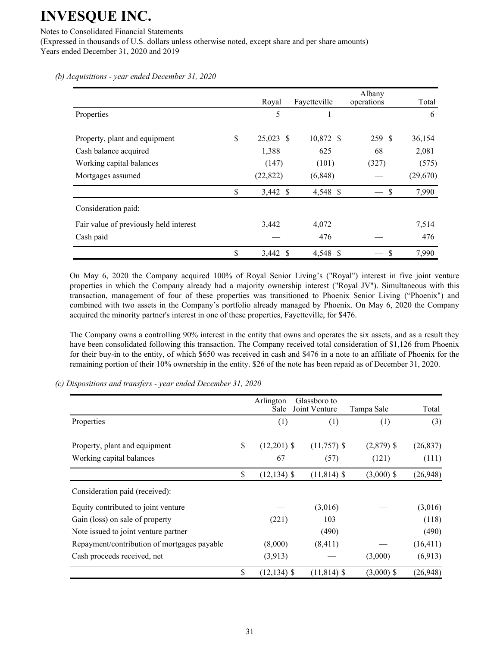Notes to Consolidated Financial Statements

(Expressed in thousands of U.S. dollars unless otherwise noted, except share and per share amounts) Years ended December 31, 2020 and 2019

Royal Fayetteville Albany operations Total Properties  $\qquad \qquad 5 \qquad \qquad 1 \qquad \qquad -$  6 Property, plant and equipment  $$25,023$   $$10,872$   $$259$   $$36,154$ Cash balance acquired 1,388 625 68 2,081 Working capital balances (147)  $(147)$   $(101)$   $(327)$   $(575)$ Mortgages assumed  $(22,822)$   $(6,848)$   $(29,670)$  $\$\qquad 3,442 \$ \qquad 4,548 \$ \qquad - \$ \qquad 7,990$ Consideration paid: Fair value of previously held interest  $3,442$   $4,072$   $7,514$  $\begin{array}{ccccccc}\n\text{Cash paid} & & & & \rightarrow & \text{476} & & \rightarrow & \text{476}\n\end{array}$  $\frac{1}{2}$   $\frac{3,442 \text{ } s}{2}$   $\frac{4,548 \text{ } s}{2}$   $\frac{1}{2}$   $\frac{1}{2}$   $\frac{1}{2}$   $\frac{1}{2}$   $\frac{1}{2}$   $\frac{1}{2}$   $\frac{1}{2}$   $\frac{1}{2}$   $\frac{1}{2}$   $\frac{1}{2}$   $\frac{1}{2}$   $\frac{1}{2}$   $\frac{1}{2}$   $\frac{1}{2}$   $\frac{1}{2}$   $\frac{1}{2}$   $\frac{1}{2}$   $\frac$ 

*(b) Acquisitions - year ended December 31, 2020* 

On May 6, 2020 the Company acquired 100% of Royal Senior Living's ("Royal") interest in five joint venture properties in which the Company already had a majority ownership interest ("Royal JV"). Simultaneous with this transaction, management of four of these properties was transitioned to Phoenix Senior Living ("Phoenix") and combined with two assets in the Company's portfolio already managed by Phoenix. On May 6, 2020 the Company acquired the minority partner's interest in one of these properties, Fayetteville, for \$476.

The Company owns a controlling 90% interest in the entity that owns and operates the six assets, and as a result they have been consolidated following this transaction. The Company received total consideration of \$1,126 from Phoenix for their buy-in to the entity, of which \$650 was received in cash and \$476 in a note to an affiliate of Phoenix for the remaining portion of their 10% ownership in the entity. \$26 of the note has been repaid as of December 31, 2020.

(c) Dispositions and transfers - year ended December 31, 2020

|                                             | Arlington<br>Sale    | Glassboro to<br>Joint Venture | Tampa Sale   | Total     |
|---------------------------------------------|----------------------|-------------------------------|--------------|-----------|
| Properties                                  | (1)                  | (1)                           | (1)          | (3)       |
| Property, plant and equipment               | \$<br>$(12,201)$ \$  | $(11,757)$ \$                 | $(2,879)$ \$ | (26, 837) |
| Working capital balances                    | 67                   | (57)                          | (121)        | (111)     |
|                                             | \$<br>$(12, 134)$ \$ | $(11, 814)$ \$                | $(3,000)$ \$ | (26, 948) |
| Consideration paid (received):              |                      |                               |              |           |
| Equity contributed to joint venture         |                      | (3,016)                       |              | (3,016)   |
| Gain (loss) on sale of property             | (221)                | 103                           |              | (118)     |
| Note issued to joint venture partner        |                      | (490)                         |              | (490)     |
| Repayment/contribution of mortgages payable | (8,000)              | (8, 411)                      |              | (16, 411) |
| Cash proceeds received, net                 | (3,913)              |                               | (3,000)      | (6,913)   |
|                                             | \$<br>$(12, 134)$ \$ | $(11, 814)$ \$                | $(3,000)$ \$ | (26, 948) |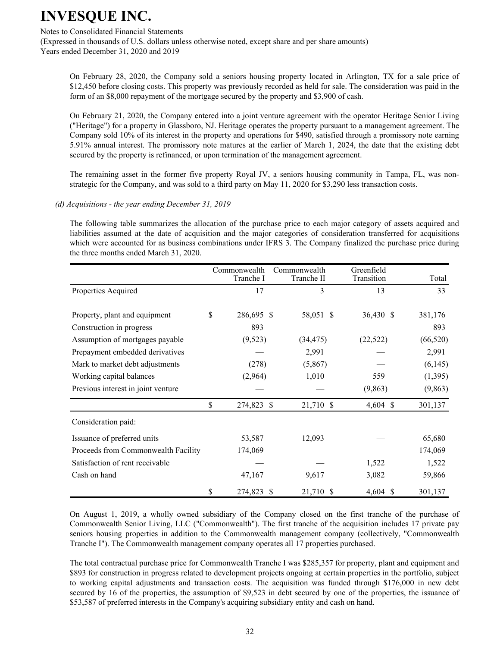## Notes to Consolidated Financial Statements

(Expressed in thousands of U.S. dollars unless otherwise noted, except share and per share amounts) Years ended December 31, 2020 and 2019

On February 28, 2020, the Company sold a seniors housing property located in Arlington, TX for a sale price of \$12,450 before closing costs. This property was previously recorded as held for sale. The consideration was paid in the form of an \$8,000 repayment of the mortgage secured by the property and \$3,900 of cash.

On February 21, 2020, the Company entered into a joint venture agreement with the operator Heritage Senior Living ("Heritage") for a property in Glassboro, NJ. Heritage operates the property pursuant to a management agreement. The Company sold 10% of its interest in the property and operations for \$490, satisfied through a promissory note earning 5.91% annual interest. The promissory note matures at the earlier of March 1, 2024, the date that the existing debt secured by the property is refinanced, or upon termination of the management agreement.

The remaining asset in the former five property Royal JV, a seniors housing community in Tampa, FL, was nonstrategic for the Company, and was sold to a third party on May  $11$ , 2020 for \$3,290 less transaction costs.

*(d) Acquisitions - the year ending December 31, 2019* 

The following table summarizes the allocation of the purchase price to each major category of assets acquired and liabilities assumed at the date of acquisition and the major categories of consideration transferred for acquisitions which were accounted for as business combinations under IFRS 3. The Company finalized the purchase price during the three months ended March 31, 2020.

|                                     | Commonwealth     | Commonwealth               | Greenfield |                          |
|-------------------------------------|------------------|----------------------------|------------|--------------------------|
|                                     | Tranche I        | Tranche II                 | Transition | Total                    |
| Properties Acquired                 | 17               | 3                          | 13         | 33                       |
| Property, plant and equipment       | \$<br>286,695 \$ | 58,051 \$                  | 36,430 \$  | 381,176                  |
|                                     |                  |                            |            |                          |
| Construction in progress            | 893              |                            |            | 893                      |
| Assumption of mortgages payable     | (9,523)          | (34, 475)                  | (22, 522)  | (66, 520)                |
| Prepayment embedded derivatives     |                  | 2,991                      |            | 2,991                    |
| Mark to market debt adjustments     | (278)            | (5,867)                    |            | (6,145)                  |
| Working capital balances            | (2,964)          | 1,010                      | 559        | (1,395)                  |
| Previous interest in joint venture  |                  |                            | (9, 863)   | (9, 863)                 |
|                                     | \$<br>274,823 \$ | 21,710 \$                  | $4,604$ \$ | 301,137                  |
| Consideration paid:                 |                  |                            |            |                          |
| Issuance of preferred units         | 53,587           | 12,093                     |            | 65,680                   |
| Proceeds from Commonwealth Facility | 174,069          |                            |            | 174,069                  |
| Satisfaction of rent receivable     |                  |                            | 1,522      | 1,522                    |
| Cash on hand                        | 47,167           | 9,617                      | 3,082      | 59,866                   |
|                                     | \$<br>274,823    | <sup>\$</sup><br>21,710 \$ | 4,604      | <sup>\$</sup><br>301,137 |

On August 1, 2019, a wholly owned subsidiary of the Company closed on the first tranche of the purchase of Commonwealth Senior Living, LLC ("Commonwealth"). The first tranche of the acquisition includes 17 private pay seniors housing properties in addition to the Commonwealth management company (collectively, "Commonwealth Tranche I"). The Commonwealth management company operates all 17 properties purchased.

The total contractual purchase price for Commonwealth Tranche I was \$285,357 for property, plant and equipment and \$893 for construction in progress related to development projects ongoing at certain properties in the portfolio, subject to working capital adjustments and transaction costs. The acquisition was funded through \$176,000 in new debt secured by 16 of the properties, the assumption of \$9,523 in debt secured by one of the properties, the issuance of \$53,587 of preferred interests in the Company's acquiring subsidiary entity and cash on hand.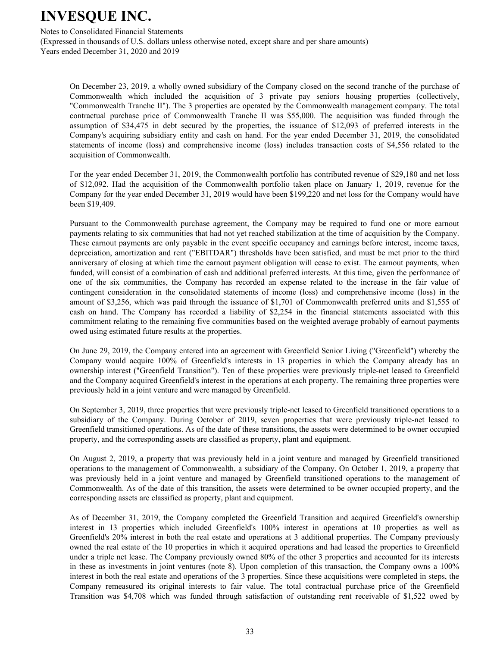Notes to Consolidated Financial Statements

(Expressed in thousands of U.S. dollars unless otherwise noted, except share and per share amounts) Years ended December 31, 2020 and 2019

On December 23, 2019, a wholly owned subsidiary of the Company closed on the second tranche of the purchase of Commonwealth which included the acquisition of 3 private pay seniors housing properties (collectively, "Commonwealth Tranche II"). The 3 properties are operated by the Commonwealth management company. The total contractual purchase price of Commonwealth Tranche II was \$55,000. The acquisition was funded through the assumption of \$34,475 in debt secured by the properties, the issuance of \$12,093 of preferred interests in the Company's acquiring subsidiary entity and cash on hand. For the year ended December 31, 2019, the consolidated statements of income (loss) and comprehensive income (loss) includes transaction costs of \$4,556 related to the acquisition of Commonwealth.

For the year ended December 31, 2019, the Commonwealth portfolio has contributed revenue of \$29,180 and net loss of \$12,092. Had the acquisition of the Commonwealth portfolio taken place on January 1, 2019, revenue for the Company for the year ended December 31, 2019 would have been \$199,220 and net loss for the Company would have been \$19,409.

Pursuant to the Commonwealth purchase agreement, the Company may be required to fund one or more earnout payments relating to six communities that had not yet reached stabilization at the time of acquisition by the Company. These earnout payments are only payable in the event specific occupancy and earnings before interest, income taxes, depreciation, amortization and rent ("EBITDAR") thresholds have been satisfied, and must be met prior to the third anniversary of closing at which time the earnout payment obligation will cease to exist. The earnout payments, when funded, will consist of a combination of cash and additional preferred interests. At this time, given the performance of one of the six communities, the Company has recorded an expense related to the increase in the fair value of contingent consideration in the consolidated statements of income (loss) and comprehensive income (loss) in the amount of \$3,256, which was paid through the issuance of  $$1,701$  of Commonwealth preferred units and \$1,555 of cash on hand. The Company has recorded a liability of \$2,254 in the financial statements associated with this commitment relating to the remaining five communities based on the weighted average probably of earnout payments owed using estimated future results at the properties.

On June 29, 2019, the Company entered into an agreement with Greenfield Senior Living ("Greenfield") whereby the Company would acquire 100% of Greenfield's interests in 13 properties in which the Company already has an ownership interest ("Greenfield Transition"). Ten of these properties were previously triple-net leased to Greenfield and the Company acquired Greenfield's interest in the operations at each property. The remaining three properties were previously held in a joint venture and were managed by Greenfield.

On September 3, 2019, three properties that were previously triple-net leased to Greenfield transitioned operations to a subsidiary of the Company. During October of 2019, seven properties that were previously triple-net leased to Greenfield transitioned operations. As of the date of these transitions, the assets were determined to be owner occupied property, and the corresponding assets are classified as property, plant and equipment.

On August 2, 2019, a property that was previously held in a joint venture and managed by Greenfield transitioned operations to the management of Commonwealth, a subsidiary of the Company. On October 1, 2019, a property that was previously held in a joint venture and managed by Greenfield transitioned operations to the management of Commonwealth. As of the date of this transition, the assets were determined to be owner occupied property, and the corresponding assets are classified as property, plant and equipment.

As of December 31, 2019, the Company completed the Greenfield Transition and acquired Greenfield's ownership interest in 13 properties which included Greenfield's 100% interest in operations at 10 properties as well as Greenfield's 20% interest in both the real estate and operations at 3 additional properties. The Company previously owned the real estate of the 10 properties in which it acquired operations and had leased the properties to Greenfield under a triple net lease. The Company previously owned 80% of the other 3 properties and accounted for its interests in these as investments in joint ventures (note 8). Upon completion of this transaction, the Company owns a 100% interest in both the real estate and operations of the 3 properties. Since these acquisitions were completed in steps, the Company remeasured its original interests to fair value. The total contractual purchase price of the Greenfield Transition was \$4,708 which was funded through satisfaction of outstanding rent receivable of \$1,522 owed by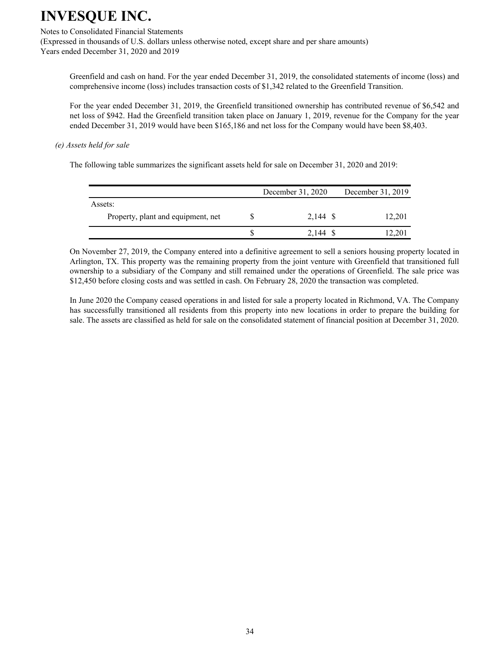#### Notes to Consolidated Financial Statements

(Expressed in thousands of U.S. dollars unless otherwise noted, except share and per share amounts) Years ended December 31, 2020 and 2019

Greenfield and cash on hand. For the year ended December 31, 2019, the consolidated statements of income (loss) and comprehensive income (loss) includes transaction costs of \$1,342 related to the Greenfield Transition.

For the year ended December 31, 2019, the Greenfield transitioned ownership has contributed revenue of \$6,542 and net loss of \$942. Had the Greenfield transition taken place on January 1, 2019, revenue for the Company for the year ended December 31, 2019 would have been \$165,186 and net loss for the Company would have been \$8,403.

#### *(e)* Assets held for sale

The following table summarizes the significant assets held for sale on December 31, 2020 and 2019:

|                                    | December 31, 2020 | December 31, 2019 |
|------------------------------------|-------------------|-------------------|
| Assets:                            |                   |                   |
| Property, plant and equipment, net | 2,144 \$          | 12,201            |
|                                    | 2.144 S           | .20               |

On November 27, 2019, the Company entered into a definitive agreement to sell a seniors housing property located in Arlington, TX. This property was the remaining property from the joint venture with Greenfield that transitioned full ownership to a subsidiary of the Company and still remained under the operations of Greenfield. The sale price was \$12,450 before closing costs and was settled in cash. On February 28, 2020 the transaction was completed.

In June 2020 the Company ceased operations in and listed for sale a property located in Richmond, VA. The Company has successfully transitioned all residents from this property into new locations in order to prepare the building for sale. The assets are classified as held for sale on the consolidated statement of financial position at December 31, 2020.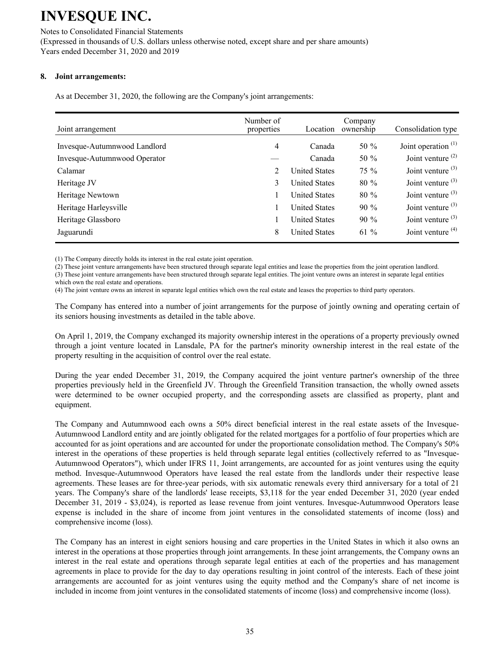Notes to Consolidated Financial Statements (Expressed in thousands of U.S. dollars unless otherwise noted, except share and per share amounts) Years ended December 31, 2020 and 2019

## **8.** Joint arrangements:

As at December 31, 2020, the following are the Company's joint arrangements:

| Joint arrangement            | Number of<br>properties | Location             | Company<br>ownership | Consolidation type    |
|------------------------------|-------------------------|----------------------|----------------------|-----------------------|
| Invesque-Autumnwood Landlord | 4                       | Canada               | 50 $%$               | Joint operation $(1)$ |
| Invesque-Autumnwood Operator |                         | Canada               | 50 $%$               | Joint venture $(2)$   |
| Calamar                      | 2                       | <b>United States</b> | $75\%$               | Joint venture $(3)$   |
| Heritage JV                  | 3                       | <b>United States</b> | $80\%$               | Joint venture $(3)$   |
| Heritage Newtown             |                         | <b>United States</b> | $80\%$               | Joint venture $(3)$   |
| Heritage Harleysville        |                         | <b>United States</b> | $90\%$               | Joint venture $(3)$   |
| Heritage Glassboro           |                         | <b>United States</b> | $90\%$               | Joint venture $(3)$   |
| Jaguarundi                   | 8                       | <b>United States</b> | 61 %                 | Joint venture $(4)$   |

(1) The Company directly holds its interest in the real estate joint operation.

(2) These joint venture arrangements have been structured through separate legal entities and lease the properties from the joint operation landlord.

(3) These joint venture arrangements have been structured through separate legal entities. The joint venture owns an interest in separate legal entities which own the real estate and operations.

(4) The joint venture owns an interest in separate legal entities which own the real estate and leases the properties to third party operators.

The Company has entered into a number of joint arrangements for the purpose of jointly owning and operating certain of its seniors housing investments as detailed in the table above.

On April 1, 2019, the Company exchanged its majority ownership interest in the operations of a property previously owned through a joint venture located in Lansdale, PA for the partner's minority ownership interest in the real estate of the property resulting in the acquisition of control over the real estate.

During the year ended December 31, 2019, the Company acquired the joint venture partner's ownership of the three properties previously held in the Greenfield JV. Through the Greenfield Transition transaction, the wholly owned assets were determined to be owner occupied property, and the corresponding assets are classified as property, plant and equipment.

The Company and Autumnwood each owns a 50% direct beneficial interest in the real estate assets of the Invesque-Autumnwood Landlord entity and are jointly obligated for the related mortgages for a portfolio of four properties which are accounted for as joint operations and are accounted for under the proportionate consolidation method. The Company's 50% interest in the operations of these properties is held through separate legal entities (collectively referred to as "Invesque-Autumnwood Operators"), which under IFRS 11, Joint arrangements, are accounted for as joint ventures using the equity method. Invesque-Autumnwood Operators have leased the real estate from the landlords under their respective lease agreements. These leases are for three-year periods, with six automatic renewals every third anniversary for a total of 21 years. The Company's share of the landlords' lease receipts, \$3,118 for the year ended December 31, 2020 (year ended December 31, 2019 - \$3,024), is reported as lease revenue from joint ventures. Invesque-Autumnwood Operators lease expense is included in the share of income from joint ventures in the consolidated statements of income (loss) and comprehensive income (loss).

The Company has an interest in eight seniors housing and care properties in the United States in which it also owns an interest in the operations at those properties through joint arrangements. In these joint arrangements, the Company owns an interest in the real estate and operations through separate legal entities at each of the properties and has management agreements in place to provide for the day to day operations resulting in joint control of the interests. Each of these joint arrangements are accounted for as joint ventures using the equity method and the Company's share of net income is included in income from joint ventures in the consolidated statements of income (loss) and comprehensive income (loss).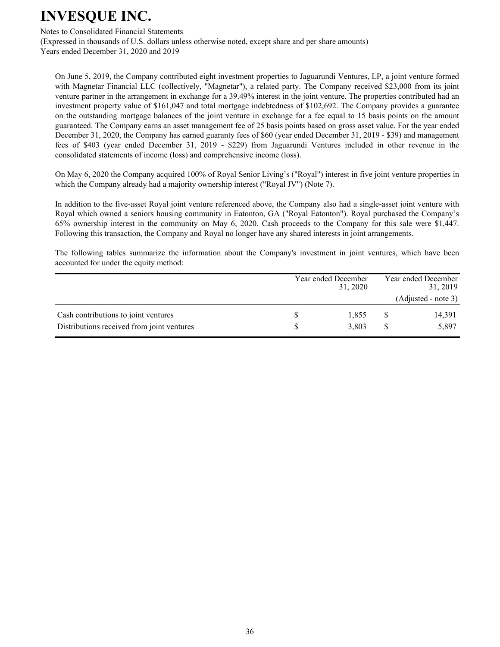Notes to Consolidated Financial Statements

(Expressed in thousands of U.S. dollars unless otherwise noted, except share and per share amounts) Years ended December 31, 2020 and 2019

On June 5, 2019, the Company contributed eight investment properties to Jaguarundi Ventures, LP, a joint venture formed with Magnetar Financial LLC (collectively, "Magnetar"), a related party. The Company received \$23,000 from its joint venture partner in the arrangement in exchange for a 39.49% interest in the joint venture. The properties contributed had an investment property value of \$161,047 and total mortgage indebtedness of \$102,692. The Company provides a guarantee on the outstanding mortgage balances of the joint venture in exchange for a fee equal to 15 basis points on the amount guaranteed. The Company earns an asset management fee of 25 basis points based on gross asset value. For the year ended December 31, 2020, the Company has earned guaranty fees of \$60 (year ended December 31, 2019 - \$39) and management fees of \$403 (year ended December 31, 2019 - \$229) from Jaguarundi Ventures included in other revenue in the consolidated statements of income (loss) and comprehensive income (loss).

On May 6, 2020 the Company acquired 100% of Royal Senior Living's ("Royal") interest in five joint venture properties in which the Company already had a majority ownership interest ("Royal JV") (Note 7).

In addition to the five-asset Royal joint venture referenced above, the Company also had a single-asset joint venture with Royal which owned a seniors housing community in Eatonton, GA ("Royal Eatonton"). Royal purchased the Company's 65% ownership interest in the community on May 6, 2020. Cash proceeds to the Company for this sale were \$1,447. Following this transaction, the Company and Royal no longer have any shared interests in joint arrangements.

The following tables summarize the information about the Company's investment in joint ventures, which have been accounted for under the equity method:

|                                                                                    | Year ended December<br>31, 2020 |                | Year ended December<br>31, 2019 |
|------------------------------------------------------------------------------------|---------------------------------|----------------|---------------------------------|
|                                                                                    |                                 |                | (Adjusted - note 3)             |
| Cash contributions to joint ventures<br>Distributions received from joint ventures |                                 | 1,855<br>3.803 | 14,391<br>5,897                 |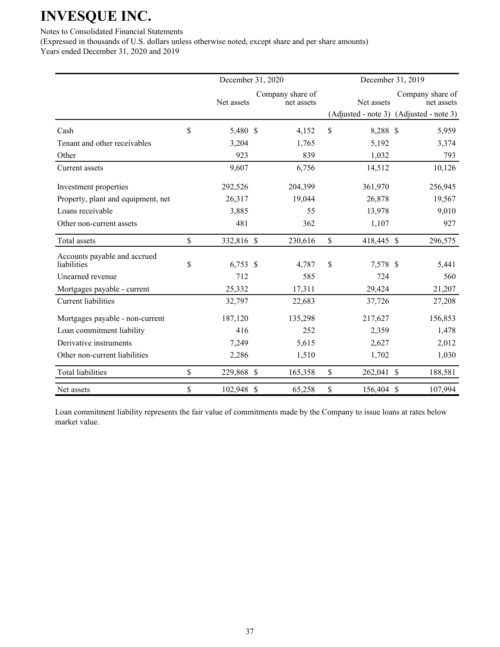Notes to Consolidated Financial Statements

(Expressed in thousands of U.S. dollars unless otherwise noted, except share and per share amounts) Years ended December 31, 2020 and 2019

|                                             | December 31, 2020 |                                | December 31, 2019 |                                                                           |
|---------------------------------------------|-------------------|--------------------------------|-------------------|---------------------------------------------------------------------------|
|                                             | Net assets        | Company share of<br>net assets | Net assets        | Company share of<br>net assets<br>(Adjusted - note 3) (Adjusted - note 3) |
| Cash                                        | \$<br>5,480 \$    | 4,152                          | \$<br>8,288 \$    | 5,959                                                                     |
| Tenant and other receivables                | 3,204             | 1,765                          | 5,192             | 3,374                                                                     |
| Other                                       | 923               | 839                            | 1,032             | 793                                                                       |
| Current assets                              | 9,607             | 6,756                          | 14,512            | 10,126                                                                    |
| Investment properties                       | 292,526           | 204,399                        | 361,970           | 256,945                                                                   |
| Property, plant and equipment, net          | 26,317            | 19,044                         | 26,878            | 19,567                                                                    |
| Loans receivable                            | 3,885             | 55                             | 13,978            | 9,010                                                                     |
| Other non-current assets                    | 481               | 362                            | 1,107             | 927                                                                       |
| Total assets                                | \$<br>332,816 \$  | 230,616                        | \$<br>418,445 \$  | 296,575                                                                   |
| Accounts payable and accrued<br>liabilities | \$<br>$6,753$ \$  | 4,787                          | \$<br>7,578 \$    | 5,441                                                                     |
| Unearned revenue                            | 712               | 585                            | 724               | 560                                                                       |
| Mortgages payable - current                 | 25,332            | 17,311                         | 29,424            | 21,207                                                                    |
| Current liabilities                         | 32,797            | 22,683                         | 37,726            | 27,208                                                                    |
| Mortgages payable - non-current             | 187,120           | 135,298                        | 217,627           | 156,853                                                                   |
| Loan commitment liability                   | 416               | 252                            | 2,359             | 1,478                                                                     |
| Derivative instruments                      | 7,249             | 5,615                          | 2,627             | 2,012                                                                     |
| Other non-current liabilities               | 2,286             | 1,510                          | 1,702             | 1,030                                                                     |
| <b>Total liabilities</b>                    | \$<br>229,868 \$  | 165,358                        | \$<br>262,041 \$  | 188,581                                                                   |
| Net assets                                  | \$<br>102,948 \$  | 65,258                         | \$<br>156,404 \$  | 107,994                                                                   |

Loan commitment liability represents the fair value of commitments made by the Company to issue loans at rates below market value.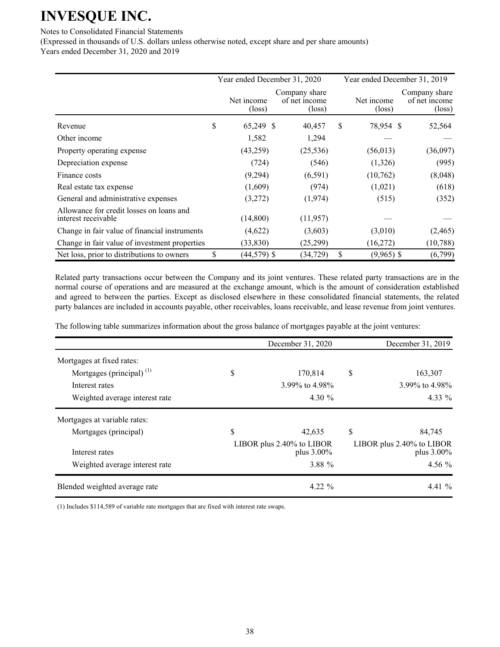Notes to Consolidated Financial Statements

(Expressed in thousands of U.S. dollars unless otherwise noted, except share and per share amounts) Years ended December 31, 2020 and 2019

Year ended December 31, 2020 Year ended December 31, 2019 Net income  $(\text{loss})$ Company share of net income  $(\text{loss})$ Net income  $(\text{loss})$ Company share of net income  $(\text{loss})$ Revenue 5 52,564 S 52,564 S 52,564 S 52,564 S 52,564 S 52,564 S 52,564 S 52,564 S 52,564 S 52,564 Other income  $1,582$   $1,294$   $-$ Property operating expense (43,259) (25,536) (56,013) (36,097) Depreciation expense (724) (546) (1,326) (995) Finance costs (9,294) (6,591) (10,762) (8,048) Real estate tax expense  $(1,609)$   $(974)$   $(1,021)$   $(618)$ General and administrative expenses  $(3,272)$   $(1,974)$   $(515)$   $(352)$ Allowance for credit losses on loans and interest receivable  $(14,800)$   $(11,957)$ Change in fair value of financial instruments  $(4,622)$   $(3,603)$   $(3,010)$   $(2,465)$ Change in fair value of investment properties (33,830) (25,299) (16,272) (10,788) Net loss, prior to distributions to owners  $\qquad$  (44,579) \$ (34,729) \ \$ (9,965) \$ (6,799)

Related party transactions occur between the Company and its joint ventures. These related party transactions are in the normal course of operations and are measured at the exchange amount, which is the amount of consideration established and agreed to between the parties. Except as disclosed elsewhere in these consolidated financial statements, the related party balances are included in accounts payable, other receivables, loans receivable, and lease revenue from joint ventures.

The following table summarizes information about the gross balance of mortgages payable at the joint ventures:

|                                |    | December 31, 2020                       | December 31, 2019                          |
|--------------------------------|----|-----------------------------------------|--------------------------------------------|
| Mortgages at fixed rates:      |    |                                         |                                            |
| Mortgages (principal) $(1)$    | \$ | 170,814                                 | \$<br>163,307                              |
| Interest rates                 |    | 3.99% to 4.98%                          | 3.99% to $4.98\%$                          |
| Weighted average interest rate |    | 4.30 $\%$                               | 4.33 $\%$                                  |
| Mortgages at variable rates:   |    |                                         |                                            |
| Mortgages (principal)          | S  | 42,635                                  | \$<br>84,745                               |
| Interest rates                 |    | LIBOR plus 2.40% to LIBOR<br>plus 3.00% | LIBOR plus 2.40% to LIBOR<br>plus $3.00\%$ |
| Weighted average interest rate |    | 3.88 %                                  | 4.56 $%$                                   |
| Blended weighted average rate  |    | $4.22 \%$                               | 4.41 $%$                                   |

(1) Includes \$114,589 of variable rate mortgages that are fixed with interest rate swaps.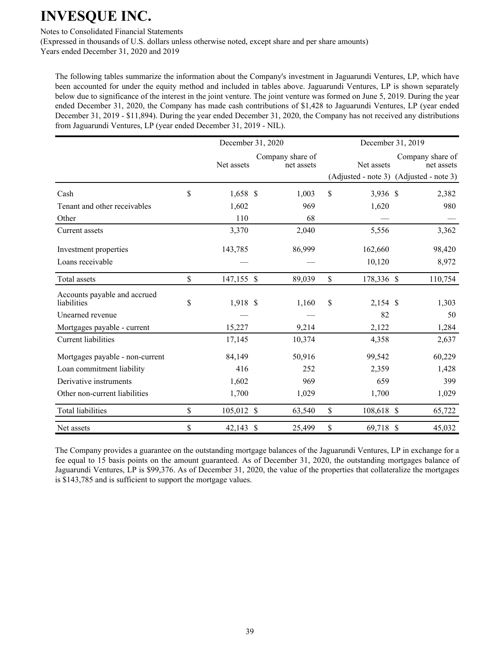Notes to Consolidated Financial Statements

(Expressed in thousands of U.S. dollars unless otherwise noted, except share and per share amounts) Years ended December 31, 2020 and 2019

The following tables summarize the information about the Company's investment in Jaguarundi Ventures, LP, which have been accounted for under the equity method and included in tables above. Jaguarundi Ventures, LP is shown separately below due to significance of the interest in the joint venture. The joint venture was formed on June 5, 2019. During the year ended December 31, 2020, the Company has made cash contributions of \$1,428 to Jaguarundi Ventures, LP (year ended December 31, 2019 - \$11,894). During the year ended December 31, 2020, the Company has not received any distributions from Jaguarundi Ventures, LP (year ended December 31, 2019 - NIL).

|                                             | December 31, 2020 |  |                                |               | December 31, 2019 |                                                                           |  |  |
|---------------------------------------------|-------------------|--|--------------------------------|---------------|-------------------|---------------------------------------------------------------------------|--|--|
|                                             | Net assets        |  | Company share of<br>net assets |               | Net assets        | Company share of<br>net assets<br>(Adjusted - note 3) (Adjusted - note 3) |  |  |
| Cash                                        | \$<br>1,658 \$    |  | 1,003                          | $\mathsf{\$}$ | 3,936 \$          | 2,382                                                                     |  |  |
| Tenant and other receivables                | 1,602             |  | 969                            |               | 1,620             | 980                                                                       |  |  |
| Other                                       | 110               |  | 68                             |               |                   |                                                                           |  |  |
| Current assets                              | 3,370             |  | 2,040                          |               | 5,556             | 3,362                                                                     |  |  |
| Investment properties                       | 143,785           |  | 86,999                         |               | 162,660           | 98,420                                                                    |  |  |
| Loans receivable                            |                   |  |                                |               | 10,120            | 8,972                                                                     |  |  |
| Total assets                                | \$<br>147,155 \$  |  | 89,039                         | \$            | 178,336 \$        | 110,754                                                                   |  |  |
| Accounts payable and accrued<br>liabilities | \$<br>1,918 \$    |  | 1,160                          | $\mathsf{\$}$ | $2,154$ \$        | 1,303                                                                     |  |  |
| Unearned revenue                            |                   |  |                                |               | 82                | 50                                                                        |  |  |
| Mortgages payable - current                 | 15,227            |  | 9,214                          |               | 2,122             | 1,284                                                                     |  |  |
| <b>Current liabilities</b>                  | 17,145            |  | 10,374                         |               | 4,358             | 2,637                                                                     |  |  |
| Mortgages payable - non-current             | 84,149            |  | 50,916                         |               | 99,542            | 60,229                                                                    |  |  |
| Loan commitment liability                   | 416               |  | 252                            |               | 2,359             | 1,428                                                                     |  |  |
| Derivative instruments                      | 1,602             |  | 969                            |               | 659               | 399                                                                       |  |  |
| Other non-current liabilities               | 1,700             |  | 1,029                          |               | 1,700             | 1,029                                                                     |  |  |
| <b>Total liabilities</b>                    | \$<br>105,012 \$  |  | 63,540                         | \$            | 108,618 \$        | 65,722                                                                    |  |  |
| Net assets                                  | \$<br>42,143 \$   |  | 25,499                         | \$            | 69,718 \$         | 45,032                                                                    |  |  |

The Company provides a guarantee on the outstanding mortgage balances of the Jaguarundi Ventures, LP in exchange for a fee equal to 15 basis points on the amount guaranteed. As of December 31, 2020, the outstanding mortgages balance of Jaguarundi Ventures, LP is \$99,376. As of December 31, 2020, the value of the properties that collateralize the mortgages is \$143,785 and is sufficient to support the mortgage values.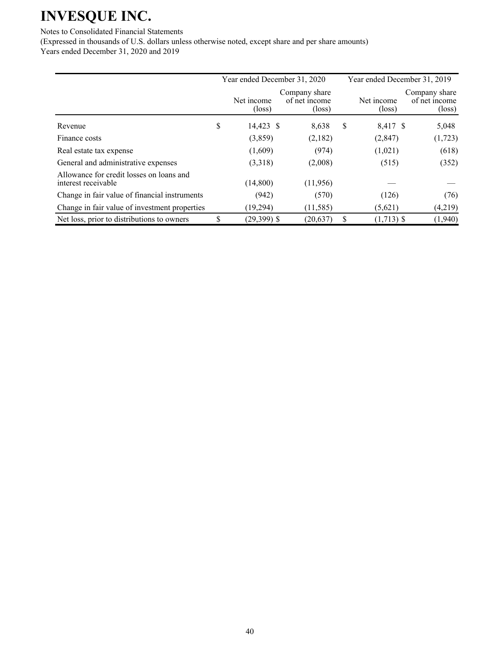Notes to Consolidated Financial Statements

(Expressed in thousands of U.S. dollars unless otherwise noted, except share and per share amounts) Years ended December 31, 2020 and 2019

|                                                                 | Year ended December 31, 2020 |                               |                                                   |    | Year ended December 31, 2019  |                                                   |  |  |
|-----------------------------------------------------------------|------------------------------|-------------------------------|---------------------------------------------------|----|-------------------------------|---------------------------------------------------|--|--|
|                                                                 |                              | Net income<br>$(\text{loss})$ | Company share<br>of net income<br>$(\text{loss})$ |    | Net income<br>$(\text{loss})$ | Company share<br>of net income<br>$(\text{loss})$ |  |  |
| Revenue                                                         | \$                           | 14,423 \$                     | 8,638                                             | \$ | 8,417 \$                      | 5,048                                             |  |  |
| Finance costs                                                   |                              | (3,859)                       | (2,182)                                           |    | (2, 847)                      | (1, 723)                                          |  |  |
| Real estate tax expense                                         |                              | (1,609)                       | (974)                                             |    | (1,021)                       | (618)                                             |  |  |
| General and administrative expenses                             |                              | (3,318)                       | (2,008)                                           |    | (515)                         | (352)                                             |  |  |
| Allowance for credit losses on loans and<br>interest receivable |                              | (14,800)                      | (11,956)                                          |    |                               |                                                   |  |  |
| Change in fair value of financial instruments                   |                              | (942)                         | (570)                                             |    | (126)                         | (76)                                              |  |  |
| Change in fair value of investment properties                   |                              | (19, 294)                     | (11, 585)                                         |    | (5,621)                       | (4,219)                                           |  |  |
| Net loss, prior to distributions to owners                      | \$                           | $(29,399)$ \$                 | (20, 637)                                         | S  | $(1,713)$ \$                  | (1,940)                                           |  |  |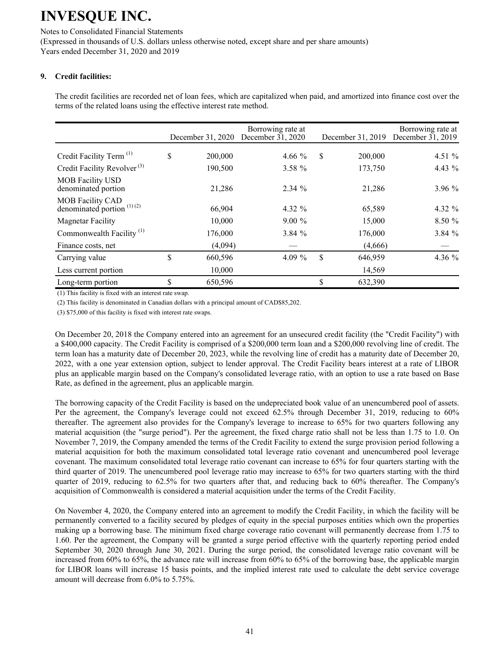Notes to Consolidated Financial Statements (Expressed in thousands of U.S. dollars unless otherwise noted, except share and per share amounts) Years ended December 31, 2020 and 2019

## **9.** Credit facilities:

The credit facilities are recorded net of loan fees, which are capitalized when paid, and amortized into finance cost over the terms of the related loans using the effective interest rate method.

|                                                         | December 31, 2020 | Borrowing rate at<br>December 31, 2020 | December 31, 2019 | Borrowing rate at<br>December $31, 2019$ |
|---------------------------------------------------------|-------------------|----------------------------------------|-------------------|------------------------------------------|
| Credit Facility Term <sup>(1)</sup>                     | \$<br>200,000     | 4.66 $%$                               | \$<br>200,000     | 4.51 $%$                                 |
| Credit Facility Revolver <sup>(3)</sup>                 | 190,500           | $3.58 \%$                              | 173,750           | 4.43 $%$                                 |
| <b>MOB</b> Facility USD<br>denominated portion          | 21,286            | 2.34%                                  | 21,286            | 3.96%                                    |
| <b>MOB Facility CAD</b><br>denominated portion $(1)(2)$ | 66,904            | 4.32 %                                 | 65,589            | 4.32 $%$                                 |
| <b>Magnetar Facility</b>                                | 10,000            | $9.00\%$                               | 15,000            | 8.50%                                    |
| Commonwealth Facility <sup>(1)</sup>                    | 176,000           | 3.84%                                  | 176,000           | 3.84 %                                   |
| Finance costs, net                                      | (4,094)           |                                        | (4,666)           |                                          |
| Carrying value                                          | \$<br>660,596     | 4.09 $%$                               | \$<br>646,959     | 4.36 %                                   |
| Less current portion                                    | 10,000            |                                        | 14,569            |                                          |
| Long-term portion                                       | \$<br>650,596     |                                        | \$<br>632,390     |                                          |

(1) This facility is fixed with an interest rate swap.

(2) This facility is denominated in Canadian dollars with a principal amount of CAD\$85,202.

 $(3)$  \$75,000 of this facility is fixed with interest rate swaps.

On December 20, 2018 the Company entered into an agreement for an unsecured credit facility (the "Credit Facility") with a \$400,000 capacity. The Credit Facility is comprised of a \$200,000 term loan and a \$200,000 revolving line of credit. The term loan has a maturity date of December 20, 2023, while the revolving line of credit has a maturity date of December 20, 2022, with a one year extension option, subject to lender approval. The Credit Facility bears interest at a rate of LIBOR plus an applicable margin based on the Company's consolidated leverage ratio, with an option to use a rate based on Base Rate, as defined in the agreement, plus an applicable margin.

The borrowing capacity of the Credit Facility is based on the undepreciated book value of an unencumbered pool of assets. Per the agreement, the Company's leverage could not exceed 62.5% through December 31, 2019, reducing to 60% thereafter. The agreement also provides for the Company's leverage to increase to 65% for two quarters following any material acquisition (the "surge period"). Per the agreement, the fixed charge ratio shall not be less than 1.75 to 1.0. On November 7, 2019, the Company amended the terms of the Credit Facility to extend the surge provision period following a material acquisition for both the maximum consolidated total leverage ratio covenant and unencumbered pool leverage covenant. The maximum consolidated total leverage ratio covenant can increase to 65% for four quarters starting with the third quarter of 2019. The unencumbered pool leverage ratio may increase to 65% for two quarters starting with the third quarter of 2019, reducing to 62.5% for two quarters after that, and reducing back to 60% thereafter. The Company's acquisition of Commonwealth is considered a material acquisition under the terms of the Credit Facility.

On November 4, 2020, the Company entered into an agreement to modify the Credit Facility, in which the facility will be permanently converted to a facility secured by pledges of equity in the special purposes entities which own the properties making up a borrowing base. The minimum fixed charge coverage ratio covenant will permanently decrease from 1.75 to 1.60. Per the agreement, the Company will be granted a surge period effective with the quarterly reporting period ended September 30, 2020 through June 30, 2021. During the surge period, the consolidated leverage ratio covenant will be increased from  $60\%$  to  $65\%$ , the advance rate will increase from  $60\%$  to  $65\%$  of the borrowing base, the applicable margin for LIBOR loans will increase 15 basis points, and the implied interest rate used to calculate the debt service coverage amount will decrease from 6.0% to 5.75%.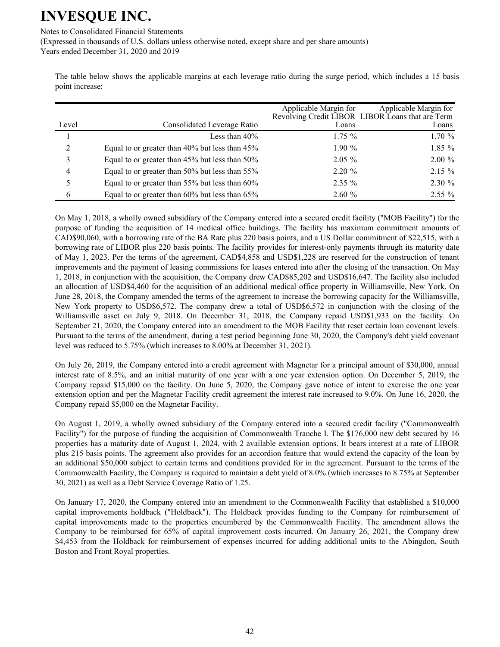Notes to Consolidated Financial Statements

(Expressed in thousands of U.S. dollars unless otherwise noted, except share and per share amounts) Years ended December 31, 2020 and 2019

The table below shows the applicable margins at each leverage ratio during the surge period, which includes a 15 basis point increase:

|                |                                                | Applicable Margin for | Applicable Margin for<br>Revolving Credit LIBOR LIBOR Loans that are Term |
|----------------|------------------------------------------------|-----------------------|---------------------------------------------------------------------------|
| Level          | Consolidated Leverage Ratio                    | Loans                 | Loans                                                                     |
|                | Less than $40\%$                               | $1.75 \%$             | 1.70%                                                                     |
| $\overline{2}$ | Equal to or greater than 40% but less than 45% | $1.90\%$              | $1.85\%$                                                                  |
| 3              | Equal to or greater than 45% but less than 50% | $2.05\%$              | $2.00 \%$                                                                 |
| 4              | Equal to or greater than 50% but less than 55% | $2.20 \%$             | $2.15 \%$                                                                 |
| 5              | Equal to or greater than 55% but less than 60% | $2.35\%$              | $2.30 \%$                                                                 |
| 6              | Equal to or greater than 60% but less than 65% | 2.60%                 | $2.55\%$                                                                  |

On May 1, 2018, a wholly owned subsidiary of the Company entered into a secured credit facility ("MOB Facility") for the purpose of funding the acquisition of 14 medical office buildings. The facility has maximum commitment amounts of CAD\$90,060, with a borrowing rate of the BA Rate plus 220 basis points, and a US Dollar commitment of \$22,515, with a borrowing rate of LIBOR plus 220 basis points. The facility provides for interest-only payments through its maturity date of May 1, 2023. Per the terms of the agreement, CAD\$4,858 and USD\$1,228 are reserved for the construction of tenant improvements and the payment of leasing commissions for leases entered into after the closing of the transaction. On May 1, 2018, in conjunction with the acquisition, the Company drew CAD\$85,202 and USD\$16,647. The facility also included an allocation of USD\$4,460 for the acquisition of an additional medical office property in Williamsville, New York. On June 28, 2018, the Company amended the terms of the agreement to increase the borrowing capacity for the Williamsville, New York property to USD\$6,572. The company drew a total of USD\$6,572 in conjunction with the closing of the Williamsville asset on July 9, 2018. On December 31, 2018, the Company repaid USD\$1,933 on the facility. On September 21, 2020, the Company entered into an amendment to the MOB Facility that reset certain loan covenant levels. Pursuant to the terms of the amendment, during a test period beginning June 30, 2020, the Company's debt yield covenant level was reduced to  $5.75\%$  (which increases to  $8.00\%$  at December 31, 2021).

On July 26, 2019, the Company entered into a credit agreement with Magnetar for a principal amount of \$30,000, annual interest rate of 8.5%, and an initial maturity of one year with a one year extension option. On December 5, 2019, the Company repaid \$15,000 on the facility. On June 5, 2020, the Company gave notice of intent to exercise the one year extension option and per the Magnetar Facility credit agreement the interest rate increased to 9.0%. On June 16, 2020, the Company repaid \$5,000 on the Magnetar Facility.

On August 1, 2019, a wholly owned subsidiary of the Company entered into a secured credit facility ("Commonwealth Facility") for the purpose of funding the acquisition of Commonwealth Tranche I. The \$176,000 new debt secured by 16 properties has a maturity date of August 1, 2024, with 2 available extension options. It bears interest at a rate of LIBOR plus 215 basis points. The agreement also provides for an accordion feature that would extend the capacity of the loan by an additional \$50,000 subject to certain terms and conditions provided for in the agreement. Pursuant to the terms of the Commonwealth Facility, the Company is required to maintain a debt yield of 8.0% (which increases to 8.75% at September 30, 2021) as well as a Debt Service Coverage Ratio of 1.25.

On January 17, 2020, the Company entered into an amendment to the Commonwealth Facility that established a \$10,000 capital improvements holdback ("Holdback"). The Holdback provides funding to the Company for reimbursement of capital improvements made to the properties encumbered by the Commonwealth Facility. The amendment allows the Company to be reimbursed for 65% of capital improvement costs incurred. On January 26, 2021, the Company drew \$4,453 from the Holdback for reimbursement of expenses incurred for adding additional units to the Abingdon, South Boston and Front Royal properties.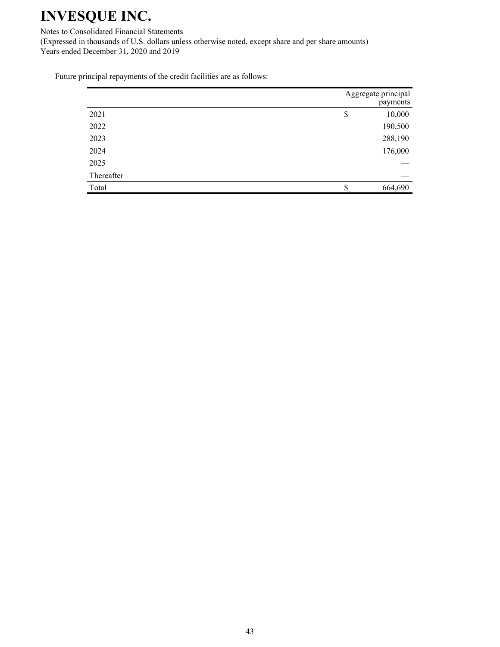Notes to Consolidated Financial Statements (Expressed in thousands of U.S. dollars unless otherwise noted, except share and per share amounts) Years ended December 31, 2020 and 2019

Future principal repayments of the credit facilities are as follows:

|            | Aggregate principal<br>payments |
|------------|---------------------------------|
| 2021       | \$<br>10,000                    |
| 2022       | 190,500                         |
| 2023       | 288,190                         |
| 2024       | 176,000                         |
| 2025       |                                 |
| Thereafter |                                 |
| Total      | 664,690                         |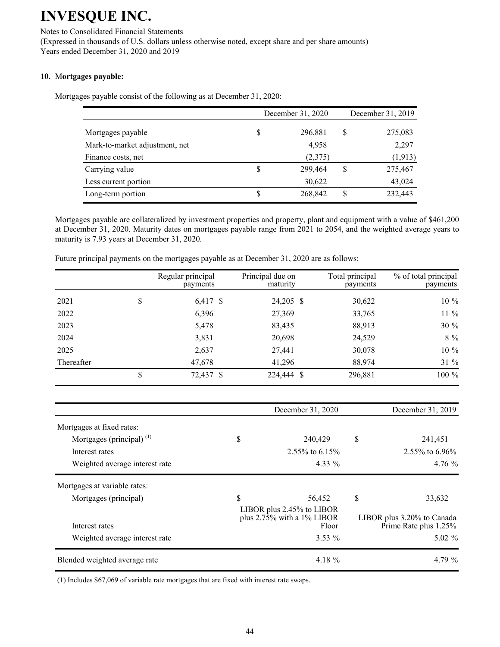## Notes to Consolidated Financial Statements

(Expressed in thousands of U.S. dollars unless otherwise noted, except share and per share amounts) Years ended December 31, 2020 and 2019

## 10. Mortgages payable:

Mortgages payable consist of the following as at December 31, 2020:

|                                |   | December 31, 2020 | December 31, 2019 |
|--------------------------------|---|-------------------|-------------------|
| Mortgages payable              |   | 296,881           | \$<br>275,083     |
| Mark-to-market adjustment, net |   | 4,958             | 2,297             |
| Finance costs, net             |   | (2,375)           | (1, 913)          |
| Carrying value                 | S | 299,464           | \$<br>275,467     |
| Less current portion           |   | 30,622            | 43,024            |
| Long-term portion              | S | 268,842           | \$<br>232,443     |

Mortgages payable are collateralized by investment properties and property, plant and equipment with a value of \$461,200 at December 31, 2020. Maturity dates on mortgages payable range from 2021 to 2054, and the weighted average years to maturity is 7.93 years at December 31, 2020.

|            | Regular principal<br>payments | Principal due on<br>maturity | Total principal<br>payments | % of total principal<br>payments |
|------------|-------------------------------|------------------------------|-----------------------------|----------------------------------|
| 2021       | \$<br>6,417 \$                | 24,205 \$                    | 30,622                      | 10 %                             |
| 2022       | 6,396                         | 27,369                       | 33,765                      | 11 %                             |
| 2023       | 5,478                         | 83,435                       | 88,913                      | 30 %                             |
| 2024       | 3,831                         | 20,698                       | 24,529                      | $8\ \%$                          |
| 2025       | 2,637                         | 27,441                       | 30,078                      | 10 %                             |
| Thereafter | 47,678                        | 41,296                       | 88,974                      | 31 %                             |
|            | 72,437 \$                     | 224,444 \$                   | 296,881                     | 100 %                            |

Future principal payments on the mortgages payable as at December 31, 2020 are as follows:

|                                |    | December 31, 2020                                                   | December 31, 2019                                   |
|--------------------------------|----|---------------------------------------------------------------------|-----------------------------------------------------|
| Mortgages at fixed rates:      |    |                                                                     |                                                     |
| Mortgages (principal) $(1)$    | \$ | 240,429                                                             | \$<br>241,451                                       |
| Interest rates                 |    | $2.55\%$ to 6.15%                                                   | 2.55% to 6.96%                                      |
| Weighted average interest rate |    | 4.33 $%$                                                            | $4.76\%$                                            |
| Mortgages at variable rates:   |    |                                                                     |                                                     |
| Mortgages (principal)          | S. | 56,452                                                              | \$<br>33,632                                        |
| Interest rates                 |    | LIBOR plus 2.45% to LIBOR<br>plus $2.75\%$ with a 1% LIBOR<br>Floor | LIBOR plus 3.20% to Canada<br>Prime Rate plus 1.25% |
| Weighted average interest rate |    | $3.53\%$                                                            | $5.02 \%$                                           |
| Blended weighted average rate  |    | 4.18 $%$                                                            | 4.79%                                               |

 $(1)$  Includes \$67,069 of variable rate mortgages that are fixed with interest rate swaps.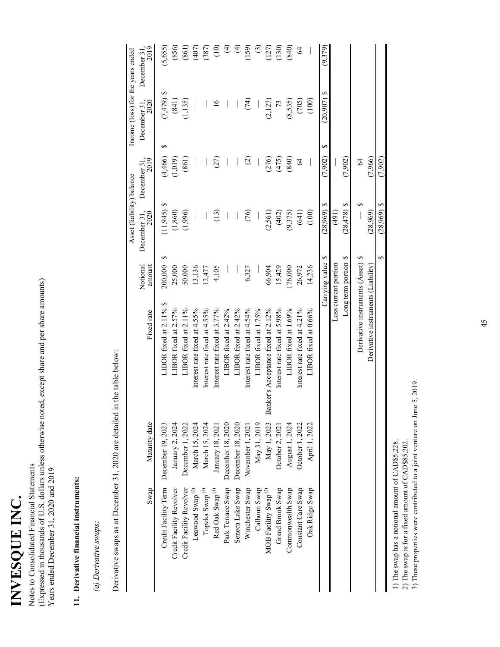INVESQUE INC. INVESQUE INC.

Notes to Consolidated Financial Statements<br>(Expressed in thousands of U.S. dollars unless otherwise noted, except share and per share amounts) dollars unless otherwise noted, except share and per share amounts) Notes to Consolidated Financial Statements Years ended December 31, 2020 and 2019 Years ended December 31, 2020 and 2019 (Expressed in thousands of U.

# 11. Derivative financial instruments: **11. Derivative financial instruments:**

(a) Derivative swaps: *(a) Derivative swaps*: Derivative swaps as at December 31, 2020 are detailed in the table below: Derivative swaps as at December 31, 2020 are detailed in the table below:

|                      |                                   | (7,902)              | $(28,969)$ \$             | S                    |                                    |                   |                             |
|----------------------|-----------------------------------|----------------------|---------------------------|----------------------|------------------------------------|-------------------|-----------------------------|
|                      |                                   | (7,966)              | (28,969)                  |                      | Derivative instruments (Liability) |                   |                             |
|                      |                                   | $\mathcal{L}$        |                           |                      | Derivative instruments (Asset)     |                   |                             |
|                      |                                   | (7,902)              | $(28, 478)$ \$            | Long term portion \$ |                                    |                   |                             |
|                      |                                   |                      | (191)                     | Less current portion |                                    |                   |                             |
| (9,379)              | $(20,907)$ \$<br>↮                | (7,902)              | $(28,969)$ \$             | ∽<br>Carrying value  |                                    |                   |                             |
|                      | (100)                             |                      | (100)                     | 14,236               | LIBOR fixed at 0.66%               | April 1, 2022     | Oak Ridge Swap              |
| $\mathcal{Z}$        | (705)                             | $\mathcal{L}$        | (641)                     | 26,972               | Interest rate fixed at 4.21%       | October 1, 2022   | Constant Care Swap          |
| (840)                | (8,535)                           | (840)                | (9,375)                   | 176,000              | LIBOR fixed at 1.69%               | August 1, 2024    | Commonwealth Swap           |
| (130)                | 73                                | (475)                | (402)                     | 15,429               | Interest rate fixed at 5.98%       | October 2, 2021   | Grand Brook Swap            |
| (127)                | (2,127)                           | (276)                | (2,561)                   | 66,904               | Banker's Acceptance fixed at 2.12% | May 1, 2023       | MOB Facility Swap $^{(2)}$  |
| $\odot$              |                                   |                      |                           |                      | LIBOR fixed at 1.75%               | May 31, 2019      | Calhoun Swap                |
| (159)                | $\widetilde{(\mathcal{F})}$       | $\odot$              | $\widetilde{S}$           | 6,327                | Interest rate fixed at 4.54%       | November 1, 2021  | Winchester Swap             |
| $\bigoplus$          |                                   |                      |                           |                      | LIBOR fixed at 2.42%               | December 18, 2020 | Seneca Lake Swap            |
| $\bigoplus$          |                                   |                      |                           |                      | LIBOR fixed at 2.42%               | December 18, 2020 | Park Terrace Swap           |
| $\overline{10}$      | $\tilde{a}$                       | (27)                 | $\binom{3}{2}$            | 4,105                | Interest rate fixed at 3.77%       | January 18, 2021  | Red Oak Swap <sup>(1)</sup> |
| (387)                |                                   |                      |                           | 12,477               | Interest rate fixed at 4.55%       | March 15, 2024    | Topeka Swap <sup>(3)</sup>  |
| (407)                |                                   |                      |                           | 13,136               | Interest rate fixed at 4.55%       | March 15, 2024    | Leawood Swap <sup>(3)</sup> |
| (861)                | (1, 135)                          | (861)                | (1,996)                   | 50,000               | LIBOR fixed at 2.11%               | December 1, 2022  | Credit Facility Revolver    |
| (856)                | (841)                             | (1,019)              | (1, 860)                  | 25,000               | LIBOR fixed at 2.57%               | January 2, 2024   | Credit Facility Revolver    |
| (5,655)              | $(7,479)$ \$<br>5                 | (4,466)              | $(11,945)$ \$             | ∽<br>200,000         | LIBOR fixed at 2.11% \$            | December 19, 2023 | Credit Facility Term        |
| December 31,<br>2019 | December 31,<br>2020              | December 31,<br>2019 | December 31,<br>2020      | Notional<br>amount   | Fixed rate                         | Maturity date     | Swap                        |
|                      | Income (loss) for the years ended |                      | Asset (liability) balance |                      |                                    |                   |                             |

1) The swap has a notional amount of CAD\$5,228. 1) The swap has a notional amount of CAD\$5,228.

 $(28,969)$  \$  $(7,902)$ 

2) The swap is for a fixed amount of  $\text{CAD}$ 885,202. 3) These properties were contributed to a joint venture on June 5, 2019.  $45$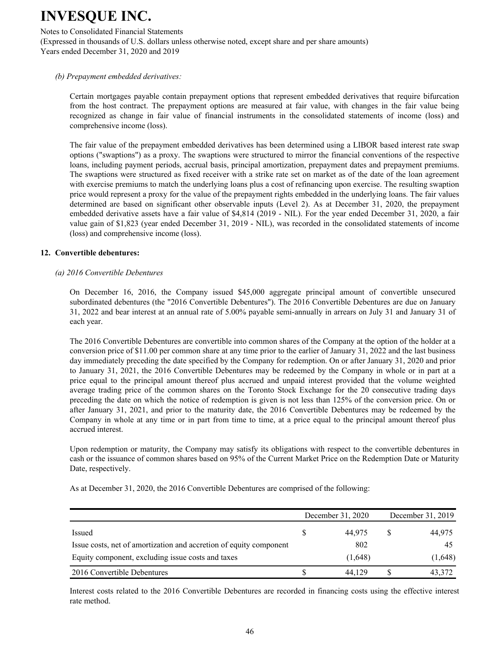Notes to Consolidated Financial Statements

(Expressed in thousands of U.S. dollars unless otherwise noted, except share and per share amounts) Years ended December 31, 2020 and 2019

## *(b) Prepayment embedded derivatives:*

Certain mortgages payable contain prepayment options that represent embedded derivatives that require bifurcation from the host contract. The prepayment options are measured at fair value, with changes in the fair value being recognized as change in fair value of financial instruments in the consolidated statements of income (loss) and comprehensive income (loss).

The fair value of the prepayment embedded derivatives has been determined using a LIBOR based interest rate swap options ("swaptions") as a proxy. The swaptions were structured to mirror the financial conventions of the respective loans, including payment periods, accrual basis, principal amortization, prepayment dates and prepayment premiums. The swaptions were structured as fixed receiver with a strike rate set on market as of the date of the loan agreement with exercise premiums to match the underlying loans plus a cost of refinancing upon exercise. The resulting swaption price would represent a proxy for the value of the prepayment rights embedded in the underlying loans. The fair values determined are based on significant other observable inputs (Level 2). As at December 31, 2020, the prepayment embedded derivative assets have a fair value of \$4,814 (2019 - NIL). For the year ended December 31, 2020, a fair value gain of \$1,823 (year ended December 31, 2019 - NIL), was recorded in the consolidated statements of income (loss) and comprehensive income (loss).

#### **12. Convertible debentures:**

## $(a)$  2016 Convertible Debentures

On December 16, 2016, the Company issued \$45,000 aggregate principal amount of convertible unsecured subordinated debentures (the "2016 Convertible Debentures"). The 2016 Convertible Debentures are due on January 31, 2022 and bear interest at an annual rate of  $5.00\%$  payable semi-annually in arrears on July 31 and January 31 of each year.

The 2016 Convertible Debentures are convertible into common shares of the Company at the option of the holder at a conversion price of \$11.00 per common share at any time prior to the earlier of January 31, 2022 and the last business day immediately preceding the date specified by the Company for redemption. On or after January 31, 2020 and prior to January 31, 2021, the 2016 Convertible Debentures may be redeemed by the Company in whole or in part at a price equal to the principal amount thereof plus accrued and unpaid interest provided that the volume weighted average trading price of the common shares on the Toronto Stock Exchange for the 20 consecutive trading days preceding the date on which the notice of redemption is given is not less than 125% of the conversion price. On or after January 31, 2021, and prior to the maturity date, the 2016 Convertible Debentures may be redeemed by the Company in whole at any time or in part from time to time, at a price equal to the principal amount thereof plus accrued interest.

Upon redemption or maturity, the Company may satisfy its obligations with respect to the convertible debentures in cash or the issuance of common shares based on 95% of the Current Market Price on the Redemption Date or Maturity Date, respectively.

As at December 31, 2020, the 2016 Convertible Debentures are comprised of the following:

|                                                                    | December 31, 2020 | December 31, 2019 |         |  |
|--------------------------------------------------------------------|-------------------|-------------------|---------|--|
| Issued                                                             | 44.975            |                   | 44,975  |  |
| Issue costs, net of amortization and accretion of equity component | 802               |                   | 45      |  |
| Equity component, excluding issue costs and taxes                  | (1,648)           |                   | (1,648) |  |
| 2016 Convertible Debentures                                        | 44 129            |                   | 43,372  |  |

Interest costs related to the 2016 Convertible Debentures are recorded in financing costs using the effective interest rate method.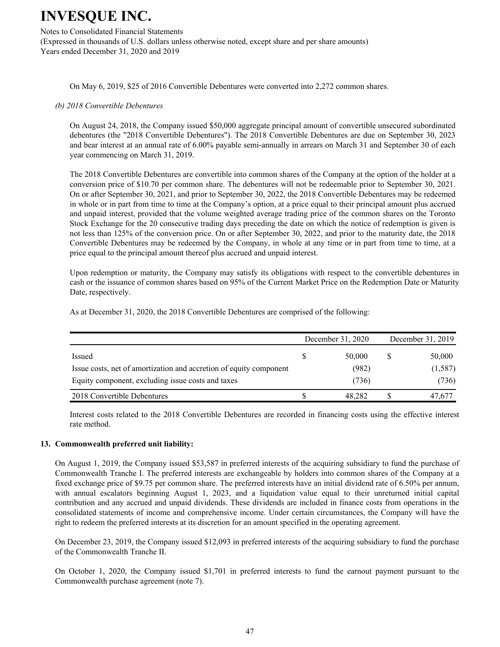#### Notes to Consolidated Financial Statements

(Expressed in thousands of U.S. dollars unless otherwise noted, except share and per share amounts) Years ended December 31, 2020 and 2019

On May 6, 2019, \$25 of 2016 Convertible Debentures were converted into 2,272 common shares.

#### (b) 2018 Convertible Debentures

On August 24, 2018, the Company issued \$50,000 aggregate principal amount of convertible unsecured subordinated debentures (the "2018 Convertible Debentures"). The 2018 Convertible Debentures are due on September 30, 2023 and bear interest at an annual rate of 6.00% payable semi-annually in arrears on March 31 and September 30 of each year commencing on March 31, 2019.

The 2018 Convertible Debentures are convertible into common shares of the Company at the option of the holder at a conversion price of \$10.70 per common share. The debentures will not be redeemable prior to September 30, 2021. On or after September 30, 2021, and prior to September 30, 2022, the 2018 Convertible Debentures may be redeemed in whole or in part from time to time at the Company's option, at a price equal to their principal amount plus accrued and unpaid interest, provided that the volume weighted average trading price of the common shares on the Toronto Stock Exchange for the 20 consecutive trading days preceding the date on which the notice of redemption is given is not less than 125% of the conversion price. On or after September 30, 2022, and prior to the maturity date, the 2018 Convertible Debentures may be redeemed by the Company, in whole at any time or in part from time to time, at a price equal to the principal amount thereof plus accrued and unpaid interest.

Upon redemption or maturity, the Company may satisfy its obligations with respect to the convertible debentures in cash or the issuance of common shares based on 95% of the Current Market Price on the Redemption Date or Maturity Date, respectively.

As at December 31, 2020, the 2018 Convertible Debentures are comprised of the following:

|                                                                    | December 31, 2020 | December 31, 2019 |
|--------------------------------------------------------------------|-------------------|-------------------|
| Issued                                                             | 50,000            | 50,000            |
| Issue costs, net of amortization and accretion of equity component | (982)             | (1,587)           |
| Equity component, excluding issue costs and taxes                  | (736)             | (736)             |
| 2018 Convertible Debentures                                        | 48.282            | 47,677            |

Interest costs related to the 2018 Convertible Debentures are recorded in financing costs using the effective interest rate method.

#### **13. Commonwealth preferred unit liability:**

On August 1, 2019, the Company issued \$53,587 in preferred interests of the acquiring subsidiary to fund the purchase of Commonwealth Tranche I. The preferred interests are exchangeable by holders into common shares of the Company at a fixed exchange price of \$9.75 per common share. The preferred interests have an initial dividend rate of 6.50% per annum, with annual escalators beginning August 1, 2023, and a liquidation value equal to their unreturned initial capital contribution and any accrued and unpaid dividends. These dividends are included in finance costs from operations in the consolidated statements of income and comprehensive income. Under certain circumstances, the Company will have the right to redeem the preferred interests at its discretion for an amount specified in the operating agreement.

On December 23, 2019, the Company issued \$12,093 in preferred interests of the acquiring subsidiary to fund the purchase of the Commonwealth Tranche II.

On October 1, 2020, the Company issued \$1,701 in preferred interests to fund the earnout payment pursuant to the Commonwealth purchase agreement (note 7).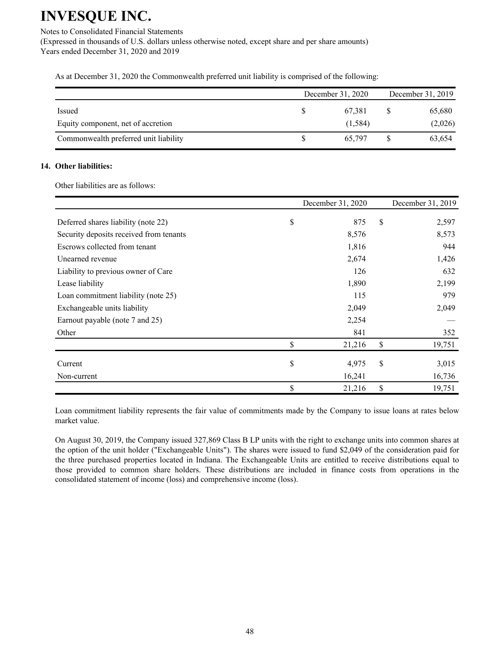Notes to Consolidated Financial Statements

(Expressed in thousands of U.S. dollars unless otherwise noted, except share and per share amounts) Years ended December 31, 2020 and 2019

As at December 31, 2020 the Commonwealth preferred unit liability is comprised of the following:

|                                       | December 31, 2020 |          |  | December 31, 2019 |  |  |
|---------------------------------------|-------------------|----------|--|-------------------|--|--|
| Issued                                |                   | 67.381   |  | 65,680            |  |  |
| Equity component, net of accretion    |                   | (1, 584) |  | (2,026)           |  |  |
| Commonwealth preferred unit liability |                   | 65,797   |  | 63,654            |  |  |

## 14. Other liabilities:

Other liabilities are as follows:

|                                         | December 31, 2020 | December 31, 2019 |
|-----------------------------------------|-------------------|-------------------|
| Deferred shares liability (note 22)     | \$<br>875         | \$<br>2,597       |
| Security deposits received from tenants | 8,576             | 8,573             |
| Escrows collected from tenant           | 1,816             | 944               |
| Unearned revenue                        | 2,674             | 1,426             |
| Liability to previous owner of Care     | 126               | 632               |
| Lease liability                         | 1,890             | 2,199             |
| Loan commitment liability (note 25)     | 115               | 979               |
| Exchangeable units liability            | 2,049             | 2,049             |
| Earnout payable (note 7 and 25)         | 2,254             |                   |
| Other                                   | 841               | 352               |
|                                         | \$<br>21,216      | \$<br>19,751      |
| Current                                 | \$<br>4,975       | \$<br>3,015       |
| Non-current                             | 16,241            | 16,736            |
|                                         | \$<br>21,216      | \$<br>19,751      |

Loan commitment liability represents the fair value of commitments made by the Company to issue loans at rates below market value.

On August 30, 2019, the Company issued 327,869 Class B LP units with the right to exchange units into common shares at the option of the unit holder ("Exchangeable Units"). The shares were issued to fund \$2,049 of the consideration paid for the three purchased properties located in Indiana. The Exchangeable Units are entitled to receive distributions equal to those provided to common share holders. These distributions are included in finance costs from operations in the consolidated statement of income (loss) and comprehensive income (loss).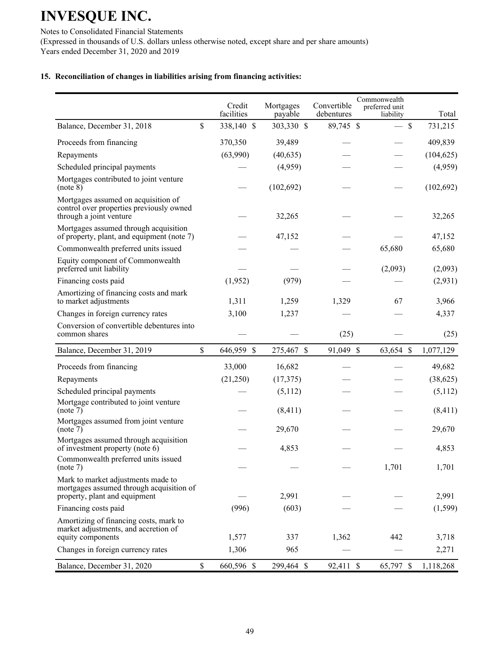Notes to Consolidated Financial Statements (Expressed in thousands of U.S. dollars unless otherwise noted, except share and per share amounts) Years ended December 31, 2020 and 2019

## 15. Reconciliation of changes in liabilities arising from financing activities:

|                                                                                                                 | Credit<br>facilities | Mortgages<br>payable | Convertible<br>debentures | Commonwealth<br>preferred unit<br>liability | Total      |
|-----------------------------------------------------------------------------------------------------------------|----------------------|----------------------|---------------------------|---------------------------------------------|------------|
| Balance, December 31, 2018                                                                                      | \$<br>338,140 \$     | 303,330 \$           | 89,745 \$                 | $-$ \$                                      | 731,215    |
| Proceeds from financing                                                                                         | 370,350              | 39,489               |                           |                                             | 409,839    |
| Repayments                                                                                                      | (63,990)             | (40, 635)            |                           |                                             | (104, 625) |
| Scheduled principal payments                                                                                    |                      | (4,959)              |                           |                                             | (4,959)    |
| Mortgages contributed to joint venture<br>(note 8)                                                              |                      | (102, 692)           |                           |                                             | (102, 692) |
| Mortgages assumed on acquisition of<br>control over properties previously owned<br>through a joint venture      |                      | 32,265               |                           |                                             | 32,265     |
| Mortgages assumed through acquisition<br>of property, plant, and equipment (note 7)                             |                      | 47,152               |                           |                                             | 47,152     |
| Commonwealth preferred units issued                                                                             |                      |                      |                           | 65,680                                      | 65,680     |
| Equity component of Commonwealth<br>preferred unit liability                                                    |                      |                      |                           | (2,093)                                     | (2,093)    |
| Financing costs paid                                                                                            | (1,952)              | (979)                |                           |                                             | (2,931)    |
| Amortizing of financing costs and mark<br>to market adjustments                                                 | 1,311                | 1,259                | 1,329                     | 67                                          | 3,966      |
| Changes in foreign currency rates                                                                               | 3,100                | 1,237                |                           |                                             | 4,337      |
| Conversion of convertible debentures into<br>common shares                                                      |                      |                      | (25)                      |                                             | (25)       |
| Balance, December 31, 2019                                                                                      | \$<br>646,959 \$     | 275,467 \$           | 91,049 \$                 | 63,654 \$                                   | 1,077,129  |
| Proceeds from financing                                                                                         | 33,000               | 16,682               |                           |                                             | 49,682     |
| Repayments                                                                                                      | (21,250)             | (17, 375)            |                           |                                             | (38, 625)  |
| Scheduled principal payments                                                                                    |                      | (5,112)              |                           |                                             | (5,112)    |
| Mortgage contributed to joint venture<br>(note 7)                                                               |                      | (8, 411)             |                           |                                             | (8, 411)   |
| Mortgages assumed from joint venture<br>(note 7)                                                                |                      | 29,670               |                           |                                             | 29,670     |
| Mortgages assumed through acquisition<br>of investment property (note 6)                                        |                      | 4,853                |                           |                                             | 4,853      |
| Commonwealth preferred units issued<br>(note 7)                                                                 |                      |                      |                           | 1,701                                       | 1,701      |
| Mark to market adjustments made to<br>mortgages assumed through acquisition of<br>property, plant and equipment |                      | 2,991                |                           |                                             | 2,991      |
| Financing costs paid                                                                                            | (996)                | (603)                |                           |                                             | (1, 599)   |
| Amortizing of financing costs, mark to<br>market adjustments, and accretion of<br>equity components             | 1,577                | 337                  | 1,362                     | 442                                         | 3,718      |
| Changes in foreign currency rates                                                                               | 1,306                | 965                  |                           |                                             | 2,271      |
| Balance, December 31, 2020                                                                                      | \$<br>660,596 \$     | 299,464 \$           | 92,411 \$                 | 65,797 \$                                   | 1,118,268  |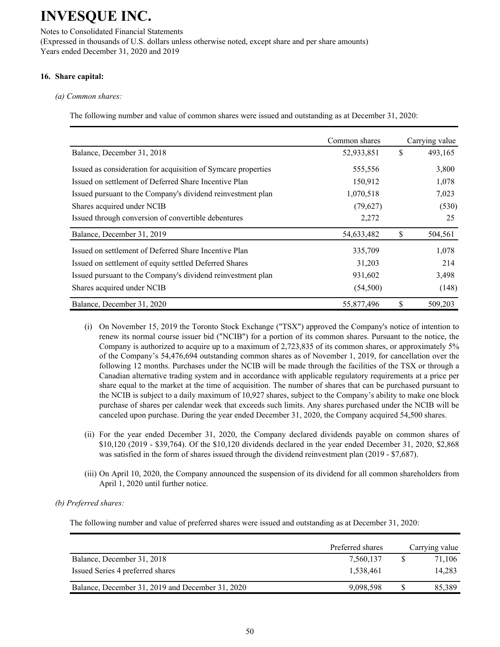Notes to Consolidated Financial Statements (Expressed in thousands of U.S. dollars unless otherwise noted, except share and per share amounts) Years ended December 31, 2020 and 2019

## 16. Share capital:

#### *(a)* Common shares:

The following number and value of common shares were issued and outstanding as at December 31, 2020:

|                                                               | Common shares | Carrying value |
|---------------------------------------------------------------|---------------|----------------|
| Balance, December 31, 2018                                    | 52,933,851    | \$<br>493,165  |
| Issued as consideration for acquisition of Symcare properties | 555,556       | 3,800          |
| Issued on settlement of Deferred Share Incentive Plan         | 150,912       | 1,078          |
| Issued pursuant to the Company's dividend reinvestment plan   | 1,070,518     | 7,023          |
| Shares acquired under NCIB                                    | (79,627)      | (530)          |
| Issued through conversion of convertible debentures           | 2,272         | 25             |
| Balance, December 31, 2019                                    | 54,633,482    | \$<br>504,561  |
| Issued on settlement of Deferred Share Incentive Plan         | 335,709       | 1,078          |
| Issued on settlement of equity settled Deferred Shares        | 31,203        | 214            |
| Issued pursuant to the Company's dividend reinvestment plan   | 931,602       | 3,498          |
| Shares acquired under NCIB                                    | (54,500)      | (148)          |
| Balance, December 31, 2020                                    | 55,877,496    | \$<br>509,203  |

- (i) On November 15, 2019 the Toronto Stock Exchange ("TSX") approved the Company's notice of intention to renew its normal course issuer bid ("NCIB") for a portion of its common shares. Pursuant to the notice, the Company is authorized to acquire up to a maximum of 2,723,835 of its common shares, or approximately 5% of the Company's 54,476,694 outstanding common shares as of November 1, 2019, for cancellation over the following 12 months. Purchases under the NCIB will be made through the facilities of the TSX or through a Canadian alternative trading system and in accordance with applicable regulatory requirements at a price per share equal to the market at the time of acquisition. The number of shares that can be purchased pursuant to the NCIB is subject to a daily maximum of 10,927 shares, subject to the Company's ability to make one block purchase of shares per calendar week that exceeds such limits. Any shares purchased under the NCIB will be canceled upon purchase. During the year ended December 31, 2020, the Company acquired 54,500 shares.
- (ii) For the year ended December 31, 2020, the Company declared dividends payable on common shares of  $$10,120$  (2019 - \$39,764). Of the  $$10,120$  dividends declared in the year ended December 31, 2020, \$2,868 was satisfied in the form of shares issued through the dividend reinvestment plan  $(2019 - $7,687)$ .
- (iii) On April 10, 2020, the Company announced the suspension of its dividend for all common shareholders from April 1, 2020 until further notice.

## *(b)* Preferred shares:

The following number and value of preferred shares were issued and outstanding as at December 31, 2020:

|                                                  | Preferred shares | Carrying value |
|--------------------------------------------------|------------------|----------------|
| Balance, December 31, 2018                       | 7,560,137        | 71.106         |
| Issued Series 4 preferred shares                 | 1,538,461        | 14.283         |
| Balance, December 31, 2019 and December 31, 2020 | 9,098,598        | 85.389         |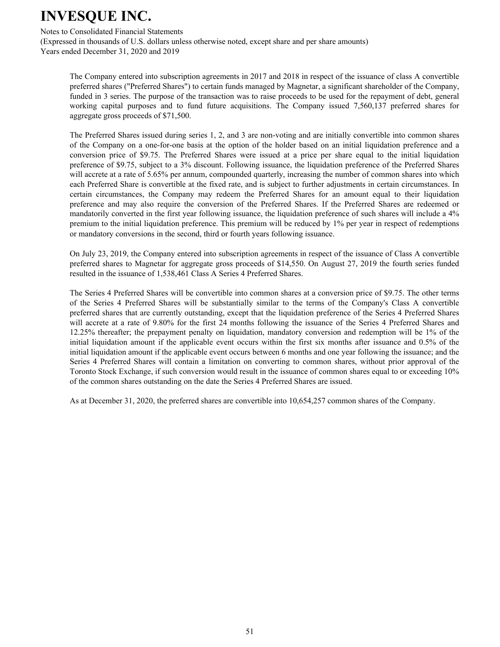Notes to Consolidated Financial Statements

(Expressed in thousands of U.S. dollars unless otherwise noted, except share and per share amounts) Years ended December 31, 2020 and 2019

The Company entered into subscription agreements in 2017 and 2018 in respect of the issuance of class A convertible preferred shares ("Preferred Shares") to certain funds managed by Magnetar, a significant shareholder of the Company, funded in 3 series. The purpose of the transaction was to raise proceeds to be used for the repayment of debt, general working capital purposes and to fund future acquisitions. The Company issued 7,560,137 preferred shares for aggregate gross proceeds of \$71,500.

The Preferred Shares issued during series 1, 2, and 3 are non-voting and are initially convertible into common shares of the Company on a one-for-one basis at the option of the holder based on an initial liquidation preference and a conversion price of \$9.75. The Preferred Shares were issued at a price per share equal to the initial liquidation preference of \$9.75, subject to a 3% discount. Following issuance, the liquidation preference of the Preferred Shares will accrete at a rate of 5.65% per annum, compounded quarterly, increasing the number of common shares into which each Preferred Share is convertible at the fixed rate, and is subject to further adjustments in certain circumstances. In certain circumstances, the Company may redeem the Preferred Shares for an amount equal to their liquidation preference and may also require the conversion of the Preferred Shares. If the Preferred Shares are redeemed or mandatorily converted in the first year following issuance, the liquidation preference of such shares will include a 4% premium to the initial liquidation preference. This premium will be reduced by 1% per year in respect of redemptions or mandatory conversions in the second, third or fourth years following issuance.

On July 23, 2019, the Company entered into subscription agreements in respect of the issuance of Class A convertible preferred shares to Magnetar for aggregate gross proceeds of \$14,550. On August 27, 2019 the fourth series funded resulted in the issuance of 1,538,461 Class A Series 4 Preferred Shares.

The Series 4 Preferred Shares will be convertible into common shares at a conversion price of \$9.75. The other terms of the Series 4 Preferred Shares will be substantially similar to the terms of the Company's Class A convertible preferred shares that are currently outstanding, except that the liquidation preference of the Series 4 Preferred Shares will accrete at a rate of 9.80% for the first 24 months following the issuance of the Series 4 Preferred Shares and 12.25% thereafter; the prepayment penalty on liquidation, mandatory conversion and redemption will be 1% of the initial liquidation amount if the applicable event occurs within the first six months after issuance and 0.5% of the initial liquidation amount if the applicable event occurs between 6 months and one year following the issuance; and the Series 4 Preferred Shares will contain a limitation on converting to common shares, without prior approval of the Toronto Stock Exchange, if such conversion would result in the issuance of common shares equal to or exceeding 10% of the common shares outstanding on the date the Series 4 Preferred Shares are issued.

As at December 31, 2020, the preferred shares are convertible into 10,654,257 common shares of the Company.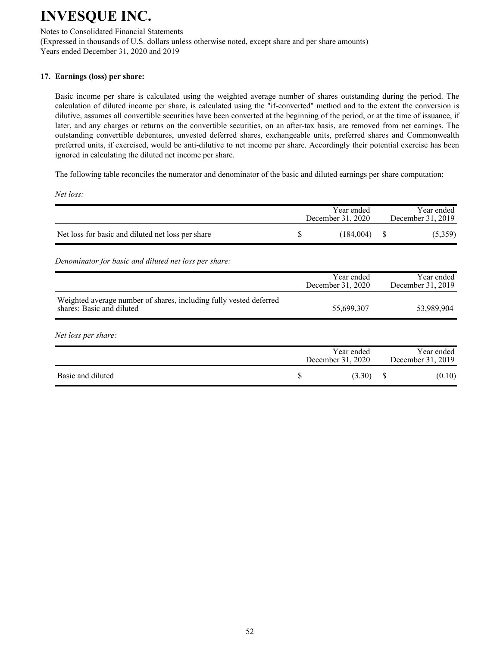Notes to Consolidated Financial Statements

(Expressed in thousands of U.S. dollars unless otherwise noted, except share and per share amounts) Years ended December 31, 2020 and 2019

## 17. Earnings (loss) per share:

Basic income per share is calculated using the weighted average number of shares outstanding during the period. The calculation of diluted income per share, is calculated using the "if-converted" method and to the extent the conversion is dilutive, assumes all convertible securities have been converted at the beginning of the period, or at the time of issuance, if later, and any charges or returns on the convertible securities, on an after-tax basis, are removed from net earnings. The outstanding convertible debentures, unvested deferred shares, exchangeable units, preferred shares and Commonwealth preferred units, if exercised, would be anti-dilutive to net income per share. Accordingly their potential exercise has been ignored in calculating the diluted net income per share.

The following table reconciles the numerator and denominator of the basic and diluted earnings per share computation:

*Net loss:* 

|                                                                                                 |    | Year ended<br>December 31, 2020 |          | Year ended<br>December 31, 2019 |
|-------------------------------------------------------------------------------------------------|----|---------------------------------|----------|---------------------------------|
| Net loss for basic and diluted net loss per share                                               | S  | (184,004)                       | <b>S</b> | (5,359)                         |
| Denominator for basic and diluted net loss per share:                                           |    |                                 |          |                                 |
|                                                                                                 |    | Year ended<br>December 31, 2020 |          | Year ended<br>December 31, 2019 |
| Weighted average number of shares, including fully vested deferred<br>shares: Basic and diluted |    | 55,699,307                      |          | 53,989,904                      |
| Net loss per share:                                                                             |    |                                 |          |                                 |
|                                                                                                 |    | Year ended<br>December 31, 2020 |          | Year ended<br>December 31, 2019 |
| Basic and diluted                                                                               | \$ | (3.30)                          | S        | (0.10)                          |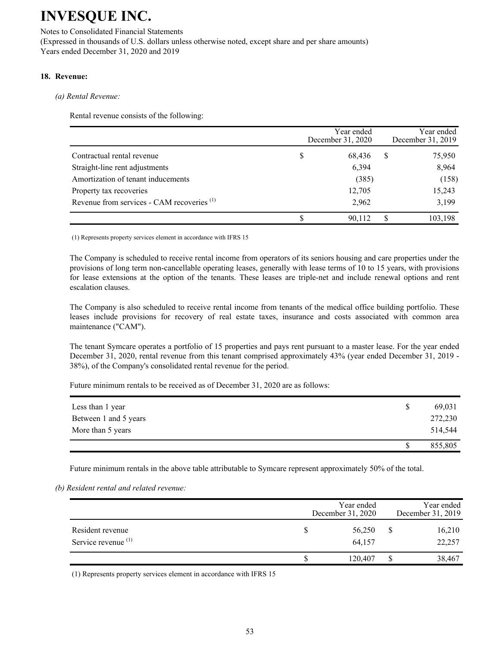Notes to Consolidated Financial Statements (Expressed in thousands of U.S. dollars unless otherwise noted, except share and per share amounts) Years ended December 31, 2020 and 2019

## 18. Revenue:

#### *(a)* Rental Revenue:

Rental revenue consists of the following:

|                                                       |   | Year ended<br>December 31, 2020 |   | Year ended<br>December 31, 2019 |
|-------------------------------------------------------|---|---------------------------------|---|---------------------------------|
| Contractual rental revenue                            | S | 68,436                          | S | 75,950                          |
| Straight-line rent adjustments                        |   | 6,394                           |   | 8,964                           |
| Amortization of tenant inducements                    |   | (385)                           |   | (158)                           |
| Property tax recoveries                               |   | 12,705                          |   | 15,243                          |
| Revenue from services - CAM recoveries <sup>(1)</sup> |   | 2,962                           |   | 3,199                           |
|                                                       |   | 90.112                          |   | 103,198                         |

(1) Represents property services element in accordance with IFRS 15

The Company is scheduled to receive rental income from operators of its seniors housing and care properties under the provisions of long term non-cancellable operating leases, generally with lease terms of 10 to 15 years, with provisions for lease extensions at the option of the tenants. These leases are triple-net and include renewal options and rent escalation clauses.

The Company is also scheduled to receive rental income from tenants of the medical office building portfolio. These leases include provisions for recovery of real estate taxes, insurance and costs associated with common area maintenance ("CAM").

The tenant Symcare operates a portfolio of 15 properties and pays rent pursuant to a master lease. For the year ended December 31, 2020, rental revenue from this tenant comprised approximately 43% (year ended December 31, 2019 -38%), of the Company's consolidated rental revenue for the period.

Future minimum rentals to be received as of December 31, 2020 are as follows:

| Less than 1 year      | <sup>S</sup> | 69,031  |
|-----------------------|--------------|---------|
| Between 1 and 5 years |              | 272,230 |
| More than 5 years     |              | 514,544 |
|                       |              | 855,805 |

Future minimum rentals in the above table attributable to Symcare represent approximately 50% of the total.

*(b)* Resident rental and related revenue:

|                                                    | Year ended<br>December 31, 2020 | Year ended<br>December 31, 2019 |
|----------------------------------------------------|---------------------------------|---------------------------------|
| Resident revenue<br>Service revenue <sup>(1)</sup> | 56,250<br>64,157                | 16,210<br>22,257                |
|                                                    | 120.407                         | 38,467                          |

(1) Represents property services element in accordance with IFRS 15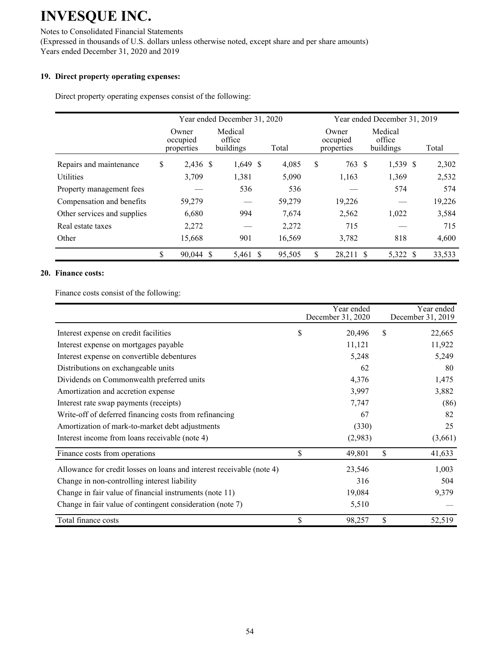Notes to Consolidated Financial Statements (Expressed in thousands of U.S. dollars unless otherwise noted, except share and per share amounts) Years ended December 31, 2020 and 2019

## 19. Direct property operating expenses:

Direct property operating expenses consist of the following:

|                             | Year ended December 31, 2020    |  |                                |  | Year ended December 31, 2019 |    |                                 |                                |  |        |
|-----------------------------|---------------------------------|--|--------------------------------|--|------------------------------|----|---------------------------------|--------------------------------|--|--------|
|                             | Owner<br>occupied<br>properties |  | Medical<br>office<br>buildings |  | Total                        |    | Owner<br>occupied<br>properties | Medical<br>office<br>buildings |  | Total  |
| Repairs and maintenance     | \$<br>2,436 \$                  |  | $1,649$ \$                     |  | 4,085                        | \$ | 763                             | 1,539 \$<br>-S                 |  | 2,302  |
| Utilities                   | 3,709                           |  | 1,381                          |  | 5,090                        |    | 1,163                           | 1,369                          |  | 2,532  |
| Property management fees    |                                 |  | 536                            |  | 536                          |    |                                 | 574                            |  | 574    |
| Compensation and benefits   | 59,279                          |  |                                |  | 59,279                       |    | 19,226                          |                                |  | 19,226 |
| Other services and supplies | 6,680                           |  | 994                            |  | 7,674                        |    | 2,562                           | 1,022                          |  | 3,584  |
| Real estate taxes           | 2,272                           |  |                                |  | 2,272                        |    | 715                             |                                |  | 715    |
| Other                       | 15,668                          |  | 901                            |  | 16,569                       |    | 3,782                           | 818                            |  | 4,600  |
|                             | \$<br>90,044 \$                 |  | 5,461 \$                       |  | 95,505                       | \$ | 28,211                          | 5,322 \$                       |  | 33,533 |

#### **20. Finance costs:**

Finance costs consist of the following:

|                                                                       | Year ended<br>December 31, 2020 |    | Year ended<br>December 31, 2019 |
|-----------------------------------------------------------------------|---------------------------------|----|---------------------------------|
| Interest expense on credit facilities                                 | \$<br>20,496                    | S  | 22,665                          |
| Interest expense on mortgages payable                                 | 11,121                          |    | 11,922                          |
| Interest expense on convertible debentures                            | 5,248                           |    | 5,249                           |
| Distributions on exchangeable units                                   | 62                              |    | 80                              |
| Dividends on Commonwealth preferred units                             | 4,376                           |    | 1,475                           |
| Amortization and accretion expense                                    | 3,997                           |    | 3,882                           |
| Interest rate swap payments (receipts)                                | 7,747                           |    | (86)                            |
| Write-off of deferred financing costs from refinancing                | 67                              |    | 82                              |
| Amortization of mark-to-market debt adjustments                       | (330)                           |    | 25                              |
| Interest income from loans receivable (note 4)                        | (2,983)                         |    | (3,661)                         |
| Finance costs from operations                                         | \$<br>49,801                    | \$ | 41,633                          |
| Allowance for credit losses on loans and interest receivable (note 4) | 23,546                          |    | 1,003                           |
| Change in non-controlling interest liability                          | 316                             |    | 504                             |
| Change in fair value of financial instruments (note 11)               | 19,084                          |    | 9,379                           |
| Change in fair value of contingent consideration (note 7)             | 5,510                           |    |                                 |
| Total finance costs                                                   | \$<br>98,257                    | \$ | 52,519                          |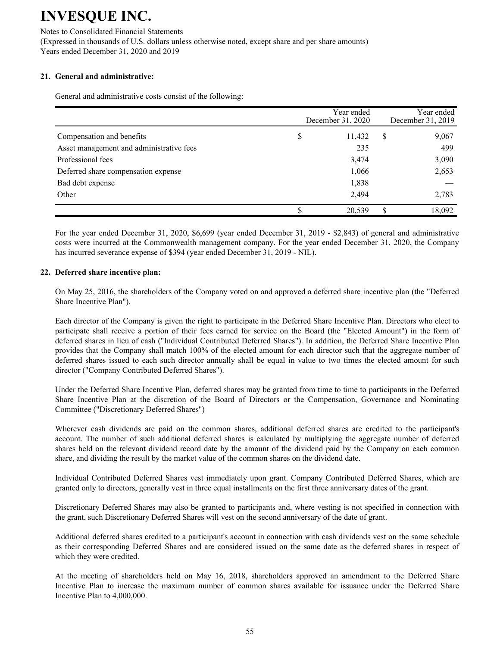Notes to Consolidated Financial Statements (Expressed in thousands of U.S. dollars unless otherwise noted, except share and per share amounts) Years ended December 31, 2020 and 2019

## 21. General and administrative:

General and administrative costs consist of the following:

|                                          | December 31, 2020 |        | Year ended<br>December 31, 2019 |        |
|------------------------------------------|-------------------|--------|---------------------------------|--------|
| Compensation and benefits                | \$                | 11,432 | S                               | 9,067  |
| Asset management and administrative fees |                   | 235    |                                 | 499    |
| Professional fees                        |                   | 3,474  |                                 | 3,090  |
| Deferred share compensation expense      |                   | 1,066  |                                 | 2,653  |
| Bad debt expense                         |                   | 1,838  |                                 |        |
| Other                                    |                   | 2,494  |                                 | 2,783  |
|                                          |                   | 20,539 | S                               | 18,092 |

For the year ended December 31, 2020, \$6,699 (year ended December 31, 2019 - \$2,843) of general and administrative costs were incurred at the Commonwealth management company. For the year ended December 31, 2020, the Company has incurred severance expense of \$394 (year ended December 31, 2019 - NIL).

## **22. Deferred share incentive plan:**

On May 25, 2016, the shareholders of the Company voted on and approved a deferred share incentive plan (the "Deferred Share Incentive Plan").

Each director of the Company is given the right to participate in the Deferred Share Incentive Plan. Directors who elect to participate shall receive a portion of their fees earned for service on the Board (the "Elected Amount") in the form of deferred shares in lieu of cash ("Individual Contributed Deferred Shares"). In addition, the Deferred Share Incentive Plan provides that the Company shall match 100% of the elected amount for each director such that the aggregate number of deferred shares issued to each such director annually shall be equal in value to two times the elected amount for such director ("Company Contributed Deferred Shares").

Under the Deferred Share Incentive Plan, deferred shares may be granted from time to time to participants in the Deferred Share Incentive Plan at the discretion of the Board of Directors or the Compensation, Governance and Nominating Committee ("Discretionary Deferred Shares")

Wherever cash dividends are paid on the common shares, additional deferred shares are credited to the participant's account. The number of such additional deferred shares is calculated by multiplying the aggregate number of deferred shares held on the relevant dividend record date by the amount of the dividend paid by the Company on each common share, and dividing the result by the market value of the common shares on the dividend date.

Individual Contributed Deferred Shares vest immediately upon grant. Company Contributed Deferred Shares, which are granted only to directors, generally vest in three equal installments on the first three anniversary dates of the grant.

Discretionary Deferred Shares may also be granted to participants and, where vesting is not specified in connection with the grant, such Discretionary Deferred Shares will vest on the second anniversary of the date of grant.

Additional deferred shares credited to a participant's account in connection with cash dividends vest on the same schedule as their corresponding Deferred Shares and are considered issued on the same date as the deferred shares in respect of which they were credited.

At the meeting of shareholders held on May 16, 2018, shareholders approved an amendment to the Deferred Share Incentive Plan to increase the maximum number of common shares available for issuance under the Deferred Share Incentive Plan to  $4,000,000$ .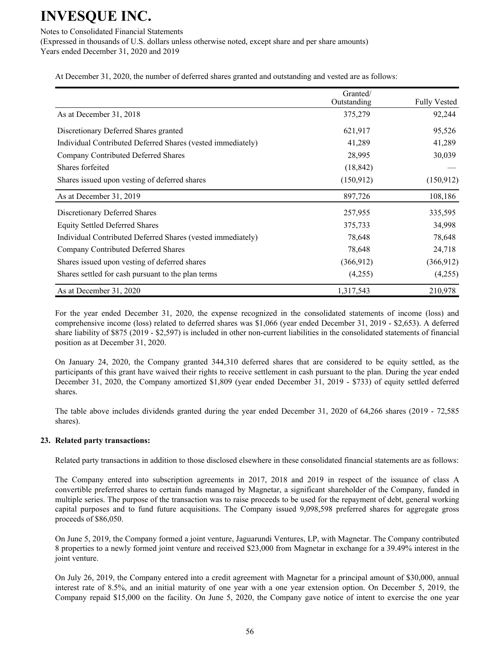Notes to Consolidated Financial Statements

(Expressed in thousands of U.S. dollars unless otherwise noted, except share and per share amounts) Years ended December 31, 2020 and 2019

At December 31, 2020, the number of deferred shares granted and outstanding and vested are as follows:

|                                                             | Granted/<br>Outstanding | <b>Fully Vested</b> |
|-------------------------------------------------------------|-------------------------|---------------------|
| As at December 31, 2018                                     | 375,279                 | 92,244              |
| Discretionary Deferred Shares granted                       | 621,917                 | 95,526              |
| Individual Contributed Deferred Shares (vested immediately) | 41,289                  | 41,289              |
| Company Contributed Deferred Shares                         | 28,995                  | 30,039              |
| Shares forfeited                                            | (18, 842)               |                     |
| Shares issued upon vesting of deferred shares               | (150, 912)              | (150, 912)          |
| As at December 31, 2019                                     | 897,726                 | 108,186             |
| Discretionary Deferred Shares                               | 257,955                 | 335,595             |
| <b>Equity Settled Deferred Shares</b>                       | 375,733                 | 34,998              |
| Individual Contributed Deferred Shares (vested immediately) | 78,648                  | 78,648              |
| Company Contributed Deferred Shares                         | 78,648                  | 24,718              |
| Shares issued upon vesting of deferred shares               | (366, 912)              | (366, 912)          |
| Shares settled for cash pursuant to the plan terms          | (4,255)                 | (4,255)             |
| As at December 31, 2020                                     | 1,317,543               | 210,978             |

For the year ended December 31, 2020, the expense recognized in the consolidated statements of income (loss) and comprehensive income (loss) related to deferred shares was \$1,066 (year ended December 31, 2019 - \$2,653). A deferred share liability of \$875 (2019 - \$2,597) is included in other non-current liabilities in the consolidated statements of financial position as at December 31, 2020.

On January 24, 2020, the Company granted 344,310 deferred shares that are considered to be equity settled, as the participants of this grant have waived their rights to receive settlement in cash pursuant to the plan. During the year ended December 31, 2020, the Company amortized \$1,809 (year ended December 31, 2019 - \$733) of equity settled deferred shares.

The table above includes dividends granted during the year ended December 31, 2020 of  $64,266$  shares  $(2019 - 72,585)$ shares).

## **23. Related party transactions:**

Related party transactions in addition to those disclosed elsewhere in these consolidated financial statements are as follows:

The Company entered into subscription agreements in 2017, 2018 and 2019 in respect of the issuance of class A convertible preferred shares to certain funds managed by Magnetar, a significant shareholder of the Company, funded in multiple series. The purpose of the transaction was to raise proceeds to be used for the repayment of debt, general working capital purposes and to fund future acquisitions. The Company issued 9,098,598 preferred shares for aggregate gross proceeds of \$86,050.

On June 5, 2019, the Company formed a joint venture, Jaguarundi Ventures, LP, with Magnetar. The Company contributed 8 properties to a newly formed joint venture and received \$23,000 from Magnetar in exchange for a 39.49% interest in the joint venture.

On July 26, 2019, the Company entered into a credit agreement with Magnetar for a principal amount of \$30,000, annual interest rate of 8.5%, and an initial maturity of one year with a one year extension option. On December 5, 2019, the Company repaid \$15,000 on the facility. On June 5, 2020, the Company gave notice of intent to exercise the one year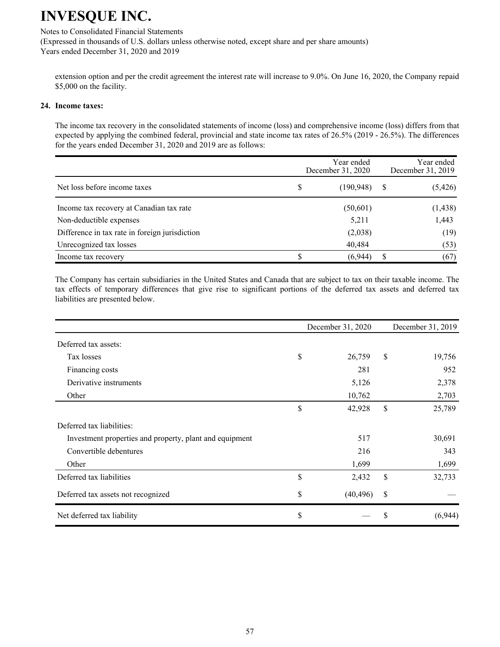## Notes to Consolidated Financial Statements

(Expressed in thousands of U.S. dollars unless otherwise noted, except share and per share amounts) Years ended December 31, 2020 and 2019

extension option and per the credit agreement the interest rate will increase to 9.0%. On June 16, 2020, the Company repaid \$5,000 on the facility.

#### 24. Income taxes:

The income tax recovery in the consolidated statements of income (loss) and comprehensive income (loss) differs from that expected by applying the combined federal, provincial and state income tax rates of  $26.5\%$  (2019 -  $26.5\%$ ). The differences for the years ended December 31, 2020 and 2019 are as follows:

|                                                | December 31, 2020 |            | Year ended<br>December 31, 2019 |          |
|------------------------------------------------|-------------------|------------|---------------------------------|----------|
| Net loss before income taxes                   | S                 | (190, 948) | -S                              | (5, 426) |
| Income tax recovery at Canadian tax rate       |                   | (50,601)   |                                 | (1, 438) |
| Non-deductible expenses                        |                   | 5,211      |                                 | 1,443    |
| Difference in tax rate in foreign jurisdiction |                   | (2,038)    |                                 | (19)     |
| Unrecognized tax losses                        |                   | 40,484     |                                 | (53)     |
| Income tax recovery                            |                   | (6,944)    |                                 | (67)     |

The Company has certain subsidiaries in the United States and Canada that are subject to tax on their taxable income. The tax effects of temporary differences that give rise to significant portions of the deferred tax assets and deferred tax liabilities are presented below.

|                                                         | December 31, 2020 | December 31, 2019 |         |  |
|---------------------------------------------------------|-------------------|-------------------|---------|--|
| Deferred tax assets:                                    |                   |                   |         |  |
| Tax losses                                              | \$<br>26,759      | \$                | 19,756  |  |
| Financing costs                                         | 281               |                   | 952     |  |
| Derivative instruments                                  | 5,126             |                   | 2,378   |  |
| Other                                                   | 10,762            |                   | 2,703   |  |
|                                                         | \$<br>42,928      | \$                | 25,789  |  |
| Deferred tax liabilities:                               |                   |                   |         |  |
| Investment properties and property, plant and equipment | 517               |                   | 30,691  |  |
| Convertible debentures                                  | 216               |                   | 343     |  |
| Other                                                   | 1,699             |                   | 1,699   |  |
| Deferred tax liabilities                                | \$<br>2,432       | \$                | 32,733  |  |
| Deferred tax assets not recognized                      | \$<br>(40, 496)   | \$                |         |  |
| Net deferred tax liability                              | \$                | \$                | (6,944) |  |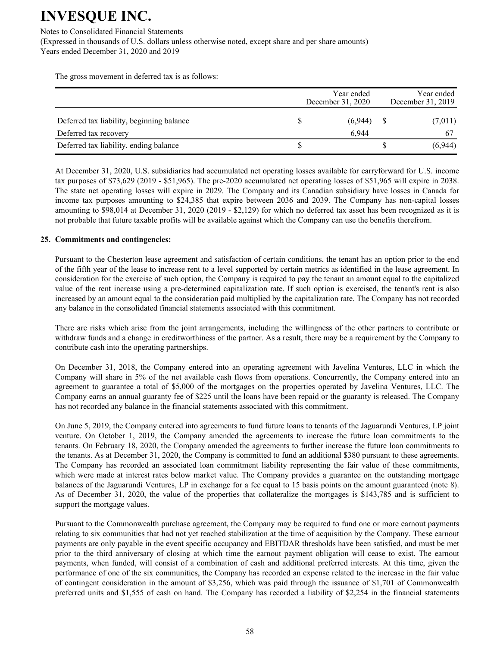Notes to Consolidated Financial Statements

(Expressed in thousands of U.S. dollars unless otherwise noted, except share and per share amounts) Years ended December 31, 2020 and 2019

The gross movement in deferred tax is as follows:

|                                           | Year ended<br>December 31, 2020 |         |  | Year ended<br>December 31, 2019 |  |
|-------------------------------------------|---------------------------------|---------|--|---------------------------------|--|
| Deferred tax liability, beginning balance |                                 | (6,944) |  | (7,011)                         |  |
| Deferred tax recovery                     |                                 | 6.944   |  |                                 |  |
| Deferred tax liability, ending balance    |                                 |         |  | (6,944)                         |  |

At December 31, 2020, U.S. subsidiaries had accumulated net operating losses available for carryforward for U.S. income tax purposes of \$73,629 (2019 - \$51,965). The pre-2020 accumulated net operating losses of \$51,965 will expire in 2038. The state net operating losses will expire in 2029. The Company and its Canadian subsidiary have losses in Canada for income tax purposes amounting to \$24,385 that expire between 2036 and 2039. The Company has non-capital losses amounting to  $$98,014$  at December 31, 2020 (2019 - \$2,129) for which no deferred tax asset has been recognized as it is not probable that future taxable profits will be available against which the Company can use the benefits therefrom.

## 25. Commitments and contingencies:

Pursuant to the Chesterton lease agreement and satisfaction of certain conditions, the tenant has an option prior to the end of the fifth year of the lease to increase rent to a level supported by certain metrics as identified in the lease agreement. In consideration for the exercise of such option, the Company is required to pay the tenant an amount equal to the capitalized value of the rent increase using a pre-determined capitalization rate. If such option is exercised, the tenant's rent is also increased by an amount equal to the consideration paid multiplied by the capitalization rate. The Company has not recorded any balance in the consolidated financial statements associated with this commitment.

There are risks which arise from the joint arrangements, including the willingness of the other partners to contribute or withdraw funds and a change in creditworthiness of the partner. As a result, there may be a requirement by the Company to contribute cash into the operating partnerships.

On December 31, 2018, the Company entered into an operating agreement with Javelina Ventures, LLC in which the Company will share in 5% of the net available cash flows from operations. Concurrently, the Company entered into an agreement to guarantee a total of \$5,000 of the mortgages on the properties operated by Javelina Ventures, LLC. The Company earns an annual guaranty fee of \$225 until the loans have been repaid or the guaranty is released. The Company has not recorded any balance in the financial statements associated with this commitment.

On June 5, 2019, the Company entered into agreements to fund future loans to tenants of the Jaguarundi Ventures, LP joint venture. On October 1, 2019, the Company amended the agreements to increase the future loan commitments to the tenants. On February 18, 2020, the Company amended the agreements to further increase the future loan commitments to the tenants. As at December 31, 2020, the Company is committed to fund an additional \$380 pursuant to these agreements. The Company has recorded an associated loan commitment liability representing the fair value of these commitments, which were made at interest rates below market value. The Company provides a guarantee on the outstanding mortgage balances of the Jaguarundi Ventures, LP in exchange for a fee equal to 15 basis points on the amount guaranteed (note 8). As of December 31, 2020, the value of the properties that collateralize the mortgages is \$143,785 and is sufficient to support the mortgage values.

Pursuant to the Commonwealth purchase agreement, the Company may be required to fund one or more earnout payments relating to six communities that had not yet reached stabilization at the time of acquisition by the Company. These earnout payments are only payable in the event specific occupancy and EBITDAR thresholds have been satisfied, and must be met prior to the third anniversary of closing at which time the earnout payment obligation will cease to exist. The earnout payments, when funded, will consist of a combination of cash and additional preferred interests. At this time, given the performance of one of the six communities, the Company has recorded an expense related to the increase in the fair value of contingent consideration in the amount of \$3,256, which was paid through the issuance of \$1,701 of Commonwealth preferred units and \$1,555 of cash on hand. The Company has recorded a liability of \$2,254 in the financial statements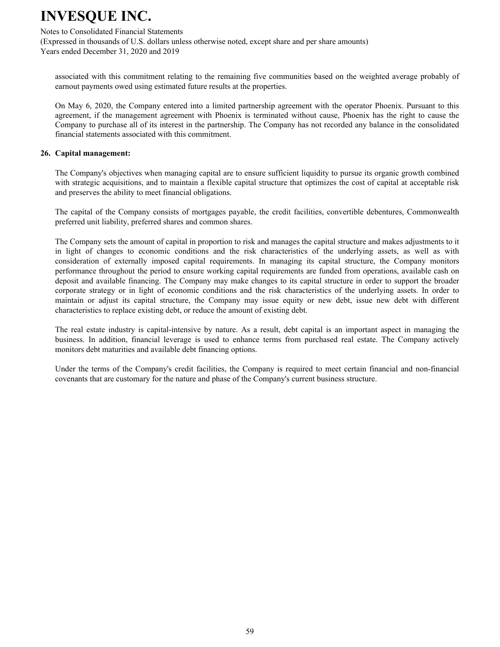#### Notes to Consolidated Financial Statements

(Expressed in thousands of U.S. dollars unless otherwise noted, except share and per share amounts) Years ended December 31, 2020 and 2019

associated with this commitment relating to the remaining five communities based on the weighted average probably of earnout payments owed using estimated future results at the properties.

On May 6, 2020, the Company entered into a limited partnership agreement with the operator Phoenix. Pursuant to this agreement, if the management agreement with Phoenix is terminated without cause, Phoenix has the right to cause the Company to purchase all of its interest in the partnership. The Company has not recorded any balance in the consolidated financial statements associated with this commitment.

#### 26. Capital management:

The Company's objectives when managing capital are to ensure sufficient liquidity to pursue its organic growth combined with strategic acquisitions, and to maintain a flexible capital structure that optimizes the cost of capital at acceptable risk and preserves the ability to meet financial obligations.

The capital of the Company consists of mortgages payable, the credit facilities, convertible debentures, Commonwealth preferred unit liability, preferred shares and common shares.

The Company sets the amount of capital in proportion to risk and manages the capital structure and makes adjustments to it in light of changes to economic conditions and the risk characteristics of the underlying assets, as well as with consideration of externally imposed capital requirements. In managing its capital structure, the Company monitors performance throughout the period to ensure working capital requirements are funded from operations, available cash on deposit and available financing. The Company may make changes to its capital structure in order to support the broader corporate strategy or in light of economic conditions and the risk characteristics of the underlying assets. In order to maintain or adjust its capital structure, the Company may issue equity or new debt, issue new debt with different characteristics to replace existing debt, or reduce the amount of existing debt.

The real estate industry is capital-intensive by nature. As a result, debt capital is an important aspect in managing the business. In addition, financial leverage is used to enhance terms from purchased real estate. The Company actively monitors debt maturities and available debt financing options.

Under the terms of the Company's credit facilities, the Company is required to meet certain financial and non-financial covenants that are customary for the nature and phase of the Company's current business structure.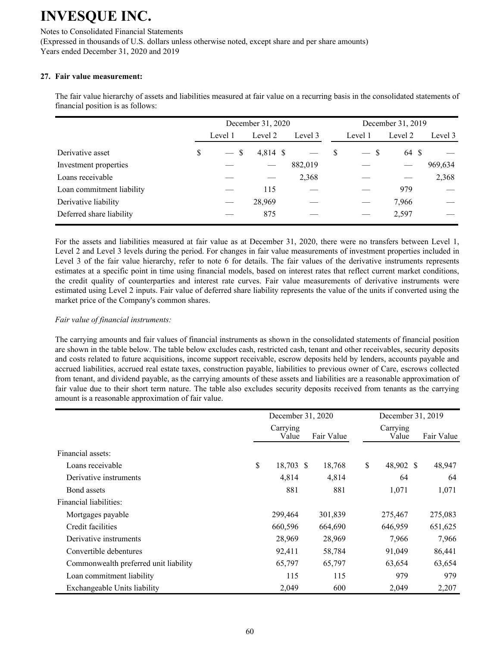Notes to Consolidated Financial Statements (Expressed in thousands of U.S. dollars unless otherwise noted, except share and per share amounts) Years ended December 31, 2020 and 2019

## 27. Fair value measurement:

The fair value hierarchy of assets and liabilities measured at fair value on a recurring basis in the consolidated statements of financial position is as follows:

|                           | December 31, 2020 |         |          |         |   | December 31, 2019      |         |         |
|---------------------------|-------------------|---------|----------|---------|---|------------------------|---------|---------|
|                           |                   | Level 1 | Level 2  | Level 3 |   | Level 1                | Level 2 | Level 3 |
| Derivative asset          | S                 | $-$ \$  | 4,814 \$ |         | S | - S<br>$\qquad \qquad$ | 64 \$   |         |
| Investment properties     |                   |         |          | 882,019 |   |                        |         | 969,634 |
| Loans receivable          |                   |         |          | 2,368   |   |                        |         | 2,368   |
| Loan commitment liability |                   |         | 115      |         |   |                        | 979     |         |
| Derivative liability      |                   |         | 28,969   |         |   |                        | 7,966   |         |
| Deferred share liability  |                   |         | 875      |         |   |                        | 2,597   |         |

For the assets and liabilities measured at fair value as at December 31, 2020, there were no transfers between Level 1, Level 2 and Level 3 levels during the period. For changes in fair value measurements of investment properties included in Level 3 of the fair value hierarchy, refer to note 6 for details. The fair values of the derivative instruments represents estimates at a specific point in time using financial models, based on interest rates that reflect current market conditions, the credit quality of counterparties and interest rate curves. Fair value measurements of derivative instruments were estimated using Level 2 inputs. Fair value of deferred share liability represents the value of the units if converted using the market price of the Company's common shares.

## *Fair value of financial instruments:*

The carrying amounts and fair values of financial instruments as shown in the consolidated statements of financial position are shown in the table below. The table below excludes cash, restricted cash, tenant and other receivables, security deposits and costs related to future acquisitions, income support receivable, escrow deposits held by lenders, accounts payable and accrued liabilities, accrued real estate taxes, construction payable, liabilities to previous owner of Care, escrows collected from tenant, and dividend payable, as the carrying amounts of these assets and liabilities are a reasonable approximation of fair value due to their short term nature. The table also excludes security deposits received from tenants as the carrying amount is a reasonable approximation of fair value.

|                                       | December 31, 2020 |                   |  | December 31, 2019 |                   |  |            |
|---------------------------------------|-------------------|-------------------|--|-------------------|-------------------|--|------------|
|                                       |                   | Carrying<br>Value |  | Fair Value        | Carrying<br>Value |  | Fair Value |
| Financial assets:                     |                   |                   |  |                   |                   |  |            |
| Loans receivable                      | \$                | 18,703 \$         |  | 18,768            | \$<br>48,902 \$   |  | 48,947     |
| Derivative instruments                |                   | 4,814             |  | 4,814             | 64                |  | 64         |
| Bond assets                           |                   | 881               |  | 881               | 1,071             |  | 1,071      |
| Financial liabilities:                |                   |                   |  |                   |                   |  |            |
| Mortgages payable                     |                   | 299,464           |  | 301,839           | 275,467           |  | 275,083    |
| Credit facilities                     |                   | 660,596           |  | 664,690           | 646,959           |  | 651,625    |
| Derivative instruments                |                   | 28,969            |  | 28,969            | 7,966             |  | 7,966      |
| Convertible debentures                |                   | 92,411            |  | 58,784            | 91,049            |  | 86,441     |
| Commonwealth preferred unit liability |                   | 65,797            |  | 65,797            | 63,654            |  | 63,654     |
| Loan commitment liability             |                   | 115               |  | 115               | 979               |  | 979        |
| Exchangeable Units liability          |                   | 2,049             |  | 600               | 2,049             |  | 2,207      |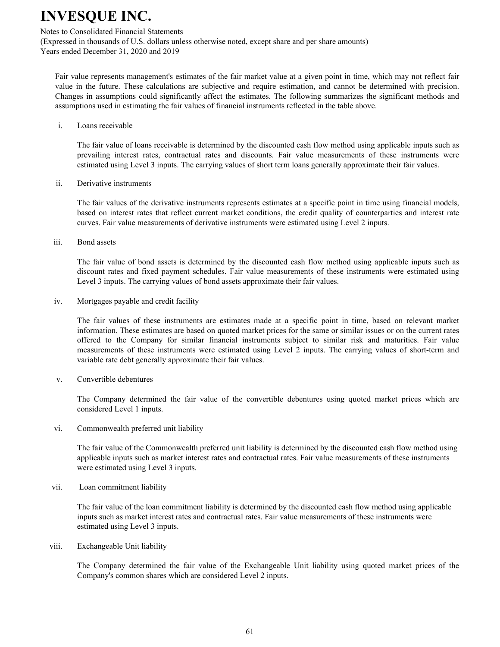#### Notes to Consolidated Financial Statements

(Expressed in thousands of U.S. dollars unless otherwise noted, except share and per share amounts) Years ended December 31, 2020 and 2019

Fair value represents management's estimates of the fair market value at a given point in time, which may not reflect fair value in the future. These calculations are subjective and require estimation, and cannot be determined with precision. Changes in assumptions could significantly affect the estimates. The following summarizes the significant methods and assumptions used in estimating the fair values of financial instruments reflected in the table above.

 $\mathbf{i}$ Loans receivable

> The fair value of loans receivable is determined by the discounted cash flow method using applicable inputs such as prevailing interest rates, contractual rates and discounts. Fair value measurements of these instruments were estimated using Level 3 inputs. The carrying values of short term loans generally approximate their fair values.

ii. Derivative instruments

> The fair values of the derivative instruments represents estimates at a specific point in time using financial models, based on interest rates that reflect current market conditions, the credit quality of counterparties and interest rate curves. Fair value measurements of derivative instruments were estimated using Level 2 inputs.

iii. Bond assets

> The fair value of bond assets is determined by the discounted cash flow method using applicable inputs such as discount rates and fixed payment schedules. Fair value measurements of these instruments were estimated using Level 3 inputs. The carrying values of bond assets approximate their fair values.

iv. Mortgages payable and credit facility

> The fair values of these instruments are estimates made at a specific point in time, based on relevant market information. These estimates are based on quoted market prices for the same or similar issues or on the current rates offered to the Company for similar financial instruments subject to similar risk and maturities. Fair value measurements of these instruments were estimated using Level 2 inputs. The carrying values of short-term and variable rate debt generally approximate their fair values.

 $V_{\cdot}$ Convertible debentures

> The Company determined the fair value of the convertible debentures using quoted market prices which are considered Level 1 inputs.

vi. Commonwealth preferred unit liability

> The fair value of the Commonwealth preferred unit liability is determined by the discounted cash flow method using applicable inputs such as market interest rates and contractual rates. Fair value measurements of these instruments were estimated using Level 3 inputs.

vii. Loan commitment liability

> The fair value of the loan commitment liability is determined by the discounted cash flow method using applicable inputs such as market interest rates and contractual rates. Fair value measurements of these instruments were estimated using Level 3 inputs.

viii. Exchangeable Unit liability

> The Company determined the fair value of the Exchangeable Unit liability using quoted market prices of the Company's common shares which are considered Level 2 inputs.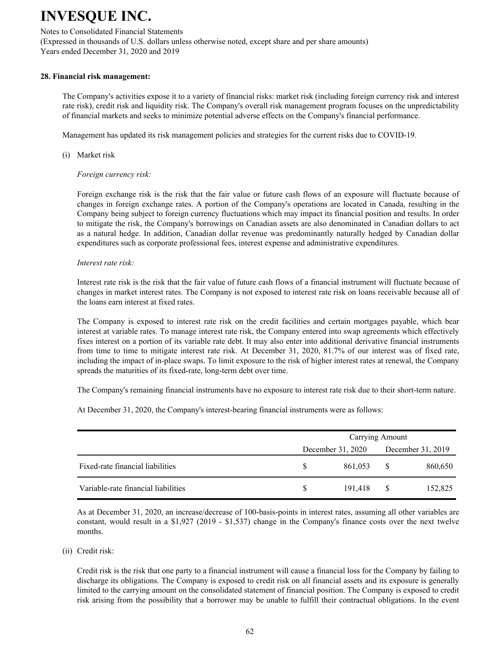## Notes to Consolidated Financial Statements

(Expressed in thousands of U.S. dollars unless otherwise noted, except share and per share amounts) Years ended December 31, 2020 and 2019

### 28. Financial risk management:

The Company's activities expose it to a variety of financial risks: market risk (including foreign currency risk and interest rate risk), credit risk and liquidity risk. The Company's overall risk management program focuses on the unpredictability of financial markets and seeks to minimize potential adverse effects on the Company's financial performance.

Management has updated its risk management policies and strategies for the current risks due to COVID-19.

(i) Market risk

## *Foreign currency risk:*

Foreign exchange risk is the risk that the fair value or future cash flows of an exposure will fluctuate because of changes in foreign exchange rates. A portion of the Company's operations are located in Canada, resulting in the Company being subject to foreign currency fluctuations which may impact its financial position and results. In order to mitigate the risk, the Company's borrowings on Canadian assets are also denominated in Canadian dollars to act as a natural hedge. In addition, Canadian dollar revenue was predominantly naturally hedged by Canadian dollar expenditures such as corporate professional fees, interest expense and administrative expenditures.

#### *Interest rate risk:*

Interest rate risk is the risk that the fair value of future cash flows of a financial instrument will fluctuate because of changes in market interest rates. The Company is not exposed to interest rate risk on loans receivable because all of the loans earn interest at fixed rates.

The Company is exposed to interest rate risk on the credit facilities and certain mortgages payable, which bear interest at variable rates. To manage interest rate risk, the Company entered into swap agreements which effectively fixes interest on a portion of its variable rate debt. It may also enter into additional derivative financial instruments from time to time to mitigate interest rate risk. At December 31, 2020, 81.7% of our interest was of fixed rate, including the impact of in-place swaps. To limit exposure to the risk of higher interest rates at renewal, the Company spreads the maturities of its fixed-rate, long-term debt over time.

The Company's remaining financial instruments have no exposure to interest rate risk due to their short-term nature.

At December 31, 2020, the Company's interest-bearing financial instruments were as follows:

|                                     |   | Carrying Amount   |                   |         |  |  |  |
|-------------------------------------|---|-------------------|-------------------|---------|--|--|--|
|                                     |   | December 31, 2020 | December 31, 2019 |         |  |  |  |
| Fixed-rate financial liabilities    |   | 861,053           | S.                | 860,650 |  |  |  |
| Variable-rate financial liabilities | S | 191.418           | <sup>S</sup>      | 152,825 |  |  |  |

As at December 31, 2020, an increase/decrease of 100-basis-points in interest rates, assuming all other variables are constant, would result in a  $$1,927$  (2019 -  $$1,537$ ) change in the Company's finance costs over the next twelve months.

#### (ii) Credit risk:

Credit risk is the risk that one party to a financial instrument will cause a financial loss for the Company by failing to discharge its obligations. The Company is exposed to credit risk on all financial assets and its exposure is generally limited to the carrying amount on the consolidated statement of financial position. The Company is exposed to credit risk arising from the possibility that a borrower may be unable to fulfill their contractual obligations. In the event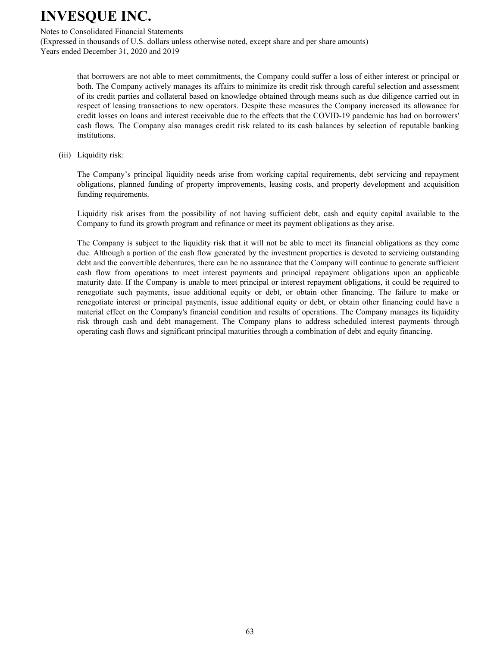Notes to Consolidated Financial Statements

(Expressed in thousands of U.S. dollars unless otherwise noted, except share and per share amounts) Years ended December 31, 2020 and 2019

> that borrowers are not able to meet commitments, the Company could suffer a loss of either interest or principal or both. The Company actively manages its affairs to minimize its credit risk through careful selection and assessment of its credit parties and collateral based on knowledge obtained through means such as due diligence carried out in respect of leasing transactions to new operators. Despite these measures the Company increased its allowance for credit losses on loans and interest receivable due to the effects that the COVID-19 pandemic has had on borrowers' cash flows. The Company also manages credit risk related to its cash balances by selection of reputable banking institutions.

 $(iii)$  Liquidity risk:

The Company's principal liquidity needs arise from working capital requirements, debt servicing and repayment obligations, planned funding of property improvements, leasing costs, and property development and acquisition funding requirements.

Liquidity risk arises from the possibility of not having sufficient debt, cash and equity capital available to the Company to fund its growth program and refinance or meet its payment obligations as they arise.

The Company is subject to the liquidity risk that it will not be able to meet its financial obligations as they come due. Although a portion of the cash flow generated by the investment properties is devoted to servicing outstanding debt and the convertible debentures, there can be no assurance that the Company will continue to generate sufficient cash flow from operations to meet interest payments and principal repayment obligations upon an applicable maturity date. If the Company is unable to meet principal or interest repayment obligations, it could be required to renegotiate such payments, issue additional equity or debt, or obtain other financing. The failure to make or renegotiate interest or principal payments, issue additional equity or debt, or obtain other financing could have a material effect on the Company's financial condition and results of operations. The Company manages its liquidity risk through cash and debt management. The Company plans to address scheduled interest payments through operating cash flows and significant principal maturities through a combination of debt and equity financing.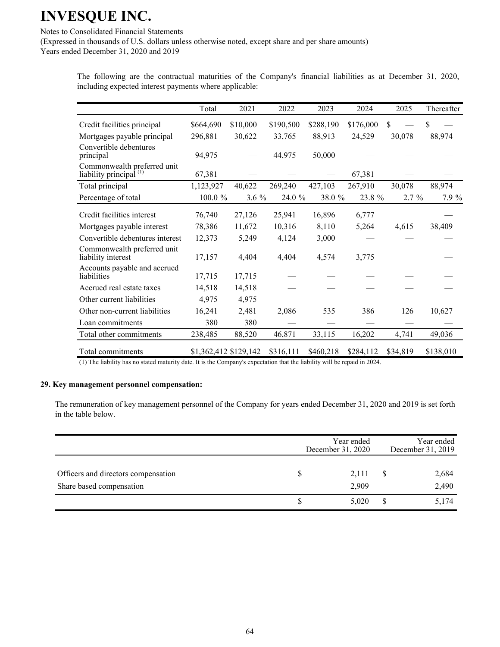Notes to Consolidated Financial Statements

(Expressed in thousands of U.S. dollars unless otherwise noted, except share and per share amounts) Years ended December 31, 2020 and 2019

> The following are the contractual maturities of the Company's financial liabilities as at December 31, 2020, including expected interest payments where applicable:

|                                                                   | Total                 | 2021     | 2022      | 2023      | 2024      | 2025     | Thereafter |
|-------------------------------------------------------------------|-----------------------|----------|-----------|-----------|-----------|----------|------------|
| Credit facilities principal                                       | \$664,690             | \$10,000 | \$190,500 | \$288,190 | \$176,000 | \$       | \$         |
| Mortgages payable principal                                       | 296,881               | 30,622   | 33,765    | 88,913    | 24,529    | 30,078   | 88,974     |
| Convertible debentures<br>principal                               | 94,975                |          | 44,975    | 50,000    |           |          |            |
| Commonwealth preferred unit<br>liability principal <sup>(1)</sup> | 67,381                |          |           |           | 67,381    |          |            |
| Total principal                                                   | 1,123,927             | 40,622   | 269,240   | 427,103   | 267,910   | 30,078   | 88,974     |
| Percentage of total                                               | 100.0%                | $3.6\%$  | 24.0 %    | 38.0%     | 23.8 %    | 2.7%     | 7.9 %      |
| Credit facilities interest                                        | 76,740                | 27,126   | 25,941    | 16,896    | 6,777     |          |            |
| Mortgages payable interest                                        | 78,386                | 11,672   | 10,316    | 8,110     | 5,264     | 4,615    | 38,409     |
| Convertible debentures interest                                   | 12,373                | 5,249    | 4,124     | 3,000     |           |          |            |
| Commonwealth preferred unit<br>liability interest                 | 17,157                | 4,404    | 4,404     | 4,574     | 3,775     |          |            |
| Accounts payable and accrued<br>liabilities                       | 17,715                | 17,715   |           |           |           |          |            |
| Accrued real estate taxes                                         | 14,518                | 14,518   |           |           |           |          |            |
| Other current liabilities                                         | 4,975                 | 4,975    |           |           |           |          |            |
| Other non-current liabilities                                     | 16,241                | 2,481    | 2,086     | 535       | 386       | 126      | 10,627     |
| Loan commitments                                                  | 380                   | 380      |           |           |           |          |            |
| Total other commitments                                           | 238,485               | 88,520   | 46,871    | 33,115    | 16,202    | 4,741    | 49,036     |
| Total commitments                                                 | \$1,362,412 \$129,142 |          | \$316,111 | \$460,218 | \$284,112 | \$34,819 | \$138,010  |

 $(1)$  The liability has no stated maturity date. It is the Company's expectation that the liability will be repaid in 2024.

#### **29. Key management personnel compensation:**

The remuneration of key management personnel of the Company for years ended December 31, 2020 and 2019 is set forth in the table below.

|                                                                 | Year ended<br>December 31, 2020 | Year ended<br>December 31, 2019 |                |  |
|-----------------------------------------------------------------|---------------------------------|---------------------------------|----------------|--|
| Officers and directors compensation<br>Share based compensation | 2,111<br>2,909                  |                                 | 2,684<br>2,490 |  |
|                                                                 | 5,020                           |                                 | 5,174          |  |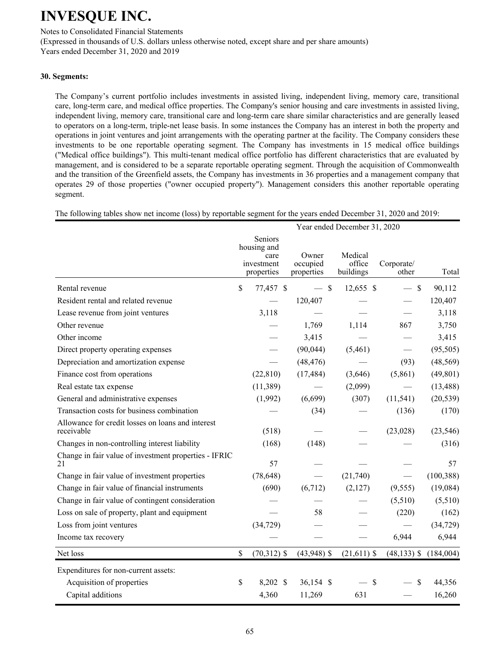Notes to Consolidated Financial Statements

(Expressed in thousands of U.S. dollars unless otherwise noted, except share and per share amounts) Years ended December 31, 2020 and 2019

## **30. Segments:**

The Company's current portfolio includes investments in assisted living, independent living, memory care, transitional care, long-term care, and medical office properties. The Company's senior housing and care investments in assisted living, independent living, memory care, transitional care and long-term care share similar characteristics and are generally leased to operators on a long-term, triple-net lease basis. In some instances the Company has an interest in both the property and operations in joint ventures and joint arrangements with the operating partner at the facility. The Company considers these investments to be one reportable operating segment. The Company has investments in 15 medical office buildings ("Medical office buildings"). This multi-tenant medical office portfolio has different characteristics that are evaluated by management, and is considered to be a separate reportable operating segment. Through the acquisition of Commonwealth and the transition of the Greenfield assets, the Company has investments in 36 properties and a management company that operates 29 of those properties ("owner occupied property"). Management considers this another reportable operating segment.

The following tables show net income (loss) by reportable segment for the years ended December 31, 2020 and 2019:

|                                                                 | Year ended December 31, 2020 |                                                            |                                 |                                |                     |            |  |  |
|-----------------------------------------------------------------|------------------------------|------------------------------------------------------------|---------------------------------|--------------------------------|---------------------|------------|--|--|
|                                                                 |                              | Seniors<br>housing and<br>care<br>investment<br>properties | Owner<br>occupied<br>properties | Medical<br>office<br>buildings | Corporate/<br>other | Total      |  |  |
| Rental revenue                                                  | \$                           | 77,457 \$                                                  | $-$ \$                          | 12,655 \$                      | $\mathsf{\$}$       | 90,112     |  |  |
| Resident rental and related revenue                             |                              |                                                            | 120,407                         |                                |                     | 120,407    |  |  |
| Lease revenue from joint ventures                               |                              | 3,118                                                      |                                 |                                |                     | 3,118      |  |  |
| Other revenue                                                   |                              |                                                            | 1,769                           | 1,114                          | 867                 | 3,750      |  |  |
| Other income                                                    |                              |                                                            | 3,415                           |                                |                     | 3,415      |  |  |
| Direct property operating expenses                              |                              |                                                            | (90,044)                        | (5,461)                        |                     | (95, 505)  |  |  |
| Depreciation and amortization expense                           |                              |                                                            | (48, 476)                       |                                | (93)                | (48, 569)  |  |  |
| Finance cost from operations                                    |                              | (22, 810)                                                  | (17, 484)                       | (3,646)                        | (5,861)             | (49, 801)  |  |  |
| Real estate tax expense                                         |                              | (11, 389)                                                  |                                 | (2,099)                        |                     | (13, 488)  |  |  |
| General and administrative expenses                             |                              | (1,992)                                                    | (6,699)                         | (307)                          | (11, 541)           | (20, 539)  |  |  |
| Transaction costs for business combination                      |                              |                                                            | (34)                            |                                | (136)               | (170)      |  |  |
| Allowance for credit losses on loans and interest<br>receivable |                              | (518)                                                      |                                 |                                | (23,028)            | (23, 546)  |  |  |
| Changes in non-controlling interest liability                   |                              | (168)                                                      | (148)                           |                                |                     | (316)      |  |  |
| Change in fair value of investment properties - IFRIC<br>21     |                              | 57                                                         |                                 |                                |                     | 57         |  |  |
| Change in fair value of investment properties                   |                              | (78, 648)                                                  |                                 | (21,740)                       |                     | (100, 388) |  |  |
| Change in fair value of financial instruments                   |                              | (690)                                                      | (6,712)                         | (2,127)                        | (9, 555)            | (19,084)   |  |  |
| Change in fair value of contingent consideration                |                              |                                                            |                                 |                                | (5,510)             | (5,510)    |  |  |
| Loss on sale of property, plant and equipment                   |                              |                                                            | 58                              |                                | (220)               | (162)      |  |  |
| Loss from joint ventures                                        |                              | (34, 729)                                                  |                                 |                                |                     | (34, 729)  |  |  |
| Income tax recovery                                             |                              |                                                            |                                 |                                | 6,944               | 6,944      |  |  |
| Net loss                                                        | \$                           | $(70,312)$ \$                                              | $(43,948)$ \$                   | $(21,611)$ \$                  | $(48, 133)$ \$      | (184,004)  |  |  |
| Expenditures for non-current assets:                            |                              |                                                            |                                 |                                |                     |            |  |  |
| Acquisition of properties                                       | \$                           | 8,202 \$                                                   | 36,154 \$                       | $\mathcal{S}$                  | \$                  | 44,356     |  |  |
| Capital additions                                               |                              | 4,360                                                      | 11,269                          | 631                            |                     | 16,260     |  |  |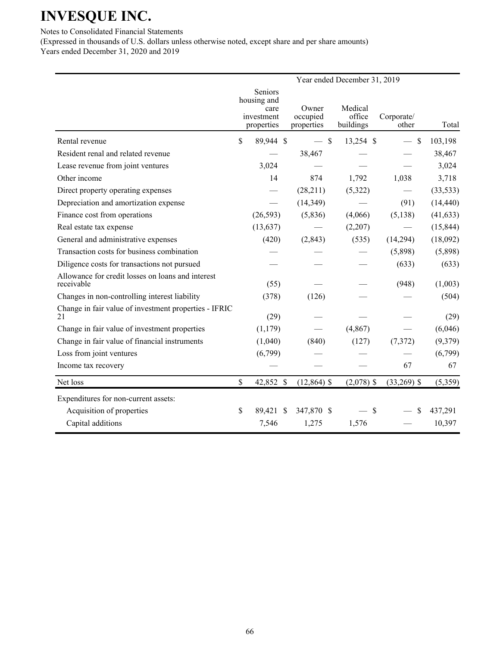## **INVESQUE INC.**

Notes to Consolidated Financial Statements

(Expressed in thousands of U.S. dollars unless otherwise noted, except share and per share amounts) Years ended December 31, 2020 and 2019

|                                                                 | Year ended December 31, 2019 |                                                            |                                 |                                |                     |           |  |  |  |  |
|-----------------------------------------------------------------|------------------------------|------------------------------------------------------------|---------------------------------|--------------------------------|---------------------|-----------|--|--|--|--|
|                                                                 |                              | Seniors<br>housing and<br>care<br>investment<br>properties | Owner<br>occupied<br>properties | Medical<br>office<br>buildings | Corporate/<br>other | Total     |  |  |  |  |
| Rental revenue                                                  | \$                           | 89,944 \$                                                  | $-$ \$                          | 13,254 \$                      | $\mathcal{S}$       | 103,198   |  |  |  |  |
| Resident renal and related revenue                              |                              |                                                            | 38,467                          |                                |                     | 38,467    |  |  |  |  |
| Lease revenue from joint ventures                               |                              | 3,024                                                      |                                 |                                |                     | 3,024     |  |  |  |  |
| Other income                                                    |                              | 14                                                         | 874                             | 1,792                          | 1,038               | 3,718     |  |  |  |  |
| Direct property operating expenses                              |                              |                                                            | (28,211)                        | (5,322)                        |                     | (33, 533) |  |  |  |  |
| Depreciation and amortization expense                           |                              | $\overbrace{\phantom{aaaaa}}$                              | (14, 349)                       |                                | (91)                | (14, 440) |  |  |  |  |
| Finance cost from operations                                    |                              | (26, 593)                                                  | (5,836)                         | (4,066)                        | (5, 138)            | (41, 633) |  |  |  |  |
| Real estate tax expense                                         |                              | (13, 637)                                                  |                                 | (2,207)                        |                     | (15, 844) |  |  |  |  |
| General and administrative expenses                             |                              | (420)                                                      | (2, 843)                        | (535)                          | (14,294)            | (18,092)  |  |  |  |  |
| Transaction costs for business combination                      |                              |                                                            |                                 |                                | (5,898)             | (5,898)   |  |  |  |  |
| Diligence costs for transactions not pursued                    |                              |                                                            |                                 |                                | (633)               | (633)     |  |  |  |  |
| Allowance for credit losses on loans and interest<br>receivable |                              | (55)                                                       |                                 |                                | (948)               | (1,003)   |  |  |  |  |
| Changes in non-controlling interest liability                   |                              | (378)                                                      | (126)                           |                                |                     | (504)     |  |  |  |  |
| Change in fair value of investment properties - IFRIC<br>21     |                              | (29)                                                       |                                 |                                |                     | (29)      |  |  |  |  |
| Change in fair value of investment properties                   |                              | (1,179)                                                    |                                 | (4, 867)                       |                     | (6,046)   |  |  |  |  |
| Change in fair value of financial instruments                   |                              | (1,040)                                                    | (840)                           | (127)                          | (7,372)             | (9,379)   |  |  |  |  |
| Loss from joint ventures                                        |                              | (6,799)                                                    |                                 |                                |                     | (6,799)   |  |  |  |  |
| Income tax recovery                                             |                              |                                                            |                                 |                                | 67                  | 67        |  |  |  |  |
| Net loss                                                        | \$                           | 42,852 \$                                                  | $(12, 864)$ \$                  | $(2,078)$ \$                   | $(33,269)$ \$       | (5,359)   |  |  |  |  |
| Expenditures for non-current assets:                            |                              |                                                            |                                 |                                |                     |           |  |  |  |  |
| Acquisition of properties                                       | \$                           | 89,421 \$                                                  | 347,870 \$                      | $-$ \$                         | \$                  | 437,291   |  |  |  |  |
| Capital additions                                               |                              | 7,546                                                      | 1,275                           | 1,576                          |                     | 10,397    |  |  |  |  |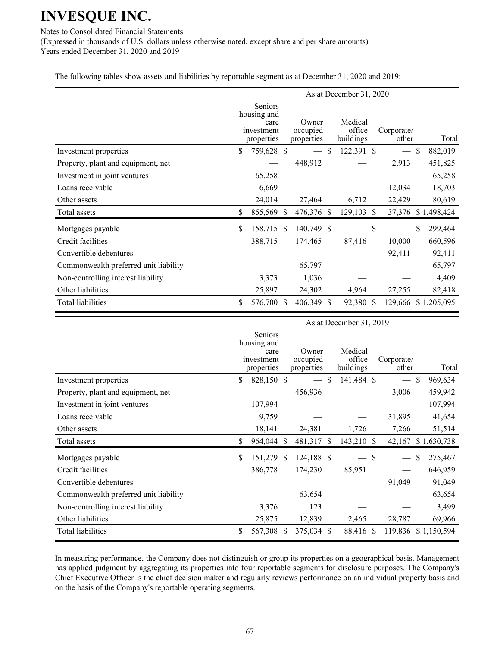## **INVESQUE INC.**

Notes to Consolidated Financial Statements

(Expressed in thousands of U.S. dollars unless otherwise noted, except share and per share amounts) Years ended December 31, 2020 and 2019

The following tables show assets and liabilities by reportable segment as at December 31, 2020 and 2019:

|                                       | As at December 31, 2020 |                                                            |  |                                 |    |                                |               |                     |               |             |
|---------------------------------------|-------------------------|------------------------------------------------------------|--|---------------------------------|----|--------------------------------|---------------|---------------------|---------------|-------------|
|                                       |                         | Seniors<br>housing and<br>care<br>investment<br>properties |  | Owner<br>occupied<br>properties |    | Medical<br>office<br>buildings |               | Corporate/<br>other |               | Total       |
| Investment properties                 | \$                      | 759,628 \$                                                 |  |                                 | \$ | 122,391 \$                     |               |                     | $\mathbb{S}$  | 882,019     |
| Property, plant and equipment, net    |                         |                                                            |  | 448,912                         |    |                                |               | 2,913               |               | 451,825     |
| Investment in joint ventures          |                         | 65,258                                                     |  |                                 |    |                                |               |                     |               | 65,258      |
| Loans receivable                      |                         | 6,669                                                      |  |                                 |    |                                |               | 12,034              |               | 18,703      |
| Other assets                          |                         | 24,014                                                     |  | 27,464                          |    | 6,712                          |               | 22,429              |               | 80,619      |
| Total assets                          | \$                      | 855,569 \$                                                 |  | 476,376 \$                      |    | 129,103                        | <sup>\$</sup> | 37,376              |               | \$1,498,424 |
| Mortgages payable                     | \$                      | 158,715 \$                                                 |  | 140,749 \$                      |    | — \$                           |               |                     | <sup>\$</sup> | 299,464     |
| Credit facilities                     |                         | 388,715                                                    |  | 174,465                         |    | 87,416                         |               | 10,000              |               | 660,596     |
| Convertible debentures                |                         |                                                            |  |                                 |    |                                |               | 92,411              |               | 92,411      |
| Commonwealth preferred unit liability |                         |                                                            |  | 65,797                          |    |                                |               |                     |               | 65,797      |
| Non-controlling interest liability    |                         | 3,373                                                      |  | 1,036                           |    |                                |               |                     |               | 4,409       |
| Other liabilities                     |                         | 25,897                                                     |  | 24,302                          |    | 4,964                          |               | 27,255              |               | 82,418      |
| <b>Total liabilities</b>              | \$                      | 576,700 \$                                                 |  | 406,349 \$                      |    | 92,380 \$                      |               | 129,666             |               | \$1,205,095 |

|                                       | As at December 31, 2019 |                                                            |    |                                 |              |                                |  |                     |    |             |
|---------------------------------------|-------------------------|------------------------------------------------------------|----|---------------------------------|--------------|--------------------------------|--|---------------------|----|-------------|
|                                       |                         | Seniors<br>housing and<br>care<br>investment<br>properties |    | Owner<br>occupied<br>properties |              | Medical<br>office<br>buildings |  | Corporate/<br>other |    | Total       |
| Investment properties                 | \$                      | 828,150 \$                                                 |    |                                 | \$           | 141,484 \$                     |  |                     | \$ | 969,634     |
| Property, plant and equipment, net    |                         |                                                            |    | 456,936                         |              |                                |  | 3,006               |    | 459,942     |
| Investment in joint ventures          |                         | 107,994                                                    |    |                                 |              |                                |  |                     |    | 107,994     |
| Loans receivable                      |                         | 9,759                                                      |    |                                 |              |                                |  | 31,895              |    | 41,654      |
| Other assets                          |                         | 18,141                                                     |    | 24,381                          |              | 1,726                          |  | 7,266               |    | 51,514      |
| Total assets                          | \$                      | 964,044                                                    | -S | 481,317                         | <sup>S</sup> | 143,210 \$                     |  | 42,167              |    | \$1,630,738 |
| Mortgages payable                     | \$                      | 151,279 \$                                                 |    | 124,188 \$                      |              | — \$                           |  |                     | \$ | 275,467     |
| Credit facilities                     |                         | 386,778                                                    |    | 174,230                         |              | 85,951                         |  |                     |    | 646,959     |
| Convertible debentures                |                         |                                                            |    |                                 |              |                                |  | 91,049              |    | 91,049      |
| Commonwealth preferred unit liability |                         |                                                            |    | 63,654                          |              |                                |  |                     |    | 63,654      |
| Non-controlling interest liability    |                         | 3,376                                                      |    | 123                             |              |                                |  |                     |    | 3,499       |
| Other liabilities                     |                         | 25,875                                                     |    | 12,839                          |              | 2,465                          |  | 28,787              |    | 69,966      |
| <b>Total liabilities</b>              | \$                      | 567,308 \$                                                 |    | 375,034 \$                      |              | 88,416 \$                      |  | 119,836 \$1,150,594 |    |             |

In measuring performance, the Company does not distinguish or group its properties on a geographical basis. Management has applied judgment by aggregating its properties into four reportable segments for disclosure purposes. The Company's Chief Executive Officer is the chief decision maker and regularly reviews performance on an individual property basis and on the basis of the Company's reportable operating segments.